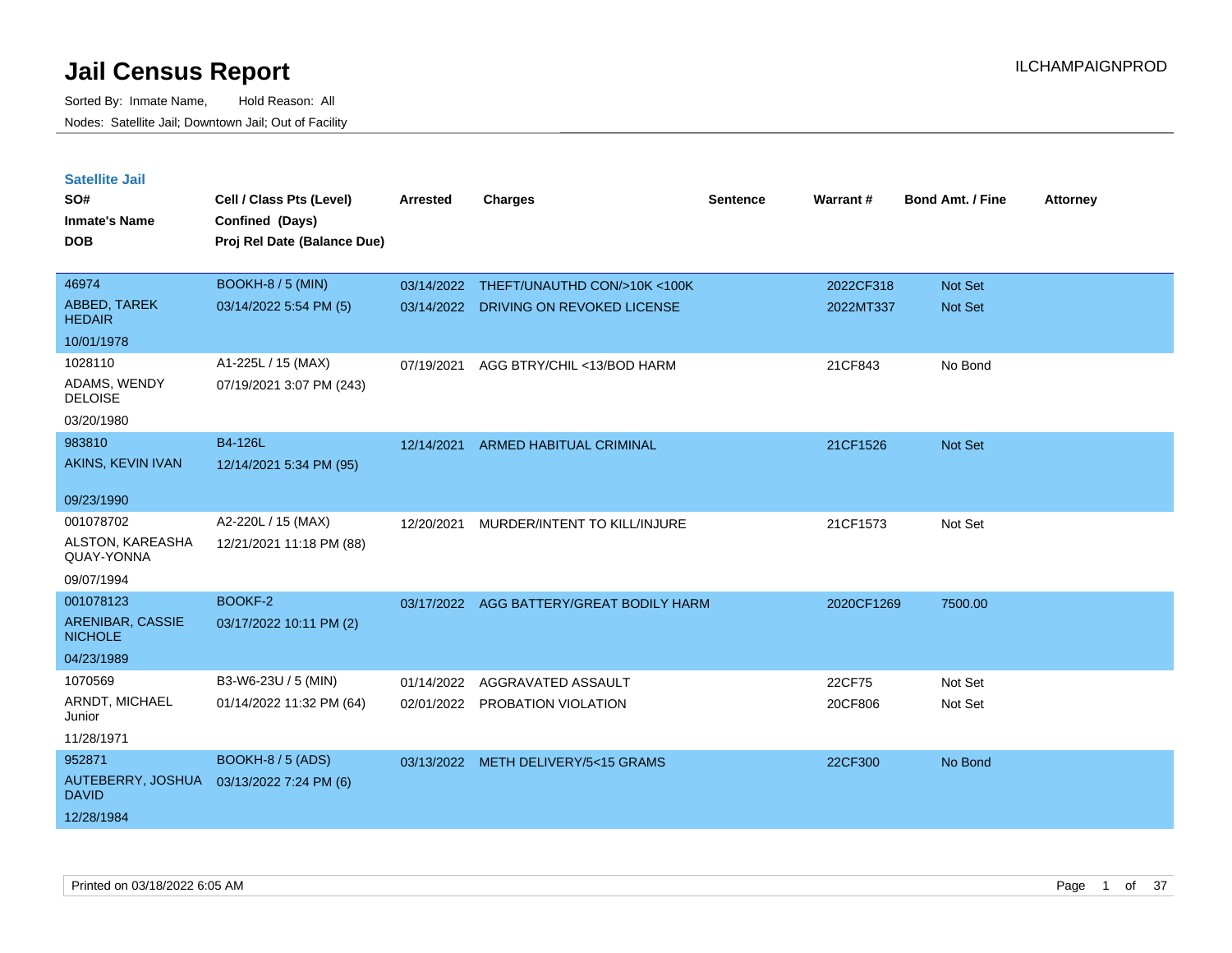| <b>Satellite Jail</b>              |                             |            |                                          |          |            |                         |                 |
|------------------------------------|-----------------------------|------------|------------------------------------------|----------|------------|-------------------------|-----------------|
| SO#                                | Cell / Class Pts (Level)    | Arrested   | <b>Charges</b>                           | Sentence | Warrant#   | <b>Bond Amt. / Fine</b> | <b>Attorney</b> |
| <b>Inmate's Name</b>               | Confined (Days)             |            |                                          |          |            |                         |                 |
| <b>DOB</b>                         | Proj Rel Date (Balance Due) |            |                                          |          |            |                         |                 |
|                                    |                             |            |                                          |          |            |                         |                 |
| 46974                              | <b>BOOKH-8 / 5 (MIN)</b>    | 03/14/2022 | THEFT/UNAUTHD CON/>10K <100K             |          | 2022CF318  | Not Set                 |                 |
| ABBED, TAREK<br><b>HEDAIR</b>      | 03/14/2022 5:54 PM (5)      |            | 03/14/2022 DRIVING ON REVOKED LICENSE    |          | 2022MT337  | Not Set                 |                 |
| 10/01/1978                         |                             |            |                                          |          |            |                         |                 |
| 1028110                            | A1-225L / 15 (MAX)          | 07/19/2021 | AGG BTRY/CHIL <13/BOD HARM               |          | 21CF843    | No Bond                 |                 |
| ADAMS, WENDY<br><b>DELOISE</b>     | 07/19/2021 3:07 PM (243)    |            |                                          |          |            |                         |                 |
| 03/20/1980                         |                             |            |                                          |          |            |                         |                 |
| 983810                             | B4-126L                     | 12/14/2021 | <b>ARMED HABITUAL CRIMINAL</b>           |          | 21CF1526   | Not Set                 |                 |
| AKINS, KEVIN IVAN                  | 12/14/2021 5:34 PM (95)     |            |                                          |          |            |                         |                 |
|                                    |                             |            |                                          |          |            |                         |                 |
| 09/23/1990                         |                             |            |                                          |          |            |                         |                 |
| 001078702                          | A2-220L / 15 (MAX)          | 12/20/2021 | MURDER/INTENT TO KILL/INJURE             |          | 21CF1573   | Not Set                 |                 |
| ALSTON, KAREASHA<br>QUAY-YONNA     | 12/21/2021 11:18 PM (88)    |            |                                          |          |            |                         |                 |
| 09/07/1994                         |                             |            |                                          |          |            |                         |                 |
| 001078123                          | BOOKF-2                     |            | 03/17/2022 AGG BATTERY/GREAT BODILY HARM |          | 2020CF1269 | 7500.00                 |                 |
| ARENIBAR, CASSIE<br><b>NICHOLE</b> | 03/17/2022 10:11 PM (2)     |            |                                          |          |            |                         |                 |
| 04/23/1989                         |                             |            |                                          |          |            |                         |                 |
| 1070569                            | B3-W6-23U / 5 (MIN)         | 01/14/2022 | AGGRAVATED ASSAULT                       |          | 22CF75     | Not Set                 |                 |
| ARNDT, MICHAEL<br>Junior           | 01/14/2022 11:32 PM (64)    |            | 02/01/2022 PROBATION VIOLATION           |          | 20CF806    | Not Set                 |                 |
| 11/28/1971                         |                             |            |                                          |          |            |                         |                 |
| 952871                             | BOOKH-8 / 5 (ADS)           |            | 03/13/2022 METH DELIVERY/5<15 GRAMS      |          | 22CF300    | No Bond                 |                 |
| AUTEBERRY, JOSHUA<br><b>DAVID</b>  | 03/13/2022 7:24 PM (6)      |            |                                          |          |            |                         |                 |
| 12/28/1984                         |                             |            |                                          |          |            |                         |                 |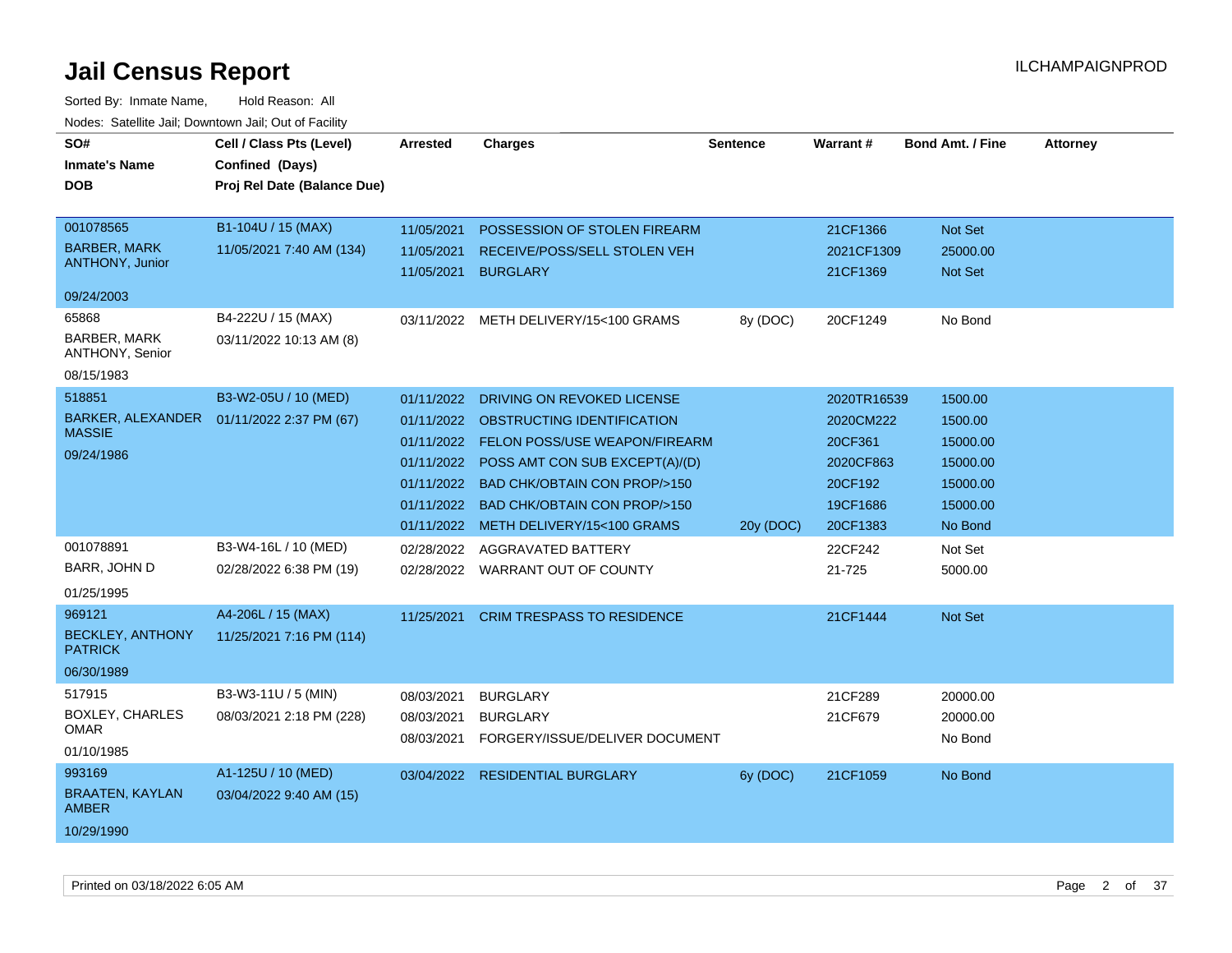| SO#<br><b>Inmate's Name</b><br><b>DOB</b><br>001078565<br><b>BARBER, MARK</b><br><b>ANTHONY, Junior</b><br>09/24/2003 | Cell / Class Pts (Level)<br>Confined (Days)<br>Proj Rel Date (Balance Due)<br>B1-104U / 15 (MAX)<br>11/05/2021 7:40 AM (134) | Arrested<br>11/05/2021<br>11/05/2021<br>11/05/2021                                             | <b>Charges</b><br>POSSESSION OF STOLEN FIREARM<br>RECEIVE/POSS/SELL STOLEN VEH<br><b>BURGLARY</b>                                                                                                                                   | <b>Sentence</b> | <b>Warrant#</b><br>21CF1366<br>2021CF1309<br>21CF1369                               | <b>Bond Amt. / Fine</b><br>Not Set<br>25000.00<br><b>Not Set</b>              | <b>Attorney</b> |
|-----------------------------------------------------------------------------------------------------------------------|------------------------------------------------------------------------------------------------------------------------------|------------------------------------------------------------------------------------------------|-------------------------------------------------------------------------------------------------------------------------------------------------------------------------------------------------------------------------------------|-----------------|-------------------------------------------------------------------------------------|-------------------------------------------------------------------------------|-----------------|
| 65868<br><b>BARBER, MARK</b><br>ANTHONY, Senior<br>08/15/1983                                                         | B4-222U / 15 (MAX)<br>03/11/2022 10:13 AM (8)                                                                                |                                                                                                | 03/11/2022 METH DELIVERY/15<100 GRAMS                                                                                                                                                                                               | 8y (DOC)        | 20CF1249                                                                            | No Bond                                                                       |                 |
| 518851<br>BARKER, ALEXANDER<br><b>MASSIE</b><br>09/24/1986                                                            | B3-W2-05U / 10 (MED)<br>01/11/2022 2:37 PM (67)                                                                              | 01/11/2022<br>01/11/2022<br>01/11/2022<br>01/11/2022<br>01/11/2022<br>01/11/2022<br>01/11/2022 | DRIVING ON REVOKED LICENSE<br>OBSTRUCTING IDENTIFICATION<br>FELON POSS/USE WEAPON/FIREARM<br>POSS AMT CON SUB EXCEPT(A)/(D)<br>BAD CHK/OBTAIN CON PROP/>150<br><b>BAD CHK/OBTAIN CON PROP/&gt;150</b><br>METH DELIVERY/15<100 GRAMS | 20y (DOC)       | 2020TR16539<br>2020CM222<br>20CF361<br>2020CF863<br>20CF192<br>19CF1686<br>20CF1383 | 1500.00<br>1500.00<br>15000.00<br>15000.00<br>15000.00<br>15000.00<br>No Bond |                 |
| 001078891<br>BARR, JOHN D<br>01/25/1995                                                                               | B3-W4-16L / 10 (MED)<br>02/28/2022 6:38 PM (19)                                                                              | 02/28/2022                                                                                     | AGGRAVATED BATTERY<br>02/28/2022 WARRANT OUT OF COUNTY                                                                                                                                                                              |                 | 22CF242<br>21-725                                                                   | Not Set<br>5000.00                                                            |                 |
| 969121<br><b>BECKLEY, ANTHONY</b><br><b>PATRICK</b><br>06/30/1989                                                     | A4-206L / 15 (MAX)<br>11/25/2021 7:16 PM (114)                                                                               | 11/25/2021                                                                                     | <b>CRIM TRESPASS TO RESIDENCE</b>                                                                                                                                                                                                   |                 | 21CF1444                                                                            | Not Set                                                                       |                 |
| 517915<br><b>BOXLEY, CHARLES</b><br>OMAR<br>01/10/1985                                                                | B3-W3-11U / 5 (MIN)<br>08/03/2021 2:18 PM (228)                                                                              | 08/03/2021<br>08/03/2021<br>08/03/2021                                                         | <b>BURGLARY</b><br><b>BURGLARY</b><br>FORGERY/ISSUE/DELIVER DOCUMENT                                                                                                                                                                |                 | 21CF289<br>21CF679                                                                  | 20000.00<br>20000.00<br>No Bond                                               |                 |
| 993169<br><b>BRAATEN, KAYLAN</b><br><b>AMBER</b><br>10/29/1990                                                        | A1-125U / 10 (MED)<br>03/04/2022 9:40 AM (15)                                                                                | 03/04/2022                                                                                     | <b>RESIDENTIAL BURGLARY</b>                                                                                                                                                                                                         | 6y (DOC)        | 21CF1059                                                                            | No Bond                                                                       |                 |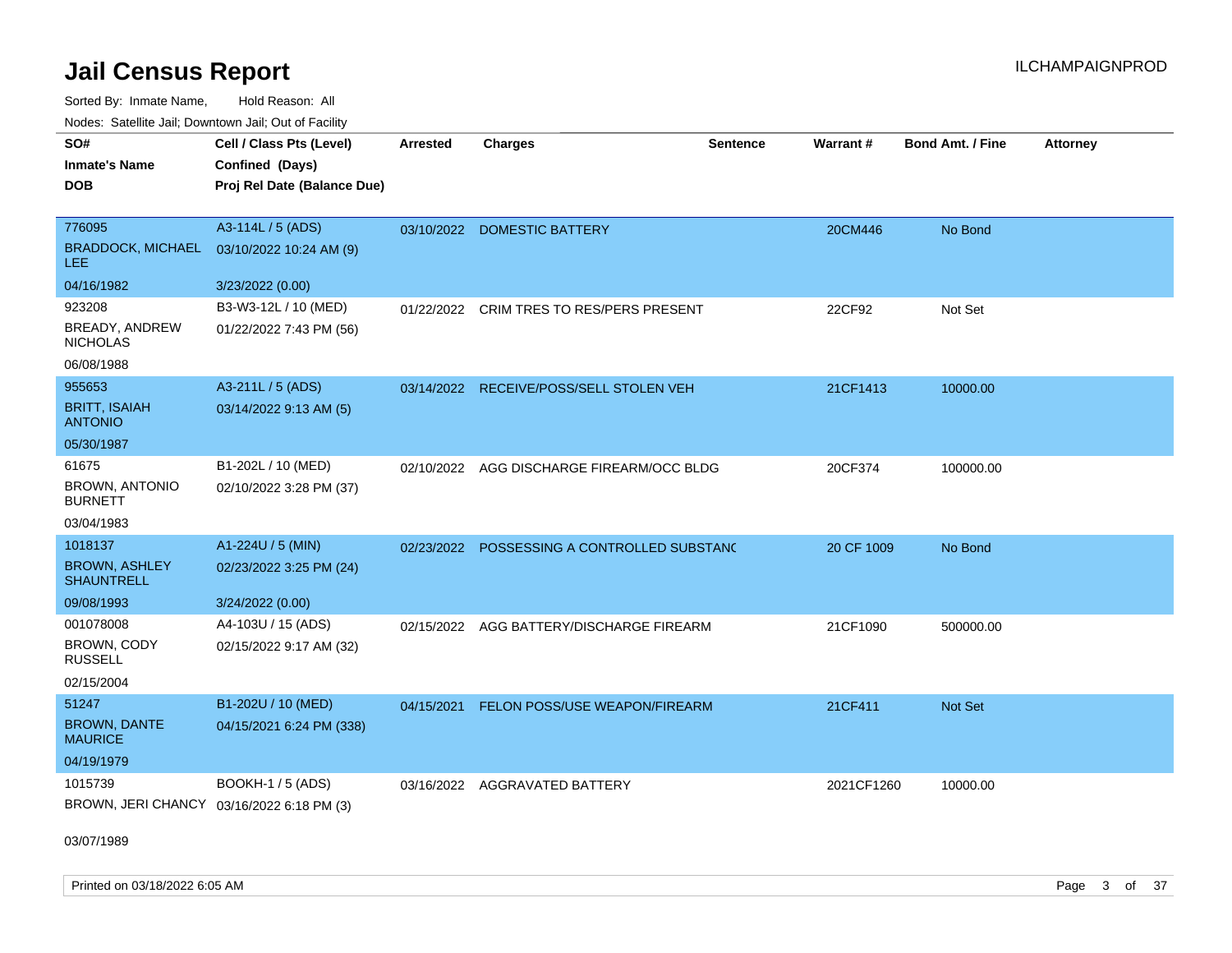Sorted By: Inmate Name, Hold Reason: All Nodes: Satellite Jail; Downtown Jail; Out of Facility

| SO#<br><b>Inmate's Name</b><br><b>DOB</b> | Cell / Class Pts (Level)<br>Confined (Days)<br>Proj Rel Date (Balance Due) | <b>Arrested</b> | <b>Charges</b>                          | <b>Sentence</b> | Warrant#   | <b>Bond Amt. / Fine</b> | <b>Attorney</b> |
|-------------------------------------------|----------------------------------------------------------------------------|-----------------|-----------------------------------------|-----------------|------------|-------------------------|-----------------|
| 776095                                    | A3-114L / 5 (ADS)                                                          |                 | 03/10/2022 DOMESTIC BATTERY             |                 | 20CM446    | No Bond                 |                 |
| <b>BRADDOCK, MICHAEL</b><br>LEE           | 03/10/2022 10:24 AM (9)                                                    |                 |                                         |                 |            |                         |                 |
| 04/16/1982                                | 3/23/2022 (0.00)                                                           |                 |                                         |                 |            |                         |                 |
| 923208                                    | B3-W3-12L / 10 (MED)                                                       | 01/22/2022      | CRIM TRES TO RES/PERS PRESENT           |                 | 22CF92     | Not Set                 |                 |
| BREADY, ANDREW<br><b>NICHOLAS</b>         | 01/22/2022 7:43 PM (56)                                                    |                 |                                         |                 |            |                         |                 |
| 06/08/1988                                |                                                                            |                 |                                         |                 |            |                         |                 |
| 955653                                    | A3-211L / 5 (ADS)                                                          |                 | 03/14/2022 RECEIVE/POSS/SELL STOLEN VEH |                 | 21CF1413   | 10000.00                |                 |
| <b>BRITT, ISAIAH</b><br><b>ANTONIO</b>    | 03/14/2022 9:13 AM (5)                                                     |                 |                                         |                 |            |                         |                 |
| 05/30/1987                                |                                                                            |                 |                                         |                 |            |                         |                 |
| 61675                                     | B1-202L / 10 (MED)                                                         | 02/10/2022      | AGG DISCHARGE FIREARM/OCC BLDG          |                 | 20CF374    | 100000.00               |                 |
| <b>BROWN, ANTONIO</b><br><b>BURNETT</b>   | 02/10/2022 3:28 PM (37)                                                    |                 |                                         |                 |            |                         |                 |
| 03/04/1983                                |                                                                            |                 |                                         |                 |            |                         |                 |
| 1018137                                   | A1-224U / 5 (MIN)                                                          | 02/23/2022      | POSSESSING A CONTROLLED SUBSTANC        |                 | 20 CF 1009 | No Bond                 |                 |
| <b>BROWN, ASHLEY</b><br><b>SHAUNTRELL</b> | 02/23/2022 3:25 PM (24)                                                    |                 |                                         |                 |            |                         |                 |
| 09/08/1993                                | 3/24/2022 (0.00)                                                           |                 |                                         |                 |            |                         |                 |
| 001078008                                 | A4-103U / 15 (ADS)                                                         | 02/15/2022      | AGG BATTERY/DISCHARGE FIREARM           |                 | 21CF1090   | 500000.00               |                 |
| BROWN, CODY<br><b>RUSSELL</b>             | 02/15/2022 9:17 AM (32)                                                    |                 |                                         |                 |            |                         |                 |
| 02/15/2004                                |                                                                            |                 |                                         |                 |            |                         |                 |
| 51247                                     | B1-202U / 10 (MED)                                                         | 04/15/2021      | FELON POSS/USE WEAPON/FIREARM           |                 | 21CF411    | <b>Not Set</b>          |                 |
| <b>BROWN, DANTE</b><br><b>MAURICE</b>     | 04/15/2021 6:24 PM (338)                                                   |                 |                                         |                 |            |                         |                 |
| 04/19/1979                                |                                                                            |                 |                                         |                 |            |                         |                 |
| 1015739                                   | BOOKH-1 / 5 (ADS)                                                          | 03/16/2022      | <b>AGGRAVATED BATTERY</b>               |                 | 2021CF1260 | 10000.00                |                 |
| BROWN, JERI CHANCY 03/16/2022 6:18 PM (3) |                                                                            |                 |                                         |                 |            |                         |                 |

03/07/1989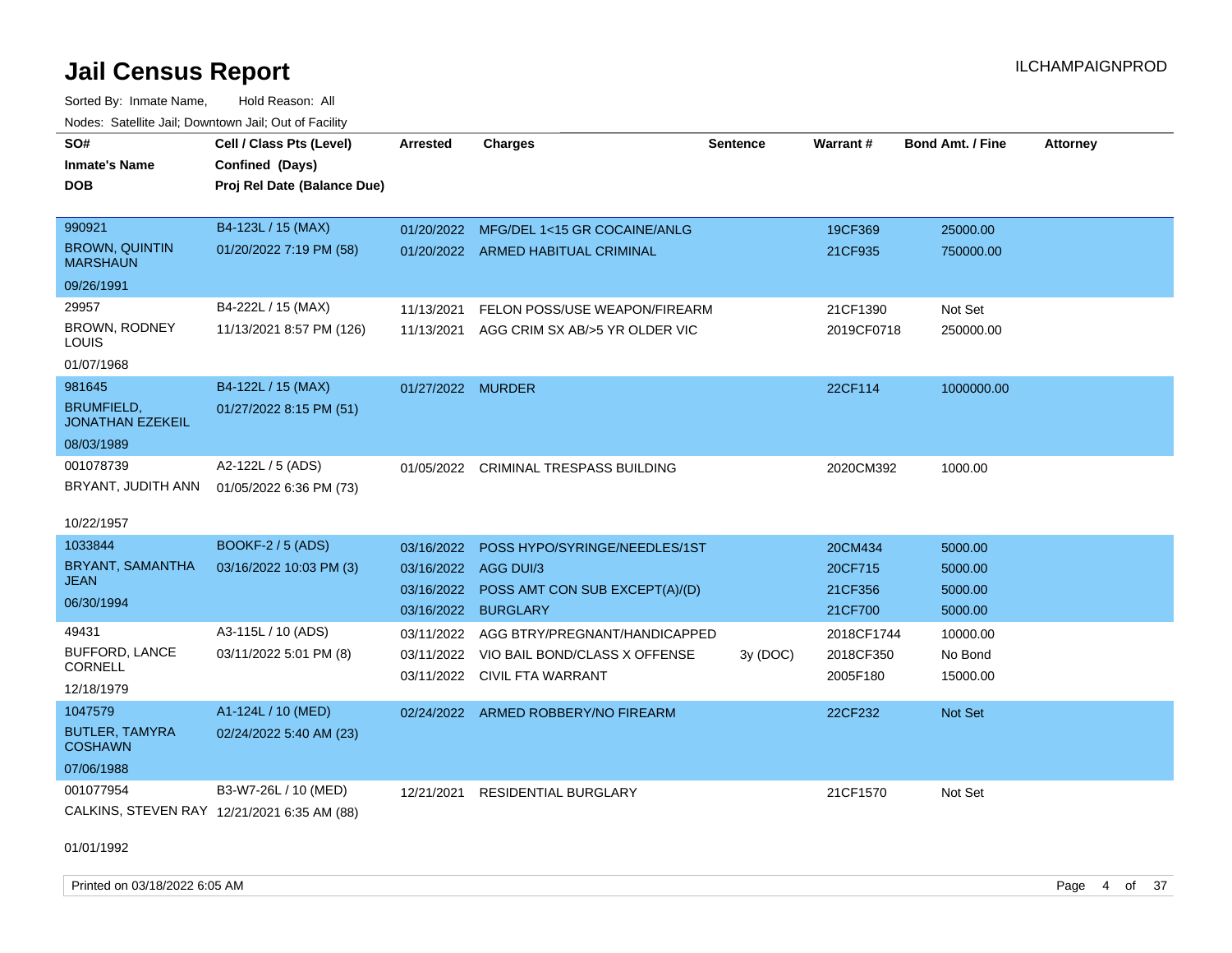Sorted By: Inmate Name, Hold Reason: All Nodes: Satellite Jail; Downtown Jail; Out of Facility

| SO#<br><b>Inmate's Name</b><br><b>DOB</b>                            | Cell / Class Pts (Level)<br>Confined (Days)<br>Proj Rel Date (Balance Due) | <b>Arrested</b>                        | <b>Charges</b>                                                                                      | <b>Sentence</b> | Warrant#                                 | Bond Amt. / Fine                         | <b>Attorney</b> |
|----------------------------------------------------------------------|----------------------------------------------------------------------------|----------------------------------------|-----------------------------------------------------------------------------------------------------|-----------------|------------------------------------------|------------------------------------------|-----------------|
| 990921<br><b>BROWN, QUINTIN</b><br><b>MARSHAUN</b><br>09/26/1991     | B4-123L / 15 (MAX)<br>01/20/2022 7:19 PM (58)                              | 01/20/2022                             | MFG/DEL 1<15 GR COCAINE/ANLG<br>01/20/2022 ARMED HABITUAL CRIMINAL                                  |                 | 19CF369<br>21CF935                       | 25000.00<br>750000.00                    |                 |
| 29957<br>BROWN, RODNEY<br>LOUIS<br>01/07/1968                        | B4-222L / 15 (MAX)<br>11/13/2021 8:57 PM (126)                             | 11/13/2021<br>11/13/2021               | FELON POSS/USE WEAPON/FIREARM<br>AGG CRIM SX AB/>5 YR OLDER VIC                                     |                 | 21CF1390<br>2019CF0718                   | Not Set<br>250000.00                     |                 |
| 981645<br><b>BRUMFIELD,</b><br><b>JONATHAN EZEKEIL</b><br>08/03/1989 | B4-122L / 15 (MAX)<br>01/27/2022 8:15 PM (51)                              | 01/27/2022 MURDER                      |                                                                                                     |                 | 22CF114                                  | 1000000.00                               |                 |
| 001078739<br>BRYANT, JUDITH ANN<br>10/22/1957                        | A2-122L / 5 (ADS)<br>01/05/2022 6:36 PM (73)                               | 01/05/2022                             | <b>CRIMINAL TRESPASS BUILDING</b>                                                                   |                 | 2020CM392                                | 1000.00                                  |                 |
| 1033844<br>BRYANT, SAMANTHA<br>JEAN<br>06/30/1994                    | <b>BOOKF-2 / 5 (ADS)</b><br>03/16/2022 10:03 PM (3)                        | 03/16/2022<br>03/16/2022<br>03/16/2022 | POSS HYPO/SYRINGE/NEEDLES/1ST<br>AGG DUI/3<br>POSS AMT CON SUB EXCEPT(A)/(D)<br>03/16/2022 BURGLARY |                 | 20CM434<br>20CF715<br>21CF356<br>21CF700 | 5000.00<br>5000.00<br>5000.00<br>5000.00 |                 |
| 49431<br><b>BUFFORD, LANCE</b><br><b>CORNELL</b><br>12/18/1979       | A3-115L / 10 (ADS)<br>03/11/2022 5:01 PM (8)                               | 03/11/2022<br>03/11/2022<br>03/11/2022 | AGG BTRY/PREGNANT/HANDICAPPED<br>VIO BAIL BOND/CLASS X OFFENSE<br>CIVIL FTA WARRANT                 | 3y (DOC)        | 2018CF1744<br>2018CF350<br>2005F180      | 10000.00<br>No Bond<br>15000.00          |                 |
| 1047579<br><b>BUTLER, TAMYRA</b><br><b>COSHAWN</b><br>07/06/1988     | A1-124L / 10 (MED)<br>02/24/2022 5:40 AM (23)                              |                                        | 02/24/2022 ARMED ROBBERY/NO FIREARM                                                                 |                 | 22CF232                                  | Not Set                                  |                 |
| 001077954                                                            | B3-W7-26L / 10 (MED)<br>CALKINS, STEVEN RAY 12/21/2021 6:35 AM (88)        | 12/21/2021                             | <b>RESIDENTIAL BURGLARY</b>                                                                         |                 | 21CF1570                                 | Not Set                                  |                 |

01/01/1992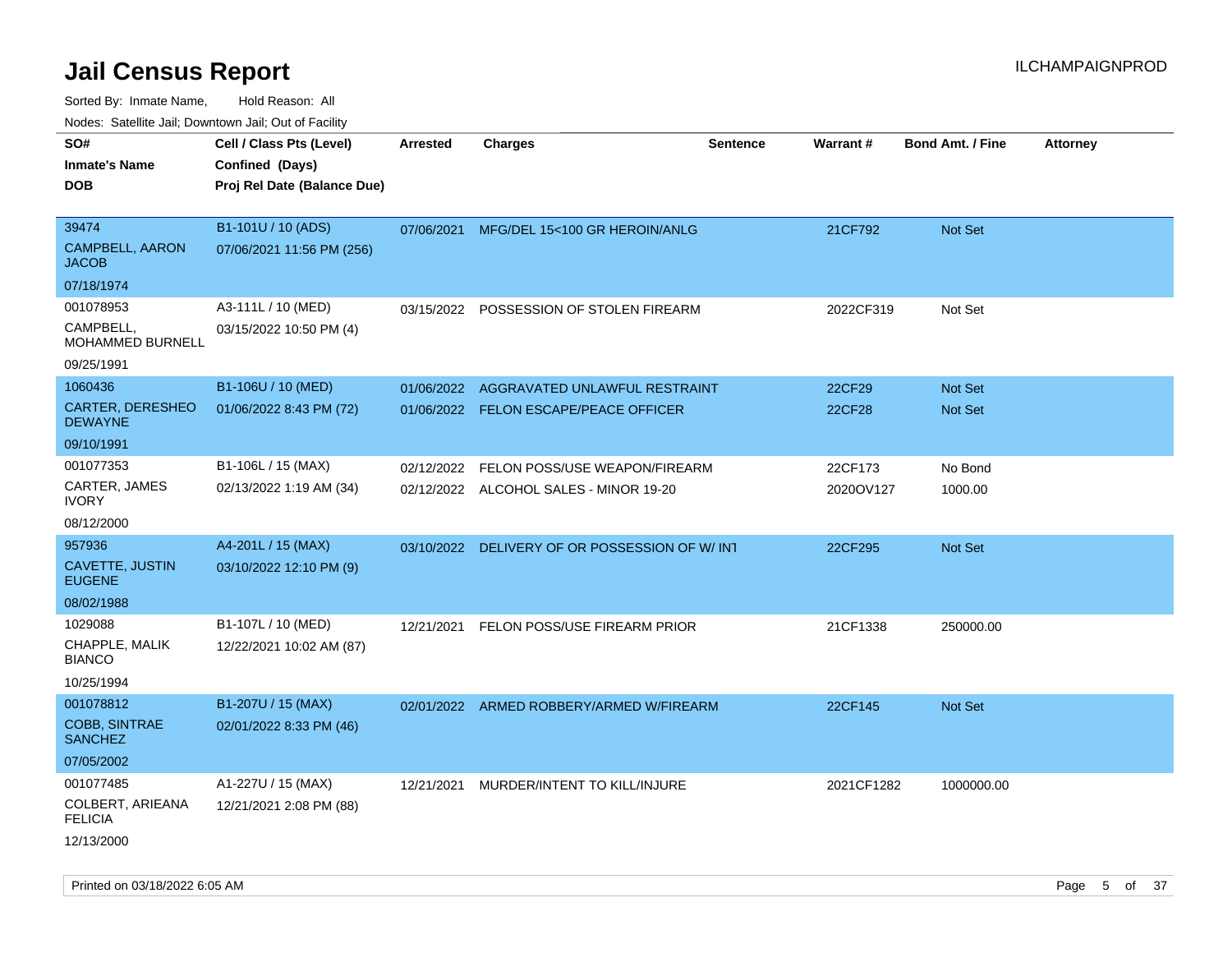Sorted By: Inmate Name, Hold Reason: All

| Nodes: Satellite Jail; Downtown Jail; Out of Facility |  |
|-------------------------------------------------------|--|
|-------------------------------------------------------|--|

| SO#<br><b>Inmate's Name</b><br><b>DOB</b>       | Cell / Class Pts (Level)<br>Confined (Days)<br>Proj Rel Date (Balance Due) | <b>Arrested</b> | <b>Charges</b>                                 | <b>Sentence</b> | <b>Warrant#</b> | <b>Bond Amt. / Fine</b> | Attorney |
|-------------------------------------------------|----------------------------------------------------------------------------|-----------------|------------------------------------------------|-----------------|-----------------|-------------------------|----------|
| 39474<br><b>CAMPBELL, AARON</b><br><b>JACOB</b> | B1-101U / 10 (ADS)<br>07/06/2021 11:56 PM (256)                            | 07/06/2021      | MFG/DEL 15<100 GR HEROIN/ANLG                  |                 | 21CF792         | Not Set                 |          |
| 07/18/1974                                      |                                                                            |                 |                                                |                 |                 |                         |          |
| 001078953                                       | A3-111L / 10 (MED)                                                         |                 | 03/15/2022 POSSESSION OF STOLEN FIREARM        |                 | 2022CF319       | Not Set                 |          |
| CAMPBELL,<br>MOHAMMED BURNELL                   | 03/15/2022 10:50 PM (4)                                                    |                 |                                                |                 |                 |                         |          |
| 09/25/1991                                      |                                                                            |                 |                                                |                 |                 |                         |          |
| 1060436                                         | B1-106U / 10 (MED)                                                         | 01/06/2022      | AGGRAVATED UNLAWFUL RESTRAINT                  |                 | 22CF29          | Not Set                 |          |
| <b>CARTER, DERESHEO</b><br><b>DEWAYNE</b>       | 01/06/2022 8:43 PM (72)                                                    |                 | 01/06/2022 FELON ESCAPE/PEACE OFFICER          |                 | 22CF28          | Not Set                 |          |
| 09/10/1991                                      |                                                                            |                 |                                                |                 |                 |                         |          |
| 001077353                                       | B1-106L / 15 (MAX)                                                         | 02/12/2022      | FELON POSS/USE WEAPON/FIREARM                  |                 | 22CF173         | No Bond                 |          |
| CARTER, JAMES<br><b>IVORY</b>                   | 02/13/2022 1:19 AM (34)                                                    |                 | 02/12/2022 ALCOHOL SALES - MINOR 19-20         |                 | 2020OV127       | 1000.00                 |          |
| 08/12/2000                                      |                                                                            |                 |                                                |                 |                 |                         |          |
| 957936                                          | A4-201L / 15 (MAX)                                                         |                 | 03/10/2022 DELIVERY OF OR POSSESSION OF W/ INT |                 | 22CF295         | Not Set                 |          |
| CAVETTE, JUSTIN<br><b>EUGENE</b>                | 03/10/2022 12:10 PM (9)                                                    |                 |                                                |                 |                 |                         |          |
| 08/02/1988                                      |                                                                            |                 |                                                |                 |                 |                         |          |
| 1029088                                         | B1-107L / 10 (MED)                                                         | 12/21/2021      | FELON POSS/USE FIREARM PRIOR                   |                 | 21CF1338        | 250000.00               |          |
| CHAPPLE, MALIK<br><b>BIANCO</b>                 | 12/22/2021 10:02 AM (87)                                                   |                 |                                                |                 |                 |                         |          |
| 10/25/1994                                      |                                                                            |                 |                                                |                 |                 |                         |          |
| 001078812                                       | B1-207U / 15 (MAX)                                                         |                 | 02/01/2022 ARMED ROBBERY/ARMED W/FIREARM       |                 | 22CF145         | Not Set                 |          |
| <b>COBB, SINTRAE</b><br><b>SANCHEZ</b>          | 02/01/2022 8:33 PM (46)                                                    |                 |                                                |                 |                 |                         |          |
| 07/05/2002                                      |                                                                            |                 |                                                |                 |                 |                         |          |
| 001077485                                       | A1-227U / 15 (MAX)                                                         |                 | 12/21/2021 MURDER/INTENT TO KILL/INJURE        |                 | 2021CF1282      | 1000000.00              |          |
| COLBERT, ARIEANA<br><b>FELICIA</b>              | 12/21/2021 2:08 PM (88)                                                    |                 |                                                |                 |                 |                         |          |
| 12/13/2000                                      |                                                                            |                 |                                                |                 |                 |                         |          |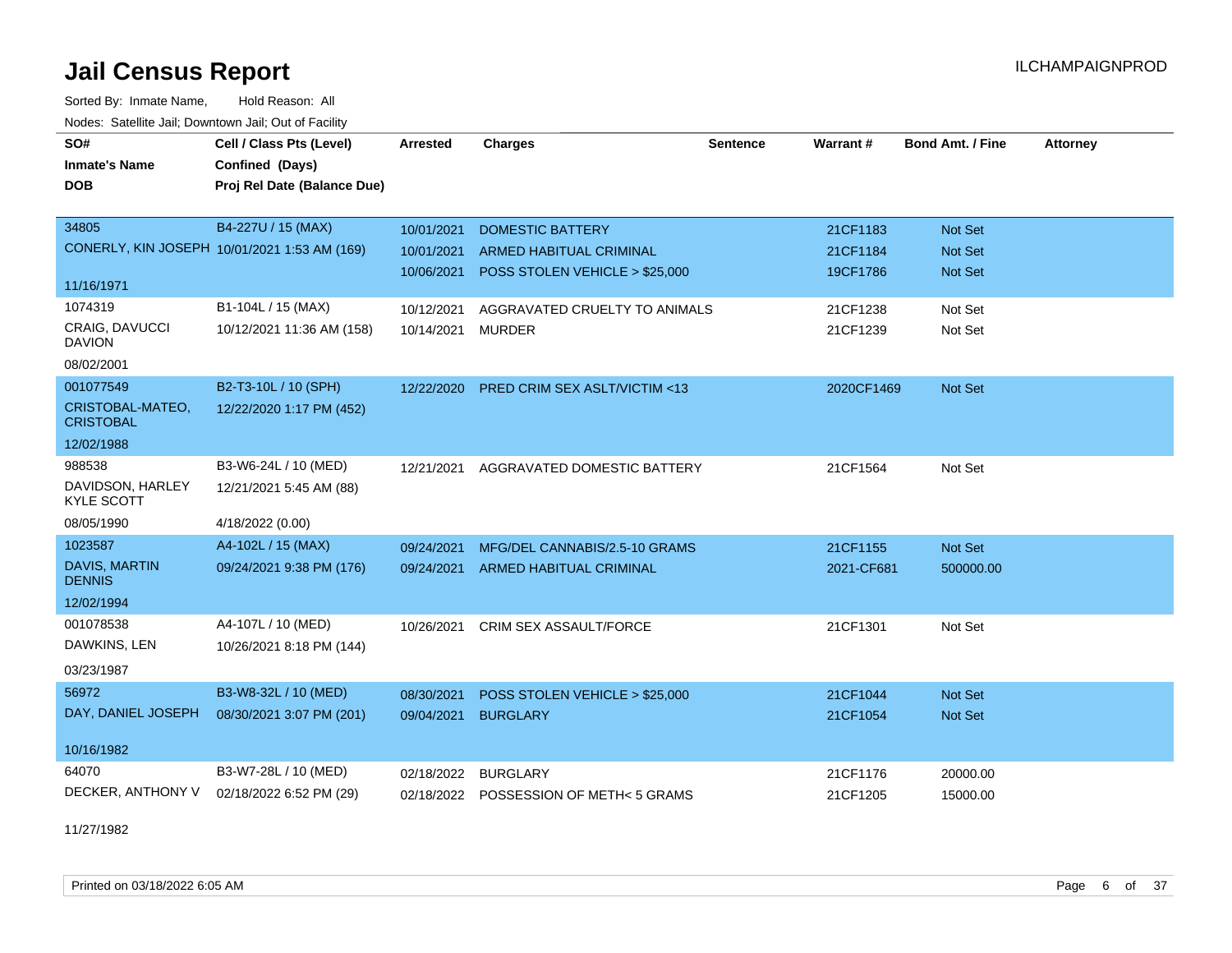Sorted By: Inmate Name, Hold Reason: All Nodes: Satellite Jail; Downtown Jail; Out of Facility

| SO#                                   | Cell / Class Pts (Level)                     | <b>Arrested</b> | <b>Charges</b>                          | <b>Sentence</b> | Warrant#   | <b>Bond Amt. / Fine</b> | <b>Attorney</b> |
|---------------------------------------|----------------------------------------------|-----------------|-----------------------------------------|-----------------|------------|-------------------------|-----------------|
| <b>Inmate's Name</b>                  | Confined (Days)                              |                 |                                         |                 |            |                         |                 |
| <b>DOB</b>                            | Proj Rel Date (Balance Due)                  |                 |                                         |                 |            |                         |                 |
|                                       |                                              |                 |                                         |                 |            |                         |                 |
| 34805                                 | B4-227U / 15 (MAX)                           | 10/01/2021      | <b>DOMESTIC BATTERY</b>                 |                 | 21CF1183   | <b>Not Set</b>          |                 |
|                                       | CONERLY, KIN JOSEPH 10/01/2021 1:53 AM (169) | 10/01/2021      | <b>ARMED HABITUAL CRIMINAL</b>          |                 | 21CF1184   | <b>Not Set</b>          |                 |
| 11/16/1971                            |                                              | 10/06/2021      | POSS STOLEN VEHICLE > \$25,000          |                 | 19CF1786   | <b>Not Set</b>          |                 |
| 1074319                               | B1-104L / 15 (MAX)                           | 10/12/2021      | AGGRAVATED CRUELTY TO ANIMALS           |                 | 21CF1238   | Not Set                 |                 |
| CRAIG, DAVUCCI<br><b>DAVION</b>       | 10/12/2021 11:36 AM (158)                    | 10/14/2021      | <b>MURDER</b>                           |                 | 21CF1239   | Not Set                 |                 |
| 08/02/2001                            |                                              |                 |                                         |                 |            |                         |                 |
| 001077549                             | B2-T3-10L / 10 (SPH)                         | 12/22/2020      | <b>PRED CRIM SEX ASLT/VICTIM &lt;13</b> |                 | 2020CF1469 | Not Set                 |                 |
| CRISTOBAL-MATEO,<br><b>CRISTOBAL</b>  | 12/22/2020 1:17 PM (452)                     |                 |                                         |                 |            |                         |                 |
| 12/02/1988                            |                                              |                 |                                         |                 |            |                         |                 |
| 988538                                | B3-W6-24L / 10 (MED)                         | 12/21/2021      | AGGRAVATED DOMESTIC BATTERY             |                 | 21CF1564   | Not Set                 |                 |
| DAVIDSON, HARLEY<br><b>KYLE SCOTT</b> | 12/21/2021 5:45 AM (88)                      |                 |                                         |                 |            |                         |                 |
| 08/05/1990                            | 4/18/2022 (0.00)                             |                 |                                         |                 |            |                         |                 |
| 1023587                               | A4-102L / 15 (MAX)                           | 09/24/2021      | MFG/DEL CANNABIS/2.5-10 GRAMS           |                 | 21CF1155   | Not Set                 |                 |
| DAVIS, MARTIN<br><b>DENNIS</b>        | 09/24/2021 9:38 PM (176)                     | 09/24/2021      | <b>ARMED HABITUAL CRIMINAL</b>          |                 | 2021-CF681 | 500000.00               |                 |
| 12/02/1994                            |                                              |                 |                                         |                 |            |                         |                 |
| 001078538                             | A4-107L / 10 (MED)                           | 10/26/2021      | CRIM SEX ASSAULT/FORCE                  |                 | 21CF1301   | Not Set                 |                 |
| DAWKINS, LEN                          | 10/26/2021 8:18 PM (144)                     |                 |                                         |                 |            |                         |                 |
| 03/23/1987                            |                                              |                 |                                         |                 |            |                         |                 |
| 56972                                 | B3-W8-32L / 10 (MED)                         | 08/30/2021      | POSS STOLEN VEHICLE > \$25,000          |                 | 21CF1044   | Not Set                 |                 |
| DAY, DANIEL JOSEPH                    | 08/30/2021 3:07 PM (201)                     | 09/04/2021      | <b>BURGLARY</b>                         |                 | 21CF1054   | <b>Not Set</b>          |                 |
| 10/16/1982                            |                                              |                 |                                         |                 |            |                         |                 |
| 64070                                 | B3-W7-28L / 10 (MED)                         | 02/18/2022      | <b>BURGLARY</b>                         |                 | 21CF1176   | 20000.00                |                 |
| DECKER, ANTHONY V                     | 02/18/2022 6:52 PM (29)                      |                 | 02/18/2022 POSSESSION OF METH<5 GRAMS   |                 | 21CF1205   | 15000.00                |                 |

11/27/1982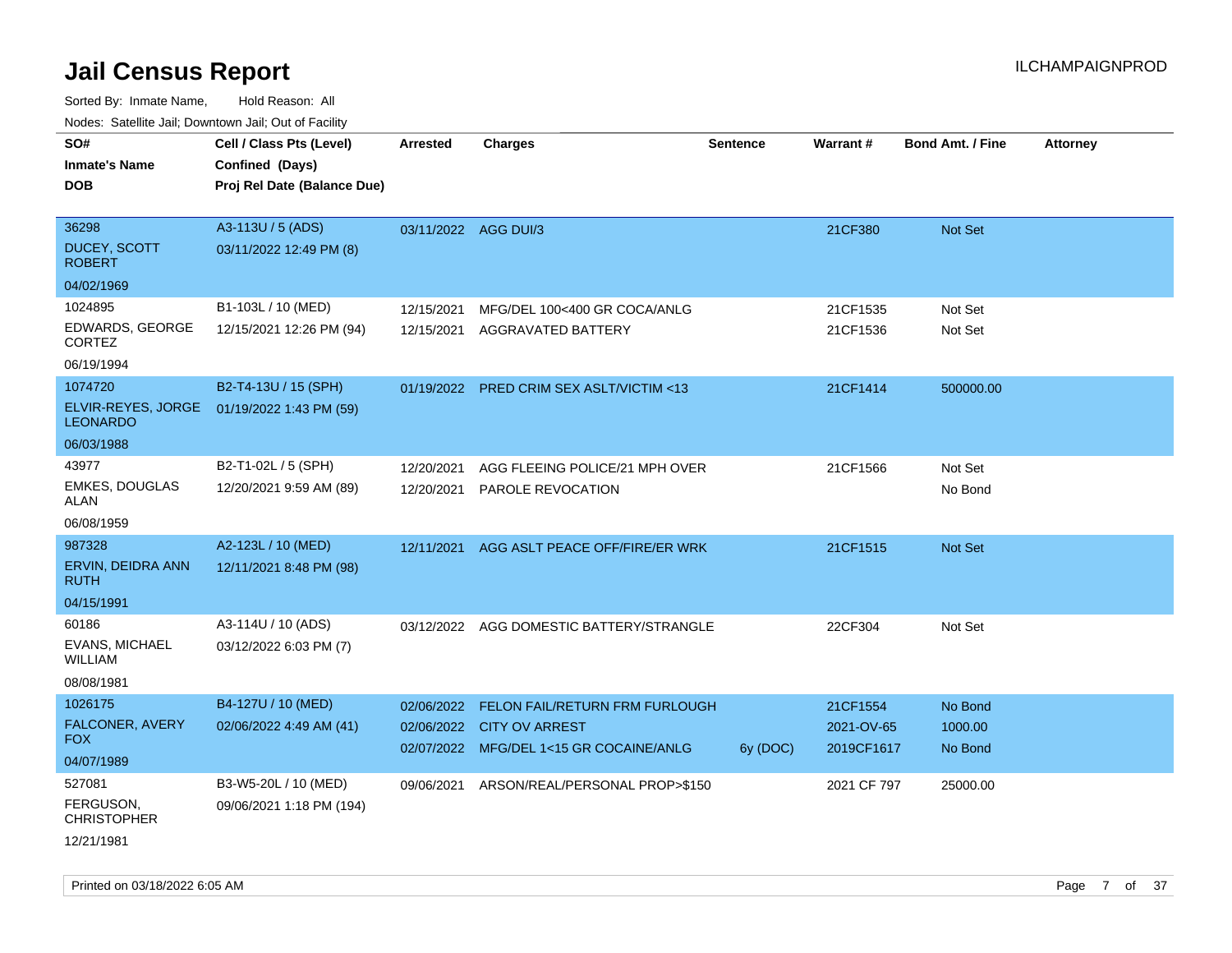| Noues. Salenne Jan, Downtown Jan, Out of Facility |                             |                      |                                           |          |             |                         |                 |
|---------------------------------------------------|-----------------------------|----------------------|-------------------------------------------|----------|-------------|-------------------------|-----------------|
| SO#                                               | Cell / Class Pts (Level)    | Arrested             | <b>Charges</b>                            | Sentence | Warrant#    | <b>Bond Amt. / Fine</b> | <b>Attorney</b> |
| <b>Inmate's Name</b>                              | Confined (Days)             |                      |                                           |          |             |                         |                 |
| <b>DOB</b>                                        | Proj Rel Date (Balance Due) |                      |                                           |          |             |                         |                 |
|                                                   |                             |                      |                                           |          |             |                         |                 |
| 36298                                             | A3-113U / 5 (ADS)           | 03/11/2022 AGG DUI/3 |                                           |          | 21CF380     | Not Set                 |                 |
| <b>DUCEY, SCOTT</b><br><b>ROBERT</b>              | 03/11/2022 12:49 PM (8)     |                      |                                           |          |             |                         |                 |
| 04/02/1969                                        |                             |                      |                                           |          |             |                         |                 |
| 1024895                                           | B1-103L / 10 (MED)          | 12/15/2021           | MFG/DEL 100<400 GR COCA/ANLG              |          | 21CF1535    | Not Set                 |                 |
| EDWARDS, GEORGE<br><b>CORTEZ</b>                  | 12/15/2021 12:26 PM (94)    | 12/15/2021           | AGGRAVATED BATTERY                        |          | 21CF1536    | Not Set                 |                 |
| 06/19/1994                                        |                             |                      |                                           |          |             |                         |                 |
| 1074720                                           | B2-T4-13U / 15 (SPH)        |                      | 01/19/2022 PRED CRIM SEX ASLT/VICTIM <13  |          | 21CF1414    | 500000.00               |                 |
| ELVIR-REYES, JORGE<br><b>LEONARDO</b>             | 01/19/2022 1:43 PM (59)     |                      |                                           |          |             |                         |                 |
| 06/03/1988                                        |                             |                      |                                           |          |             |                         |                 |
| 43977                                             | B2-T1-02L / 5 (SPH)         | 12/20/2021           | AGG FLEEING POLICE/21 MPH OVER            |          | 21CF1566    | Not Set                 |                 |
| <b>EMKES, DOUGLAS</b><br>ALAN                     | 12/20/2021 9:59 AM (89)     | 12/20/2021           | PAROLE REVOCATION                         |          |             | No Bond                 |                 |
| 06/08/1959                                        |                             |                      |                                           |          |             |                         |                 |
| 987328                                            | A2-123L / 10 (MED)          | 12/11/2021           | AGG ASLT PEACE OFF/FIRE/ER WRK            |          | 21CF1515    | Not Set                 |                 |
| ERVIN, DEIDRA ANN<br><b>RUTH</b>                  | 12/11/2021 8:48 PM (98)     |                      |                                           |          |             |                         |                 |
| 04/15/1991                                        |                             |                      |                                           |          |             |                         |                 |
| 60186                                             | A3-114U / 10 (ADS)          |                      | 03/12/2022 AGG DOMESTIC BATTERY/STRANGLE  |          | 22CF304     | Not Set                 |                 |
| EVANS, MICHAEL<br>WILLIAM                         | 03/12/2022 6:03 PM (7)      |                      |                                           |          |             |                         |                 |
| 08/08/1981                                        |                             |                      |                                           |          |             |                         |                 |
| 1026175                                           | B4-127U / 10 (MED)          | 02/06/2022           | <b>FELON FAIL/RETURN FRM FURLOUGH</b>     |          | 21CF1554    | No Bond                 |                 |
| FALCONER, AVERY                                   | 02/06/2022 4:49 AM (41)     | 02/06/2022           | <b>CITY OV ARREST</b>                     |          | 2021-OV-65  | 1000.00                 |                 |
| FOX.                                              |                             |                      | 02/07/2022 MFG/DEL 1<15 GR COCAINE/ANLG   | 6y (DOC) | 2019CF1617  | No Bond                 |                 |
| 04/07/1989                                        |                             |                      |                                           |          |             |                         |                 |
| 527081                                            | B3-W5-20L / 10 (MED)        |                      | 09/06/2021 ARSON/REAL/PERSONAL PROP>\$150 |          | 2021 CF 797 | 25000.00                |                 |
| FERGUSON,<br><b>CHRISTOPHER</b>                   | 09/06/2021 1:18 PM (194)    |                      |                                           |          |             |                         |                 |
| 12/21/1981                                        |                             |                      |                                           |          |             |                         |                 |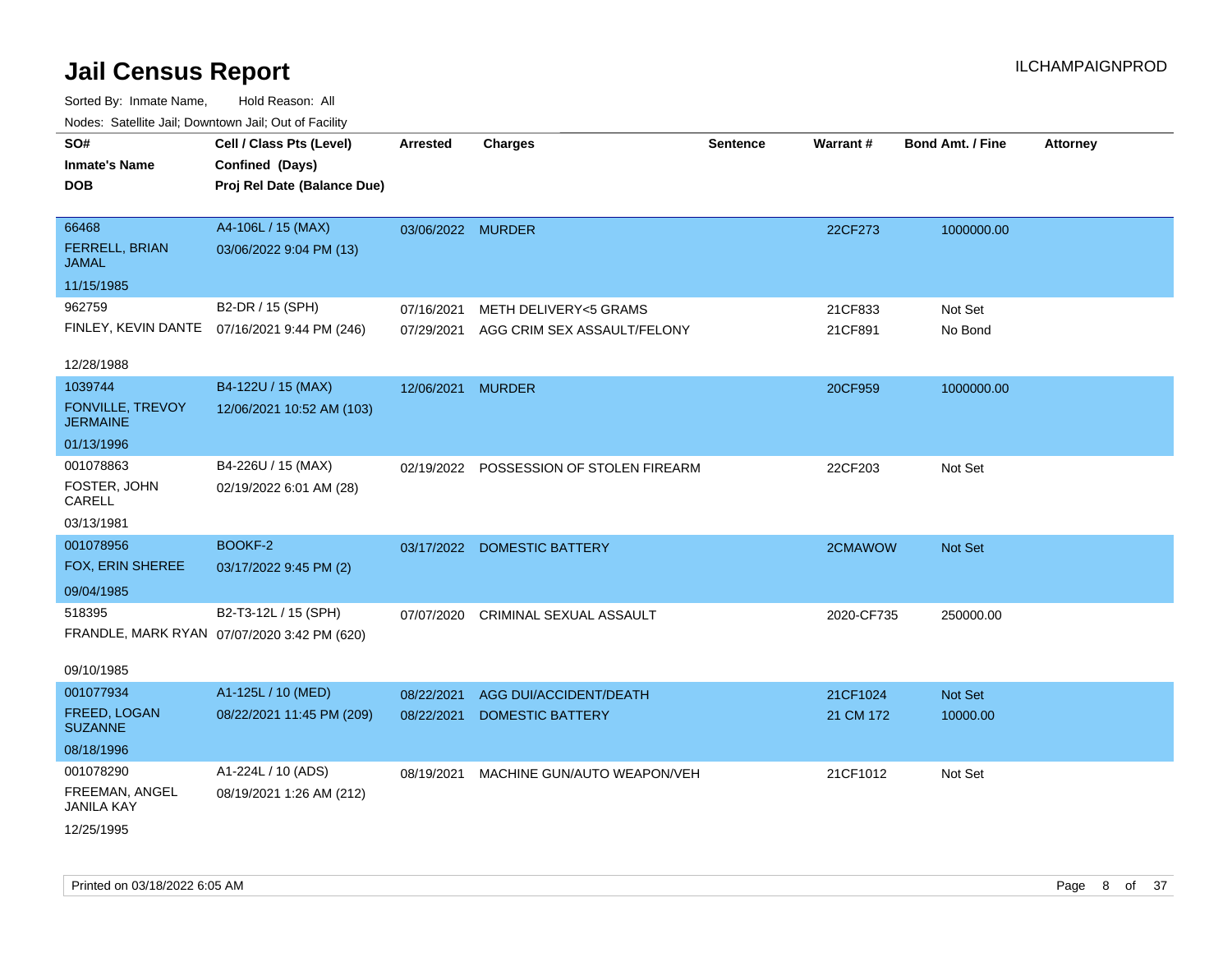| roacs. Catellite Jall, Downtown Jall, Out of Facility |                                                                            |                   |                                |                 |            |                         |                 |
|-------------------------------------------------------|----------------------------------------------------------------------------|-------------------|--------------------------------|-----------------|------------|-------------------------|-----------------|
| SO#<br><b>Inmate's Name</b><br><b>DOB</b>             | Cell / Class Pts (Level)<br>Confined (Days)<br>Proj Rel Date (Balance Due) | <b>Arrested</b>   | <b>Charges</b>                 | <b>Sentence</b> | Warrant#   | <b>Bond Amt. / Fine</b> | <b>Attorney</b> |
| 66468<br><b>FERRELL, BRIAN</b><br><b>JAMAL</b>        | A4-106L / 15 (MAX)<br>03/06/2022 9:04 PM (13)                              | 03/06/2022 MURDER |                                |                 | 22CF273    | 1000000.00              |                 |
| 11/15/1985                                            |                                                                            |                   |                                |                 |            |                         |                 |
| 962759                                                | B2-DR / 15 (SPH)                                                           | 07/16/2021        | METH DELIVERY<5 GRAMS          |                 | 21CF833    | Not Set                 |                 |
|                                                       | FINLEY, KEVIN DANTE 07/16/2021 9:44 PM (246)                               | 07/29/2021        | AGG CRIM SEX ASSAULT/FELONY    |                 | 21CF891    | No Bond                 |                 |
| 12/28/1988                                            |                                                                            |                   |                                |                 |            |                         |                 |
| 1039744                                               | B4-122U / 15 (MAX)                                                         | 12/06/2021 MURDER |                                |                 | 20CF959    | 1000000.00              |                 |
| <b>FONVILLE, TREVOY</b><br><b>JERMAINE</b>            | 12/06/2021 10:52 AM (103)                                                  |                   |                                |                 |            |                         |                 |
| 01/13/1996                                            |                                                                            |                   |                                |                 |            |                         |                 |
| 001078863                                             | B4-226U / 15 (MAX)                                                         | 02/19/2022        | POSSESSION OF STOLEN FIREARM   |                 | 22CF203    | Not Set                 |                 |
| FOSTER, JOHN<br>CARELL                                | 02/19/2022 6:01 AM (28)                                                    |                   |                                |                 |            |                         |                 |
| 03/13/1981                                            |                                                                            |                   |                                |                 |            |                         |                 |
| 001078956                                             | BOOKF-2                                                                    | 03/17/2022        | <b>DOMESTIC BATTERY</b>        |                 | 2CMAWOW    | Not Set                 |                 |
| FOX, ERIN SHEREE                                      | 03/17/2022 9:45 PM (2)                                                     |                   |                                |                 |            |                         |                 |
| 09/04/1985                                            |                                                                            |                   |                                |                 |            |                         |                 |
| 518395                                                | B2-T3-12L / 15 (SPH)                                                       | 07/07/2020        | <b>CRIMINAL SEXUAL ASSAULT</b> |                 | 2020-CF735 | 250000.00               |                 |
|                                                       | FRANDLE, MARK RYAN 07/07/2020 3:42 PM (620)                                |                   |                                |                 |            |                         |                 |
|                                                       |                                                                            |                   |                                |                 |            |                         |                 |
| 09/10/1985                                            |                                                                            |                   |                                |                 |            |                         |                 |
| 001077934                                             | A1-125L / 10 (MED)                                                         | 08/22/2021        | AGG DUI/ACCIDENT/DEATH         |                 | 21CF1024   | Not Set                 |                 |
| FREED, LOGAN<br><b>SUZANNE</b>                        | 08/22/2021 11:45 PM (209)                                                  | 08/22/2021        | <b>DOMESTIC BATTERY</b>        |                 | 21 CM 172  | 10000.00                |                 |
| 08/18/1996                                            |                                                                            |                   |                                |                 |            |                         |                 |
| 001078290                                             | A1-224L / 10 (ADS)                                                         | 08/19/2021        | MACHINE GUN/AUTO WEAPON/VEH    |                 | 21CF1012   | Not Set                 |                 |
| FREEMAN, ANGEL<br><b>JANILA KAY</b>                   | 08/19/2021 1:26 AM (212)                                                   |                   |                                |                 |            |                         |                 |
| 12/25/1995                                            |                                                                            |                   |                                |                 |            |                         |                 |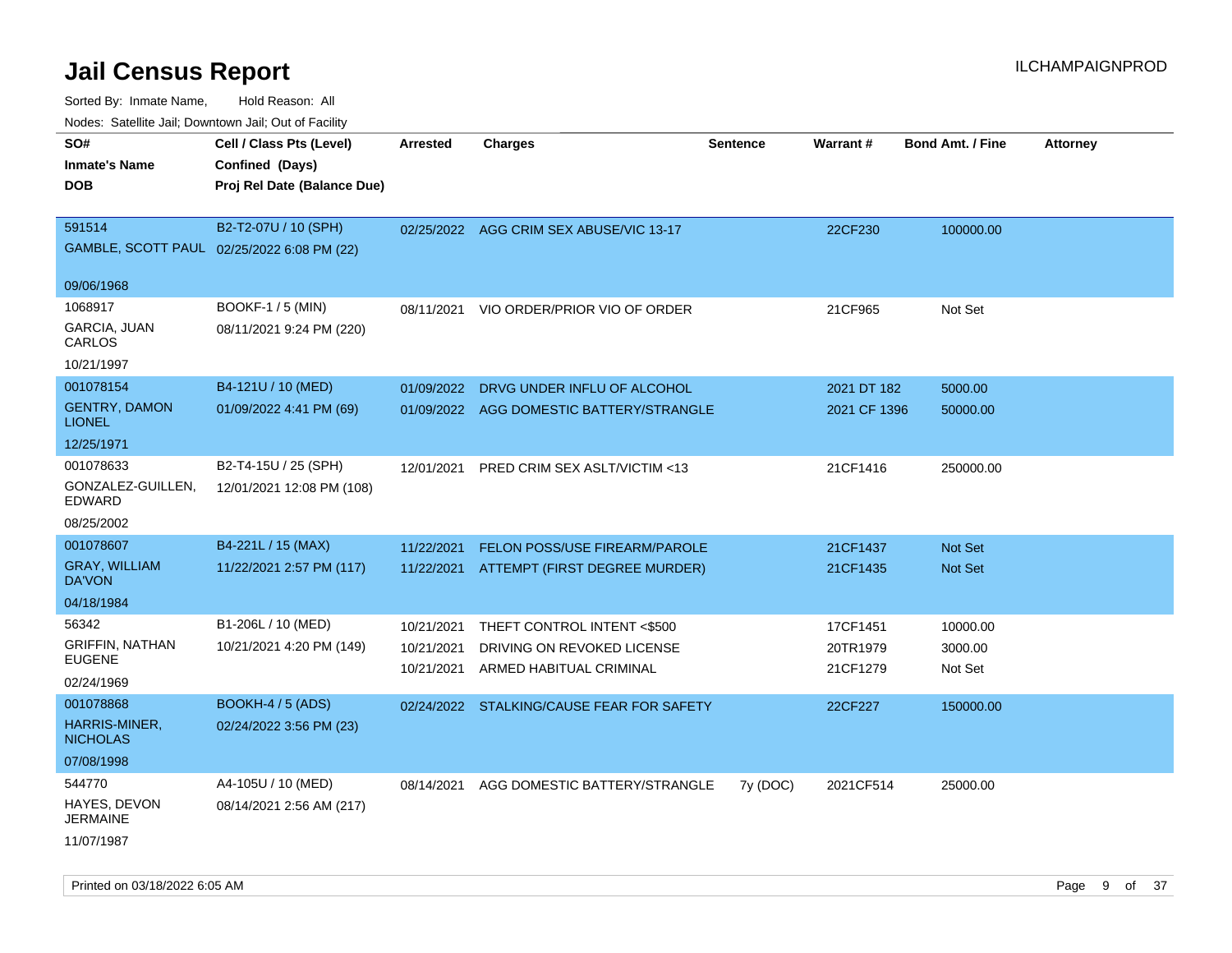| roaco. Odichile Jan, Downtown Jan, Out of Facility             |                                                                            |                                        |                                                                                      |                 |                                  |                                |                 |
|----------------------------------------------------------------|----------------------------------------------------------------------------|----------------------------------------|--------------------------------------------------------------------------------------|-----------------|----------------------------------|--------------------------------|-----------------|
| SO#<br><b>Inmate's Name</b><br><b>DOB</b>                      | Cell / Class Pts (Level)<br>Confined (Days)<br>Proj Rel Date (Balance Due) | <b>Arrested</b>                        | <b>Charges</b>                                                                       | <b>Sentence</b> | Warrant#                         | <b>Bond Amt. / Fine</b>        | <b>Attorney</b> |
| 591514                                                         | B2-T2-07U / 10 (SPH)<br>GAMBLE, SCOTT PAUL 02/25/2022 6:08 PM (22)         |                                        | 02/25/2022 AGG CRIM SEX ABUSE/VIC 13-17                                              |                 | 22CF230                          | 100000.00                      |                 |
| 09/06/1968                                                     |                                                                            |                                        |                                                                                      |                 |                                  |                                |                 |
| 1068917<br>GARCIA, JUAN<br>CARLOS                              | <b>BOOKF-1 / 5 (MIN)</b><br>08/11/2021 9:24 PM (220)                       | 08/11/2021                             | VIO ORDER/PRIOR VIO OF ORDER                                                         |                 | 21CF965                          | Not Set                        |                 |
| 10/21/1997                                                     |                                                                            |                                        |                                                                                      |                 |                                  |                                |                 |
| 001078154<br><b>GENTRY, DAMON</b><br><b>LIONEL</b>             | B4-121U / 10 (MED)<br>01/09/2022 4:41 PM (69)                              | 01/09/2022<br>01/09/2022               | DRVG UNDER INFLU OF ALCOHOL<br>AGG DOMESTIC BATTERY/STRANGLE                         |                 | 2021 DT 182<br>2021 CF 1396      | 5000.00<br>50000.00            |                 |
| 12/25/1971                                                     |                                                                            |                                        |                                                                                      |                 |                                  |                                |                 |
| 001078633<br>GONZALEZ-GUILLEN,<br><b>EDWARD</b>                | B2-T4-15U / 25 (SPH)<br>12/01/2021 12:08 PM (108)                          | 12/01/2021                             | <b>PRED CRIM SEX ASLT/VICTIM &lt;13</b>                                              |                 | 21CF1416                         | 250000.00                      |                 |
| 08/25/2002                                                     |                                                                            |                                        |                                                                                      |                 |                                  |                                |                 |
| 001078607<br><b>GRAY, WILLIAM</b><br>DA'VON<br>04/18/1984      | B4-221L / 15 (MAX)<br>11/22/2021 2:57 PM (117)                             | 11/22/2021                             | <b>FELON POSS/USE FIREARM/PAROLE</b><br>11/22/2021 ATTEMPT (FIRST DEGREE MURDER)     |                 | 21CF1437<br>21CF1435             | Not Set<br><b>Not Set</b>      |                 |
| 56342<br><b>GRIFFIN, NATHAN</b><br><b>EUGENE</b><br>02/24/1969 | B1-206L / 10 (MED)<br>10/21/2021 4:20 PM (149)                             | 10/21/2021<br>10/21/2021<br>10/21/2021 | THEFT CONTROL INTENT <\$500<br>DRIVING ON REVOKED LICENSE<br>ARMED HABITUAL CRIMINAL |                 | 17CF1451<br>20TR1979<br>21CF1279 | 10000.00<br>3000.00<br>Not Set |                 |
| 001078868<br>HARRIS-MINER,<br><b>NICHOLAS</b><br>07/08/1998    | <b>BOOKH-4 / 5 (ADS)</b><br>02/24/2022 3:56 PM (23)                        |                                        | 02/24/2022 STALKING/CAUSE FEAR FOR SAFETY                                            |                 | 22CF227                          | 150000.00                      |                 |
| 544770<br>HAYES, DEVON<br><b>JERMAINE</b><br>11/07/1987        | A4-105U / 10 (MED)<br>08/14/2021 2:56 AM (217)                             | 08/14/2021                             | AGG DOMESTIC BATTERY/STRANGLE                                                        | 7y (DOC)        | 2021CF514                        | 25000.00                       |                 |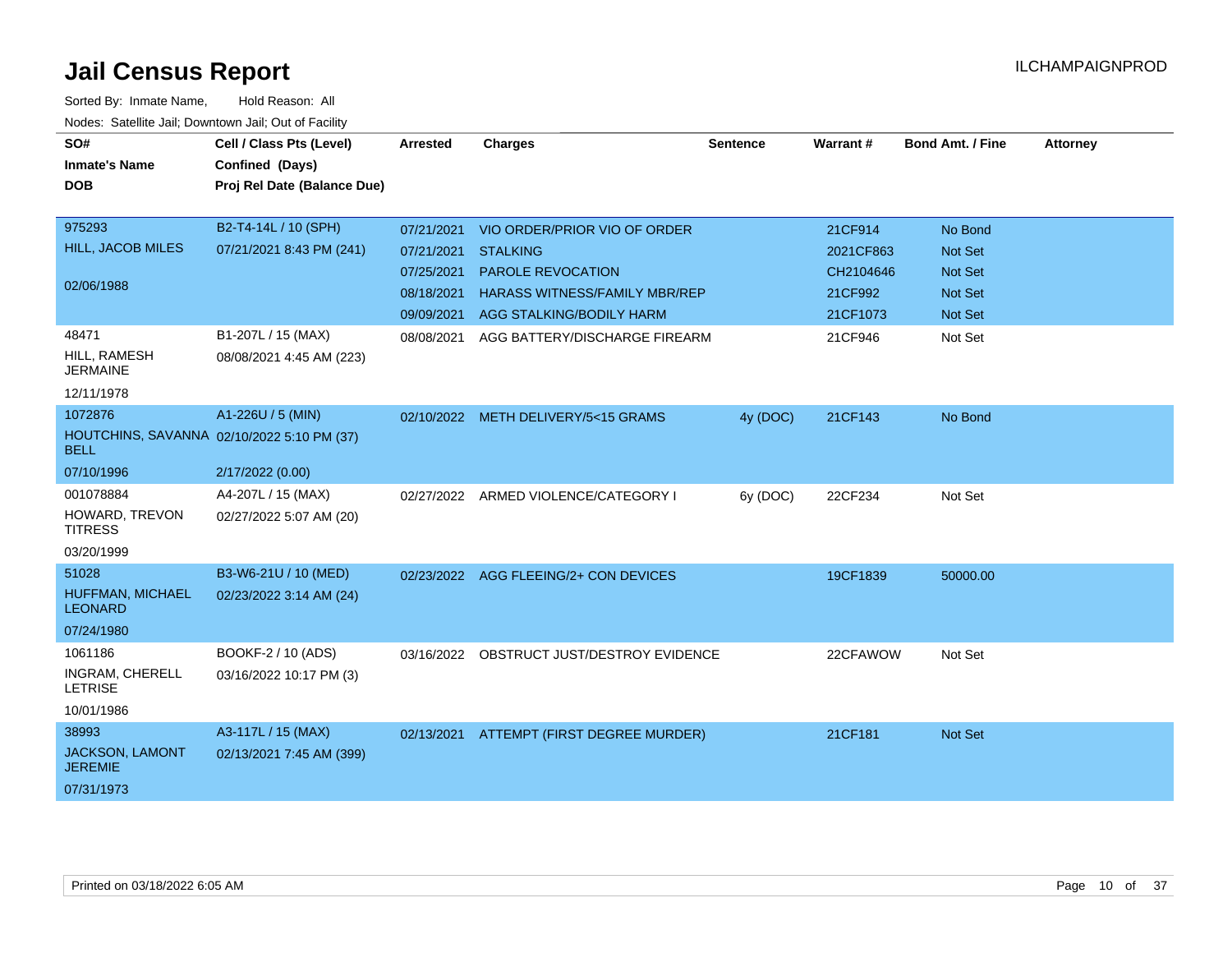| SO#                                                       | Cell / Class Pts (Level)    | Arrested   | <b>Charges</b>                            | <b>Sentence</b> | Warrant#  | <b>Bond Amt. / Fine</b> | <b>Attorney</b> |
|-----------------------------------------------------------|-----------------------------|------------|-------------------------------------------|-----------------|-----------|-------------------------|-----------------|
| <b>Inmate's Name</b>                                      | Confined (Days)             |            |                                           |                 |           |                         |                 |
| <b>DOB</b>                                                | Proj Rel Date (Balance Due) |            |                                           |                 |           |                         |                 |
|                                                           |                             |            |                                           |                 |           |                         |                 |
| 975293                                                    | B2-T4-14L / 10 (SPH)        | 07/21/2021 | VIO ORDER/PRIOR VIO OF ORDER              |                 | 21CF914   | No Bond                 |                 |
| HILL, JACOB MILES                                         | 07/21/2021 8:43 PM (241)    | 07/21/2021 | <b>STALKING</b>                           |                 | 2021CF863 | Not Set                 |                 |
| 02/06/1988                                                |                             | 07/25/2021 | PAROLE REVOCATION                         |                 | CH2104646 | <b>Not Set</b>          |                 |
|                                                           |                             | 08/18/2021 | HARASS WITNESS/FAMILY MBR/REP             |                 | 21CF992   | <b>Not Set</b>          |                 |
|                                                           |                             |            | 09/09/2021 AGG STALKING/BODILY HARM       |                 | 21CF1073  | Not Set                 |                 |
| 48471                                                     | B1-207L / 15 (MAX)          | 08/08/2021 | AGG BATTERY/DISCHARGE FIREARM             |                 | 21CF946   | Not Set                 |                 |
| HILL, RAMESH<br><b>JERMAINE</b>                           | 08/08/2021 4:45 AM (223)    |            |                                           |                 |           |                         |                 |
| 12/11/1978                                                |                             |            |                                           |                 |           |                         |                 |
| 1072876                                                   | A1-226U / 5 (MIN)           |            | 02/10/2022 METH DELIVERY/5<15 GRAMS       | 4y (DOC)        | 21CF143   | No Bond                 |                 |
| HOUTCHINS, SAVANNA 02/10/2022 5:10 PM (37)<br><b>BELL</b> |                             |            |                                           |                 |           |                         |                 |
| 07/10/1996                                                | 2/17/2022 (0.00)            |            |                                           |                 |           |                         |                 |
| 001078884                                                 | A4-207L / 15 (MAX)          |            | 02/27/2022 ARMED VIOLENCE/CATEGORY I      | 6y (DOC)        | 22CF234   | Not Set                 |                 |
| HOWARD, TREVON<br><b>TITRESS</b>                          | 02/27/2022 5:07 AM (20)     |            |                                           |                 |           |                         |                 |
| 03/20/1999                                                |                             |            |                                           |                 |           |                         |                 |
| 51028                                                     | B3-W6-21U / 10 (MED)        |            | 02/23/2022 AGG FLEEING/2+ CON DEVICES     |                 | 19CF1839  | 50000.00                |                 |
| HUFFMAN, MICHAEL<br><b>LEONARD</b>                        | 02/23/2022 3:14 AM (24)     |            |                                           |                 |           |                         |                 |
| 07/24/1980                                                |                             |            |                                           |                 |           |                         |                 |
| 1061186                                                   | BOOKF-2 / 10 (ADS)          |            | 03/16/2022 OBSTRUCT JUST/DESTROY EVIDENCE |                 | 22CFAWOW  | Not Set                 |                 |
| INGRAM, CHERELL<br><b>LETRISE</b>                         | 03/16/2022 10:17 PM (3)     |            |                                           |                 |           |                         |                 |
| 10/01/1986                                                |                             |            |                                           |                 |           |                         |                 |
| 38993                                                     | A3-117L / 15 (MAX)          | 02/13/2021 | ATTEMPT (FIRST DEGREE MURDER)             |                 | 21CF181   | <b>Not Set</b>          |                 |
| JACKSON, LAMONT<br><b>JEREMIE</b>                         | 02/13/2021 7:45 AM (399)    |            |                                           |                 |           |                         |                 |
| 07/31/1973                                                |                             |            |                                           |                 |           |                         |                 |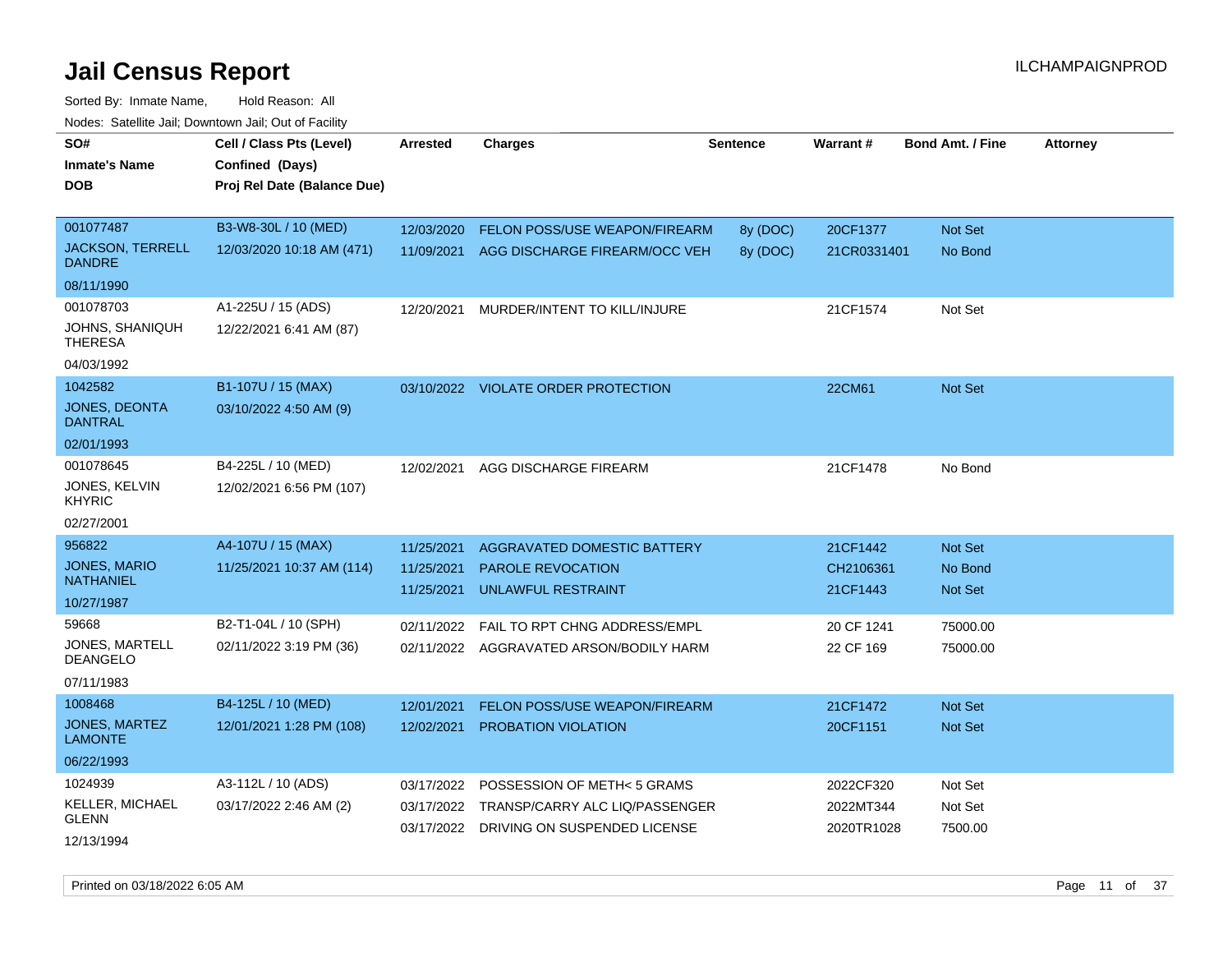| vouco. Catolino cali, Downtown cali, Out of Facility |                             |                 |                                         |                 |             |                         |                 |
|------------------------------------------------------|-----------------------------|-----------------|-----------------------------------------|-----------------|-------------|-------------------------|-----------------|
| SO#                                                  | Cell / Class Pts (Level)    | <b>Arrested</b> | <b>Charges</b>                          | <b>Sentence</b> | Warrant#    | <b>Bond Amt. / Fine</b> | <b>Attorney</b> |
| Inmate's Name                                        | Confined (Days)             |                 |                                         |                 |             |                         |                 |
| DOB                                                  | Proj Rel Date (Balance Due) |                 |                                         |                 |             |                         |                 |
|                                                      |                             |                 |                                         |                 |             |                         |                 |
| 001077487                                            | B3-W8-30L / 10 (MED)        | 12/03/2020      | FELON POSS/USE WEAPON/FIREARM           | 8y (DOC)        | 20CF1377    | Not Set                 |                 |
| <b>JACKSON, TERRELL</b><br><b>DANDRE</b>             | 12/03/2020 10:18 AM (471)   | 11/09/2021      | AGG DISCHARGE FIREARM/OCC VEH           | 8y (DOC)        | 21CR0331401 | No Bond                 |                 |
| 08/11/1990                                           |                             |                 |                                         |                 |             |                         |                 |
| 001078703                                            | A1-225U / 15 (ADS)          | 12/20/2021      | MURDER/INTENT TO KILL/INJURE            |                 | 21CF1574    | Not Set                 |                 |
| <b>JOHNS, SHANIQUH</b><br><b>THERESA</b>             | 12/22/2021 6:41 AM (87)     |                 |                                         |                 |             |                         |                 |
| 04/03/1992                                           |                             |                 |                                         |                 |             |                         |                 |
| 1042582                                              | B1-107U / 15 (MAX)          |                 | 03/10/2022 VIOLATE ORDER PROTECTION     |                 | 22CM61      | Not Set                 |                 |
| JONES, DEONTA<br>DANTRAL                             | 03/10/2022 4:50 AM (9)      |                 |                                         |                 |             |                         |                 |
| 02/01/1993                                           |                             |                 |                                         |                 |             |                         |                 |
| 001078645                                            | B4-225L / 10 (MED)          | 12/02/2021      | AGG DISCHARGE FIREARM                   |                 | 21CF1478    | No Bond                 |                 |
| JONES, KELVIN<br><b>KHYRIC</b>                       | 12/02/2021 6:56 PM (107)    |                 |                                         |                 |             |                         |                 |
| 02/27/2001                                           |                             |                 |                                         |                 |             |                         |                 |
| 956822                                               | A4-107U / 15 (MAX)          | 11/25/2021      | AGGRAVATED DOMESTIC BATTERY             |                 | 21CF1442    | Not Set                 |                 |
| <b>JONES, MARIO</b>                                  | 11/25/2021 10:37 AM (114)   | 11/25/2021      | <b>PAROLE REVOCATION</b>                |                 | CH2106361   | No Bond                 |                 |
| <b>NATHANIEL</b>                                     |                             | 11/25/2021      | UNLAWFUL RESTRAINT                      |                 | 21CF1443    | <b>Not Set</b>          |                 |
| 10/27/1987                                           |                             |                 |                                         |                 |             |                         |                 |
| 59668                                                | B2-T1-04L / 10 (SPH)        | 02/11/2022      | <b>FAIL TO RPT CHNG ADDRESS/EMPL</b>    |                 | 20 CF 1241  | 75000.00                |                 |
| <b>JONES, MARTELL</b><br><b>DEANGELO</b>             | 02/11/2022 3:19 PM (36)     |                 | 02/11/2022 AGGRAVATED ARSON/BODILY HARM |                 | 22 CF 169   | 75000.00                |                 |
| 07/11/1983                                           |                             |                 |                                         |                 |             |                         |                 |
| 1008468                                              | B4-125L / 10 (MED)          | 12/01/2021      | FELON POSS/USE WEAPON/FIREARM           |                 | 21CF1472    | <b>Not Set</b>          |                 |
| <b>JONES, MARTEZ</b><br><b>LAMONTE</b>               | 12/01/2021 1:28 PM (108)    | 12/02/2021      | PROBATION VIOLATION                     |                 | 20CF1151    | <b>Not Set</b>          |                 |
| 06/22/1993                                           |                             |                 |                                         |                 |             |                         |                 |
| 1024939                                              | A3-112L / 10 (ADS)          | 03/17/2022      | POSSESSION OF METH< 5 GRAMS             |                 | 2022CF320   | Not Set                 |                 |
| KELLER, MICHAEL<br><b>GLENN</b>                      | 03/17/2022 2:46 AM (2)      | 03/17/2022      | TRANSP/CARRY ALC LIQ/PASSENGER          |                 | 2022MT344   | Not Set                 |                 |
| 12/13/1994                                           |                             |                 | 03/17/2022 DRIVING ON SUSPENDED LICENSE |                 | 2020TR1028  | 7500.00                 |                 |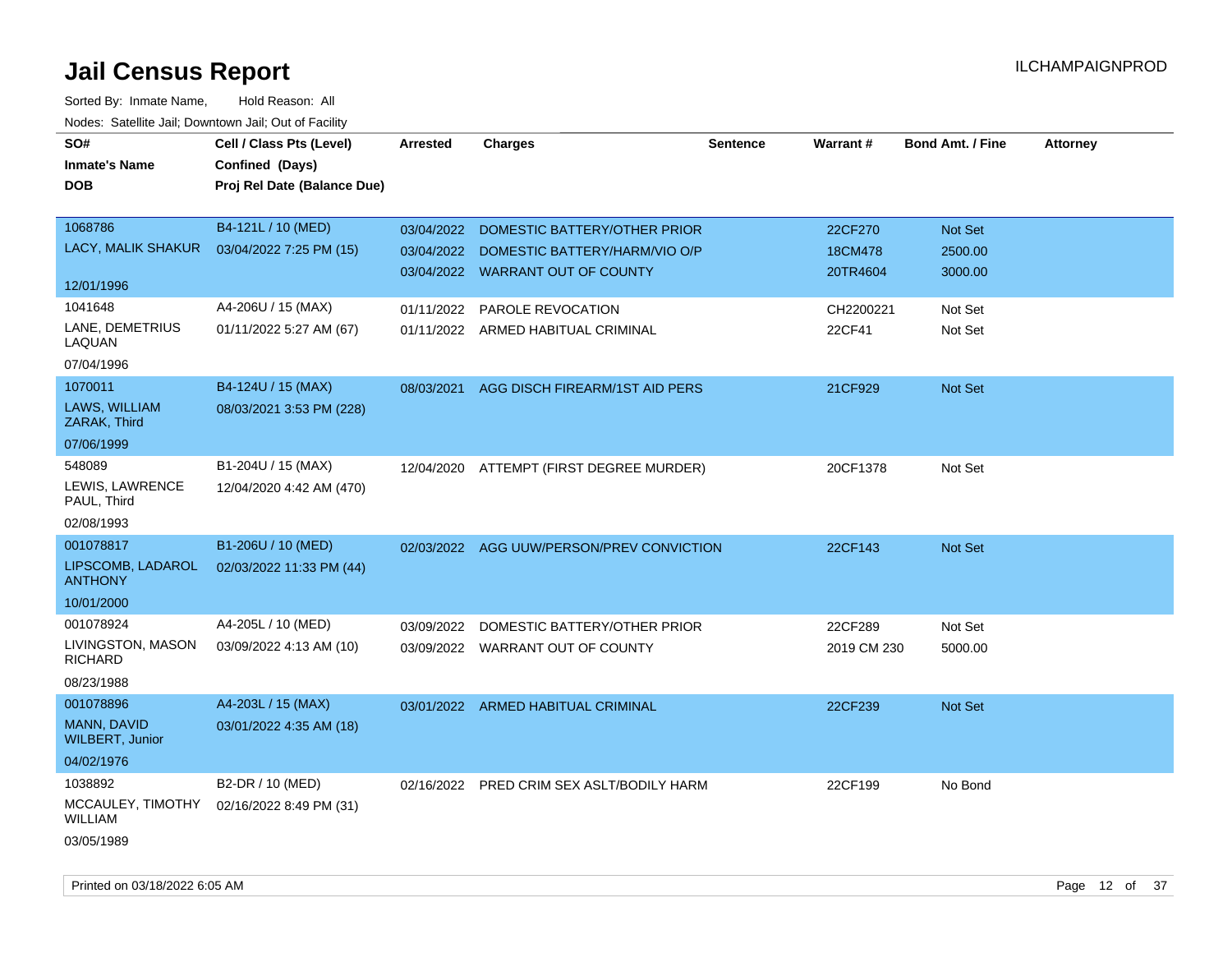| roaco. Oatomto dan, Downtown dan, Oat or Fability |                             |            |                                           |                 |             |                         |                 |
|---------------------------------------------------|-----------------------------|------------|-------------------------------------------|-----------------|-------------|-------------------------|-----------------|
| SO#                                               | Cell / Class Pts (Level)    | Arrested   | <b>Charges</b>                            | <b>Sentence</b> | Warrant#    | <b>Bond Amt. / Fine</b> | <b>Attorney</b> |
| <b>Inmate's Name</b>                              | Confined (Days)             |            |                                           |                 |             |                         |                 |
| <b>DOB</b>                                        | Proj Rel Date (Balance Due) |            |                                           |                 |             |                         |                 |
|                                                   |                             |            |                                           |                 |             |                         |                 |
| 1068786                                           | B4-121L / 10 (MED)          | 03/04/2022 | DOMESTIC BATTERY/OTHER PRIOR              |                 | 22CF270     | Not Set                 |                 |
| LACY, MALIK SHAKUR                                | 03/04/2022 7:25 PM (15)     |            | 03/04/2022 DOMESTIC BATTERY/HARM/VIO O/P  |                 | 18CM478     | 2500.00                 |                 |
|                                                   |                             |            | 03/04/2022 WARRANT OUT OF COUNTY          |                 | 20TR4604    | 3000.00                 |                 |
| 12/01/1996                                        |                             |            |                                           |                 |             |                         |                 |
| 1041648                                           | A4-206U / 15 (MAX)          |            | 01/11/2022 PAROLE REVOCATION              |                 | CH2200221   | Not Set                 |                 |
| LANE, DEMETRIUS<br>LAQUAN                         | 01/11/2022 5:27 AM (67)     |            | 01/11/2022 ARMED HABITUAL CRIMINAL        |                 | 22CF41      | Not Set                 |                 |
| 07/04/1996                                        |                             |            |                                           |                 |             |                         |                 |
| 1070011                                           | B4-124U / 15 (MAX)          | 08/03/2021 | AGG DISCH FIREARM/1ST AID PERS            |                 | 21CF929     | <b>Not Set</b>          |                 |
| LAWS, WILLIAM<br>ZARAK, Third                     | 08/03/2021 3:53 PM (228)    |            |                                           |                 |             |                         |                 |
| 07/06/1999                                        |                             |            |                                           |                 |             |                         |                 |
| 548089                                            | B1-204U / 15 (MAX)          | 12/04/2020 | ATTEMPT (FIRST DEGREE MURDER)             |                 | 20CF1378    | Not Set                 |                 |
| LEWIS, LAWRENCE<br>PAUL, Third                    | 12/04/2020 4:42 AM (470)    |            |                                           |                 |             |                         |                 |
| 02/08/1993                                        |                             |            |                                           |                 |             |                         |                 |
| 001078817                                         | B1-206U / 10 (MED)          |            | 02/03/2022 AGG UUW/PERSON/PREV CONVICTION |                 | 22CF143     | Not Set                 |                 |
| LIPSCOMB, LADAROL<br><b>ANTHONY</b>               | 02/03/2022 11:33 PM (44)    |            |                                           |                 |             |                         |                 |
| 10/01/2000                                        |                             |            |                                           |                 |             |                         |                 |
| 001078924                                         | A4-205L / 10 (MED)          |            | 03/09/2022 DOMESTIC BATTERY/OTHER PRIOR   |                 | 22CF289     | Not Set                 |                 |
| LIVINGSTON, MASON<br><b>RICHARD</b>               | 03/09/2022 4:13 AM (10)     |            | 03/09/2022 WARRANT OUT OF COUNTY          |                 | 2019 CM 230 | 5000.00                 |                 |
| 08/23/1988                                        |                             |            |                                           |                 |             |                         |                 |
| 001078896                                         | A4-203L / 15 (MAX)          |            | 03/01/2022 ARMED HABITUAL CRIMINAL        |                 | 22CF239     | Not Set                 |                 |
| MANN, DAVID<br><b>WILBERT, Junior</b>             | 03/01/2022 4:35 AM (18)     |            |                                           |                 |             |                         |                 |
| 04/02/1976                                        |                             |            |                                           |                 |             |                         |                 |
| 1038892                                           | B2-DR / 10 (MED)            |            | 02/16/2022 PRED CRIM SEX ASLT/BODILY HARM |                 | 22CF199     | No Bond                 |                 |
| MCCAULEY, TIMOTHY<br><b>WILLIAM</b>               | 02/16/2022 8:49 PM (31)     |            |                                           |                 |             |                         |                 |
| 03/05/1989                                        |                             |            |                                           |                 |             |                         |                 |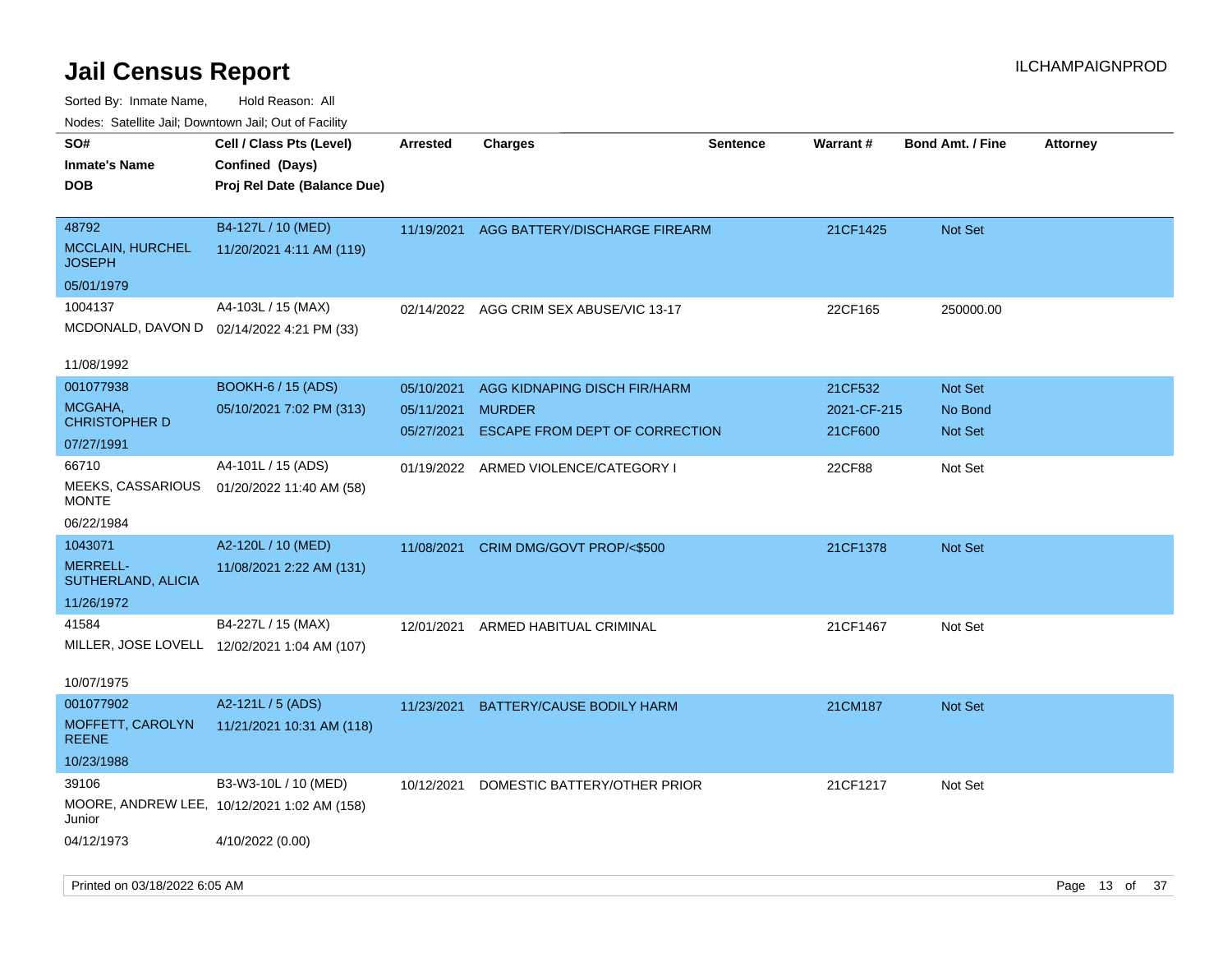| ivodes. Satellite Jali, Downtown Jali, Out of Facility<br>SO# | Cell / Class Pts (Level)                     | <b>Arrested</b> | <b>Charges</b>                           | <b>Sentence</b> | Warrant#    | <b>Bond Amt. / Fine</b> | <b>Attorney</b> |
|---------------------------------------------------------------|----------------------------------------------|-----------------|------------------------------------------|-----------------|-------------|-------------------------|-----------------|
| Inmate's Name                                                 | Confined (Days)                              |                 |                                          |                 |             |                         |                 |
| <b>DOB</b>                                                    | Proj Rel Date (Balance Due)                  |                 |                                          |                 |             |                         |                 |
|                                                               |                                              |                 |                                          |                 |             |                         |                 |
| 48792                                                         | B4-127L / 10 (MED)                           |                 | 11/19/2021 AGG BATTERY/DISCHARGE FIREARM |                 | 21CF1425    | <b>Not Set</b>          |                 |
| <b>MCCLAIN, HURCHEL</b><br>JOSEPH                             | 11/20/2021 4:11 AM (119)                     |                 |                                          |                 |             |                         |                 |
| 05/01/1979                                                    |                                              |                 |                                          |                 |             |                         |                 |
| 1004137                                                       | A4-103L / 15 (MAX)                           | 02/14/2022      | AGG CRIM SEX ABUSE/VIC 13-17             |                 | 22CF165     | 250000.00               |                 |
|                                                               | MCDONALD, DAVON D 02/14/2022 4:21 PM (33)    |                 |                                          |                 |             |                         |                 |
| 11/08/1992                                                    |                                              |                 |                                          |                 |             |                         |                 |
| 001077938                                                     | <b>BOOKH-6 / 15 (ADS)</b>                    |                 |                                          |                 |             |                         |                 |
| MCGAHA,                                                       |                                              | 05/10/2021      | AGG KIDNAPING DISCH FIR/HARM             |                 | 21CF532     | <b>Not Set</b>          |                 |
| CHRISTOPHER D                                                 | 05/10/2021 7:02 PM (313)                     | 05/11/2021      | <b>MURDER</b>                            |                 | 2021-CF-215 | No Bond                 |                 |
| 07/27/1991                                                    |                                              | 05/27/2021      | ESCAPE FROM DEPT OF CORRECTION           |                 | 21CF600     | <b>Not Set</b>          |                 |
| 66710                                                         | A4-101L / 15 (ADS)                           |                 | 01/19/2022 ARMED VIOLENCE/CATEGORY I     |                 | 22CF88      | Not Set                 |                 |
| <b>MEEKS, CASSARIOUS</b><br>MONTE                             | 01/20/2022 11:40 AM (58)                     |                 |                                          |                 |             |                         |                 |
| 06/22/1984                                                    |                                              |                 |                                          |                 |             |                         |                 |
| 1043071                                                       | A2-120L / 10 (MED)                           |                 | 11/08/2021 CRIM DMG/GOVT PROP/<\$500     |                 | 21CF1378    | <b>Not Set</b>          |                 |
| <b>MERRELL-</b><br>SUTHERLAND, ALICIA                         | 11/08/2021 2:22 AM (131)                     |                 |                                          |                 |             |                         |                 |
| 11/26/1972                                                    |                                              |                 |                                          |                 |             |                         |                 |
| 41584                                                         | B4-227L / 15 (MAX)                           | 12/01/2021      | ARMED HABITUAL CRIMINAL                  |                 | 21CF1467    | Not Set                 |                 |
|                                                               | MILLER, JOSE LOVELL 12/02/2021 1:04 AM (107) |                 |                                          |                 |             |                         |                 |
| 10/07/1975                                                    |                                              |                 |                                          |                 |             |                         |                 |
| 001077902                                                     | A2-121L / 5 (ADS)                            |                 | 11/23/2021 BATTERY/CAUSE BODILY HARM     |                 |             |                         |                 |
| MOFFETT, CAROLYN                                              | 11/21/2021 10:31 AM (118)                    |                 |                                          |                 | 21CM187     | <b>Not Set</b>          |                 |
| REENE                                                         |                                              |                 |                                          |                 |             |                         |                 |
| 10/23/1988                                                    |                                              |                 |                                          |                 |             |                         |                 |
| 39106                                                         | B3-W3-10L / 10 (MED)                         | 10/12/2021      | DOMESTIC BATTERY/OTHER PRIOR             |                 | 21CF1217    | Not Set                 |                 |
| Junior                                                        | MOORE, ANDREW LEE, 10/12/2021 1:02 AM (158)  |                 |                                          |                 |             |                         |                 |
| 04/12/1973                                                    | 4/10/2022 (0.00)                             |                 |                                          |                 |             |                         |                 |
|                                                               |                                              |                 |                                          |                 |             |                         |                 |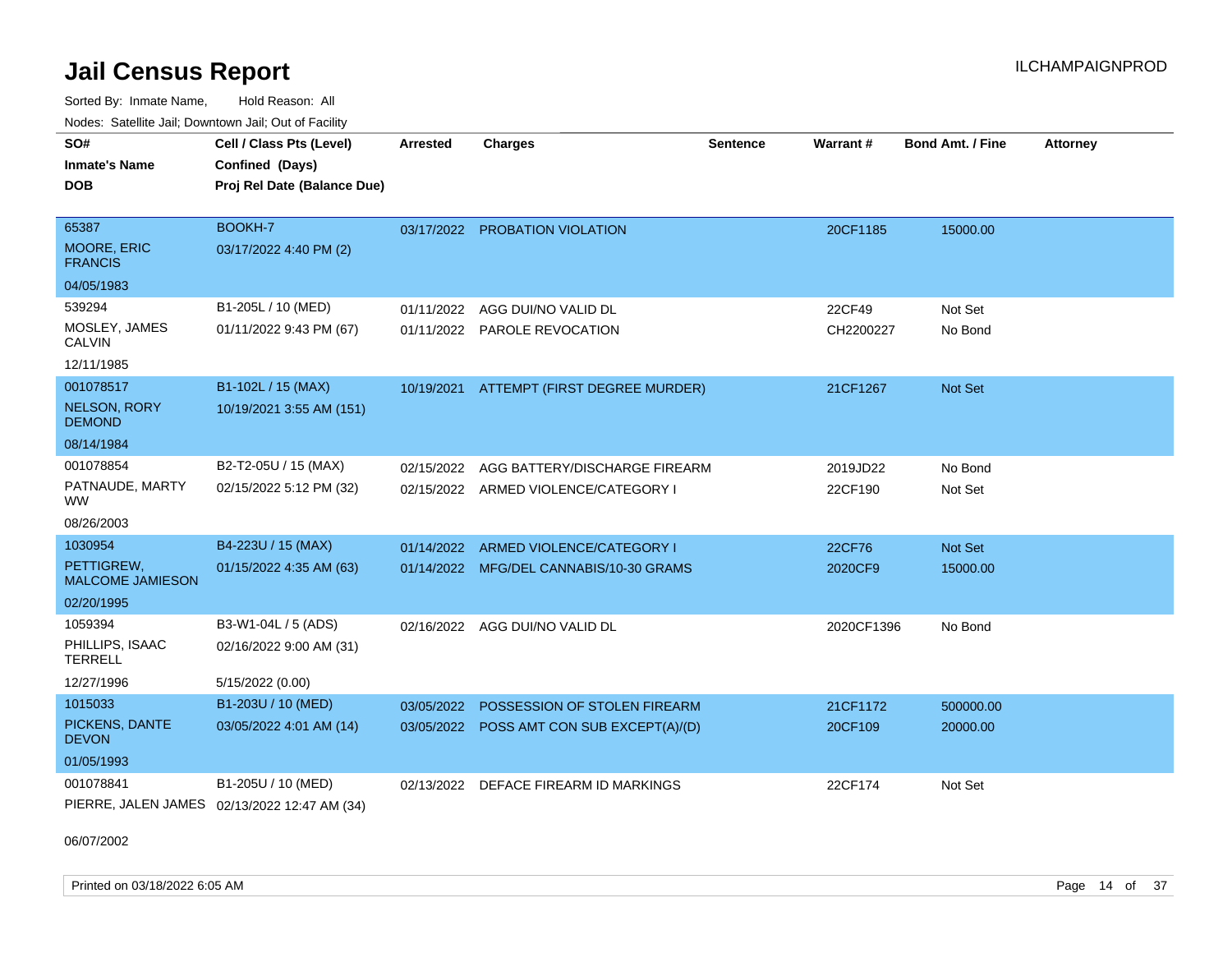Sorted By: Inmate Name, Hold Reason: All Nodes: Satellite Jail; Downtown Jail; Out of Facility

| <b>HOUGO:</b> Outomto bail, Downtown bail, Out of Fability |                                              |            |                                           |                 |                 |                         |                 |
|------------------------------------------------------------|----------------------------------------------|------------|-------------------------------------------|-----------------|-----------------|-------------------------|-----------------|
| SO#                                                        | Cell / Class Pts (Level)                     | Arrested   | <b>Charges</b>                            | <b>Sentence</b> | <b>Warrant#</b> | <b>Bond Amt. / Fine</b> | <b>Attorney</b> |
| <b>Inmate's Name</b>                                       | Confined (Days)                              |            |                                           |                 |                 |                         |                 |
| <b>DOB</b>                                                 | Proj Rel Date (Balance Due)                  |            |                                           |                 |                 |                         |                 |
|                                                            |                                              |            |                                           |                 |                 |                         |                 |
| 65387                                                      | BOOKH-7                                      |            | 03/17/2022 PROBATION VIOLATION            |                 | 20CF1185        | 15000.00                |                 |
| <b>MOORE, ERIC</b><br><b>FRANCIS</b>                       | 03/17/2022 4:40 PM (2)                       |            |                                           |                 |                 |                         |                 |
| 04/05/1983                                                 |                                              |            |                                           |                 |                 |                         |                 |
| 539294                                                     | B1-205L / 10 (MED)                           | 01/11/2022 | AGG DUI/NO VALID DL                       |                 | 22CF49          | Not Set                 |                 |
| MOSLEY, JAMES<br><b>CALVIN</b>                             | 01/11/2022 9:43 PM (67)                      |            | 01/11/2022 PAROLE REVOCATION              |                 | CH2200227       | No Bond                 |                 |
| 12/11/1985                                                 |                                              |            |                                           |                 |                 |                         |                 |
| 001078517                                                  | B1-102L / 15 (MAX)                           |            | 10/19/2021 ATTEMPT (FIRST DEGREE MURDER)  |                 | 21CF1267        | Not Set                 |                 |
| <b>NELSON, RORY</b><br><b>DEMOND</b>                       | 10/19/2021 3:55 AM (151)                     |            |                                           |                 |                 |                         |                 |
| 08/14/1984                                                 |                                              |            |                                           |                 |                 |                         |                 |
| 001078854                                                  | B2-T2-05U / 15 (MAX)                         | 02/15/2022 | AGG BATTERY/DISCHARGE FIREARM             |                 | 2019JD22        | No Bond                 |                 |
| PATNAUDE, MARTY<br><b>WW</b>                               | 02/15/2022 5:12 PM (32)                      |            | 02/15/2022 ARMED VIOLENCE/CATEGORY I      |                 | 22CF190         | Not Set                 |                 |
| 08/26/2003                                                 |                                              |            |                                           |                 |                 |                         |                 |
| 1030954                                                    | B4-223U / 15 (MAX)                           | 01/14/2022 | ARMED VIOLENCE/CATEGORY I                 |                 | 22CF76          | Not Set                 |                 |
| PETTIGREW.<br><b>MALCOME JAMIESON</b>                      | 01/15/2022 4:35 AM (63)                      |            | 01/14/2022 MFG/DEL CANNABIS/10-30 GRAMS   |                 | 2020CF9         | 15000.00                |                 |
| 02/20/1995                                                 |                                              |            |                                           |                 |                 |                         |                 |
| 1059394                                                    | B3-W1-04L / 5 (ADS)                          |            | 02/16/2022 AGG DUI/NO VALID DL            |                 | 2020CF1396      | No Bond                 |                 |
| PHILLIPS, ISAAC<br><b>TERRELL</b>                          | 02/16/2022 9:00 AM (31)                      |            |                                           |                 |                 |                         |                 |
| 12/27/1996                                                 | 5/15/2022 (0.00)                             |            |                                           |                 |                 |                         |                 |
| 1015033                                                    | B1-203U / 10 (MED)                           | 03/05/2022 | POSSESSION OF STOLEN FIREARM              |                 | 21CF1172        | 500000.00               |                 |
| PICKENS, DANTE<br><b>DEVON</b>                             | 03/05/2022 4:01 AM (14)                      |            | 03/05/2022 POSS AMT CON SUB EXCEPT(A)/(D) |                 | 20CF109         | 20000.00                |                 |
| 01/05/1993                                                 |                                              |            |                                           |                 |                 |                         |                 |
| 001078841                                                  | B1-205U / 10 (MED)                           | 02/13/2022 | DEFACE FIREARM ID MARKINGS                |                 | 22CF174         | Not Set                 |                 |
|                                                            | PIERRE, JALEN JAMES 02/13/2022 12:47 AM (34) |            |                                           |                 |                 |                         |                 |

06/07/2002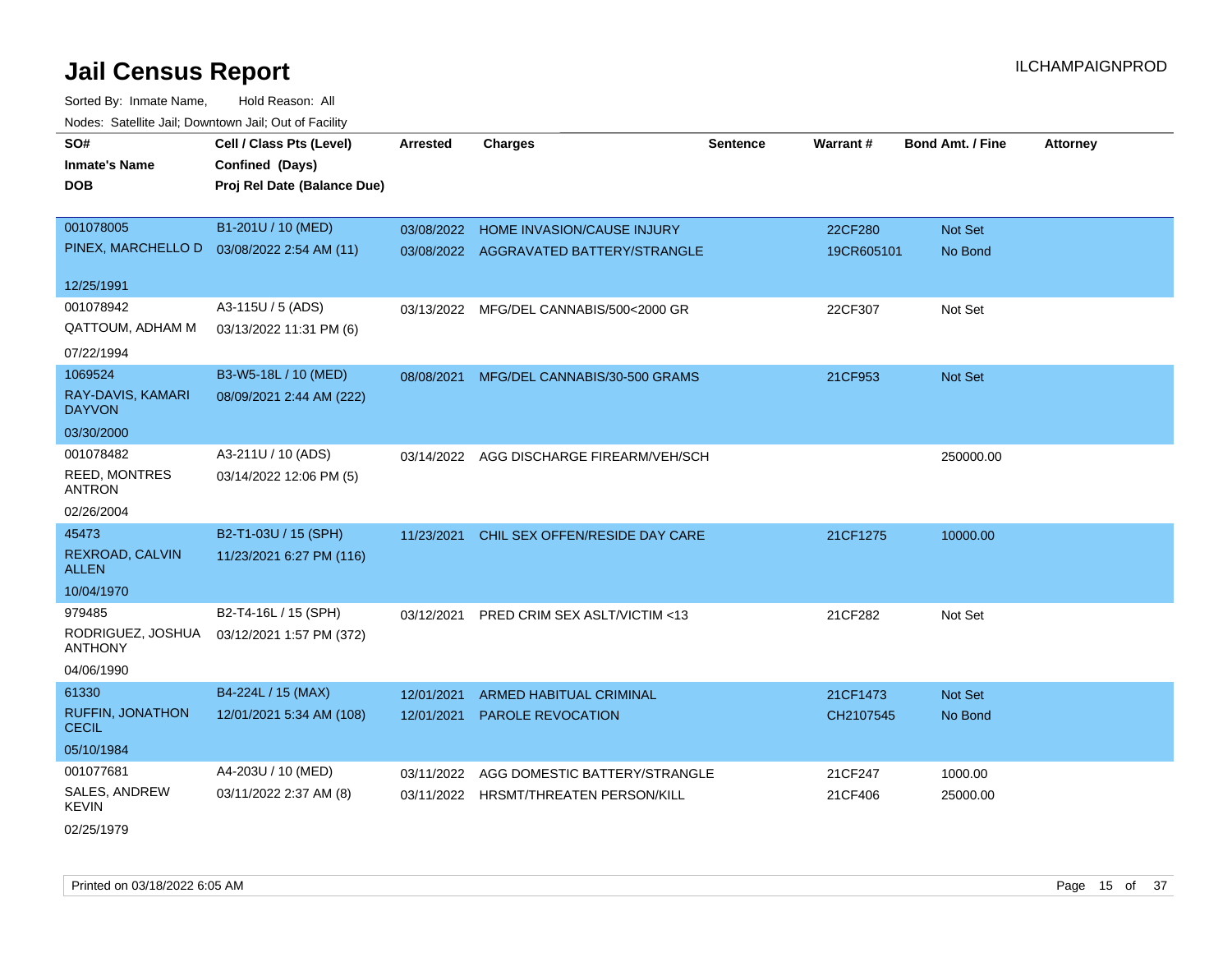| SO#                             | Cell / Class Pts (Level)    | <b>Arrested</b> | <b>Charges</b>                         | <b>Sentence</b> | Warrant#   | <b>Bond Amt. / Fine</b> | <b>Attorney</b> |
|---------------------------------|-----------------------------|-----------------|----------------------------------------|-----------------|------------|-------------------------|-----------------|
| <b>Inmate's Name</b>            | Confined (Days)             |                 |                                        |                 |            |                         |                 |
| <b>DOB</b>                      | Proj Rel Date (Balance Due) |                 |                                        |                 |            |                         |                 |
|                                 |                             |                 |                                        |                 |            |                         |                 |
| 001078005                       | B1-201U / 10 (MED)          |                 | 03/08/2022 HOME INVASION/CAUSE INJURY  |                 | 22CF280    | Not Set                 |                 |
| PINEX, MARCHELLO D              | 03/08/2022 2:54 AM (11)     |                 | 03/08/2022 AGGRAVATED BATTERY/STRANGLE |                 | 19CR605101 | No Bond                 |                 |
| 12/25/1991                      |                             |                 |                                        |                 |            |                         |                 |
| 001078942                       | A3-115U / 5 (ADS)           | 03/13/2022      | MFG/DEL CANNABIS/500<2000 GR           |                 | 22CF307    | Not Set                 |                 |
| <b>QATTOUM, ADHAM M</b>         | 03/13/2022 11:31 PM (6)     |                 |                                        |                 |            |                         |                 |
| 07/22/1994                      |                             |                 |                                        |                 |            |                         |                 |
| 1069524                         | B3-W5-18L / 10 (MED)        | 08/08/2021      | MFG/DEL CANNABIS/30-500 GRAMS          |                 | 21CF953    | <b>Not Set</b>          |                 |
| RAY-DAVIS, KAMARI               | 08/09/2021 2:44 AM (222)    |                 |                                        |                 |            |                         |                 |
| <b>DAYVON</b>                   |                             |                 |                                        |                 |            |                         |                 |
| 03/30/2000                      |                             |                 |                                        |                 |            |                         |                 |
| 001078482                       | A3-211U / 10 (ADS)          | 03/14/2022      | AGG DISCHARGE FIREARM/VEH/SCH          |                 |            | 250000.00               |                 |
| <b>REED, MONTRES</b>            | 03/14/2022 12:06 PM (5)     |                 |                                        |                 |            |                         |                 |
| <b>ANTRON</b>                   |                             |                 |                                        |                 |            |                         |                 |
| 02/26/2004                      |                             |                 |                                        |                 |            |                         |                 |
| 45473                           | B2-T1-03U / 15 (SPH)        | 11/23/2021      | CHIL SEX OFFEN/RESIDE DAY CARE         |                 | 21CF1275   | 10000.00                |                 |
| REXROAD, CALVIN<br><b>ALLEN</b> | 11/23/2021 6:27 PM (116)    |                 |                                        |                 |            |                         |                 |
| 10/04/1970                      |                             |                 |                                        |                 |            |                         |                 |
| 979485                          | B2-T4-16L / 15 (SPH)        |                 |                                        |                 |            |                         |                 |
| RODRIGUEZ, JOSHUA               |                             | 03/12/2021      | PRED CRIM SEX ASLT/VICTIM <13          |                 | 21CF282    | Not Set                 |                 |
| <b>ANTHONY</b>                  | 03/12/2021 1:57 PM (372)    |                 |                                        |                 |            |                         |                 |
| 04/06/1990                      |                             |                 |                                        |                 |            |                         |                 |
| 61330                           | B4-224L / 15 (MAX)          | 12/01/2021      | ARMED HABITUAL CRIMINAL                |                 | 21CF1473   | Not Set                 |                 |
| <b>RUFFIN, JONATHON</b>         | 12/01/2021 5:34 AM (108)    |                 | 12/01/2021 PAROLE REVOCATION           |                 | CH2107545  | No Bond                 |                 |
| <b>CECIL</b>                    |                             |                 |                                        |                 |            |                         |                 |
| 05/10/1984                      |                             |                 |                                        |                 |            |                         |                 |
| 001077681                       | A4-203U / 10 (MED)          | 03/11/2022      | AGG DOMESTIC BATTERY/STRANGLE          |                 | 21CF247    | 1000.00                 |                 |
| SALES, ANDREW<br>KEVIN          | 03/11/2022 2:37 AM (8)      | 03/11/2022      | HRSMT/THREATEN PERSON/KILL             |                 | 21CF406    | 25000.00                |                 |
| 02/25/1979                      |                             |                 |                                        |                 |            |                         |                 |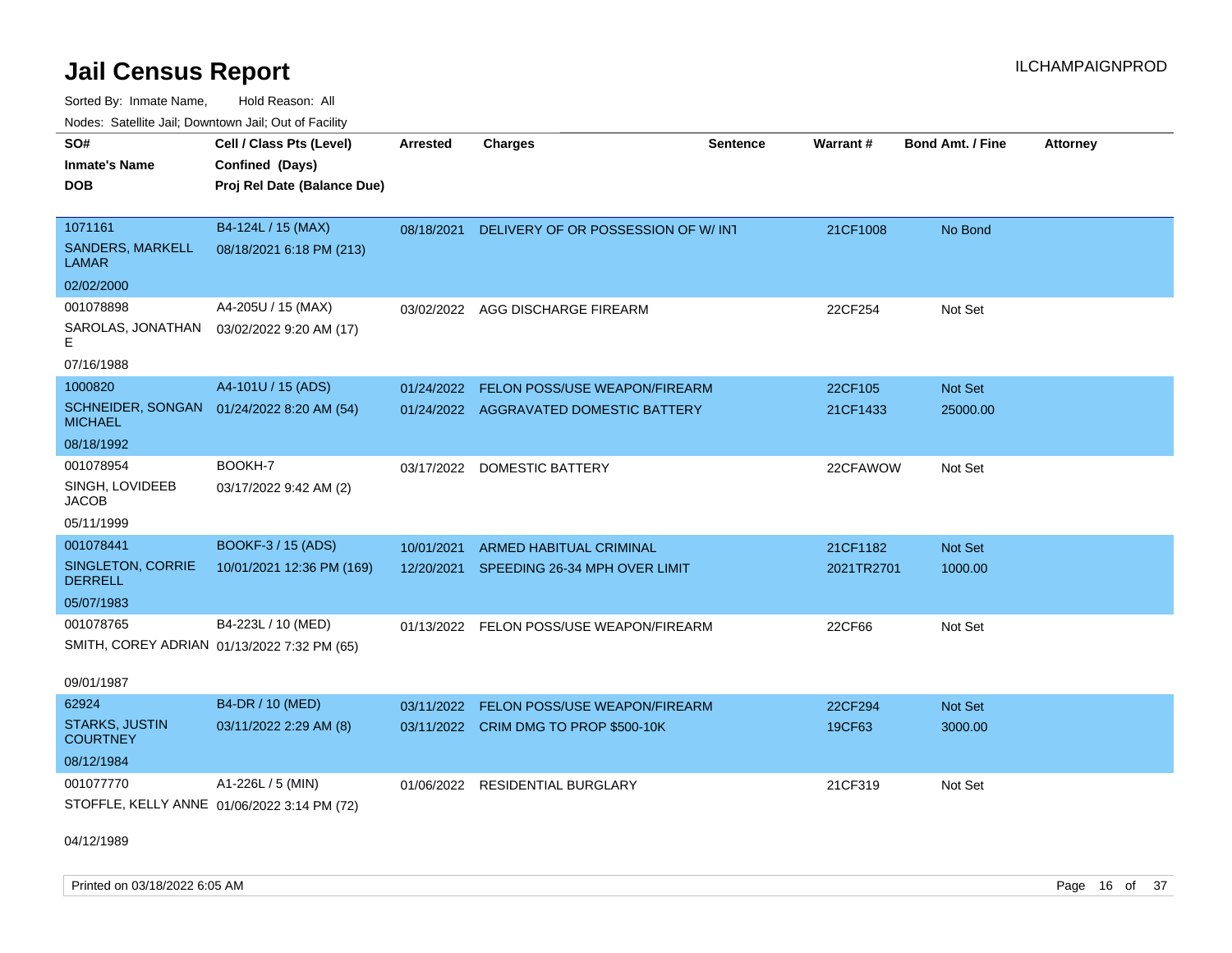Sorted By: Inmate Name, Hold Reason: All

|                                         | Nodes: Satellite Jail; Downtown Jail; Out of Facility |                 |                                          |          |            |                         |                 |  |  |
|-----------------------------------------|-------------------------------------------------------|-----------------|------------------------------------------|----------|------------|-------------------------|-----------------|--|--|
| SO#                                     | Cell / Class Pts (Level)                              | <b>Arrested</b> | <b>Charges</b>                           | Sentence | Warrant#   | <b>Bond Amt. / Fine</b> | <b>Attorney</b> |  |  |
| <b>Inmate's Name</b>                    | Confined (Days)                                       |                 |                                          |          |            |                         |                 |  |  |
| <b>DOB</b>                              | Proj Rel Date (Balance Due)                           |                 |                                          |          |            |                         |                 |  |  |
|                                         |                                                       |                 |                                          |          |            |                         |                 |  |  |
| 1071161                                 | B4-124L / 15 (MAX)                                    | 08/18/2021      | DELIVERY OF OR POSSESSION OF W/ INT      |          | 21CF1008   | No Bond                 |                 |  |  |
| <b>SANDERS, MARKELL</b><br><b>LAMAR</b> | 08/18/2021 6:18 PM (213)                              |                 |                                          |          |            |                         |                 |  |  |
| 02/02/2000                              |                                                       |                 |                                          |          |            |                         |                 |  |  |
| 001078898                               | A4-205U / 15 (MAX)                                    | 03/02/2022      | AGG DISCHARGE FIREARM                    |          | 22CF254    | Not Set                 |                 |  |  |
| SAROLAS, JONATHAN<br>Е                  | 03/02/2022 9:20 AM (17)                               |                 |                                          |          |            |                         |                 |  |  |
| 07/16/1988                              |                                                       |                 |                                          |          |            |                         |                 |  |  |
| 1000820                                 | A4-101U / 15 (ADS)                                    | 01/24/2022      | FELON POSS/USE WEAPON/FIREARM            |          | 22CF105    | Not Set                 |                 |  |  |
| SCHNEIDER, SONGAN<br><b>MICHAEL</b>     | 01/24/2022 8:20 AM (54)                               |                 | 01/24/2022 AGGRAVATED DOMESTIC BATTERY   |          | 21CF1433   | 25000.00                |                 |  |  |
| 08/18/1992                              |                                                       |                 |                                          |          |            |                         |                 |  |  |
| 001078954                               | BOOKH-7                                               | 03/17/2022      | <b>DOMESTIC BATTERY</b>                  |          | 22CFAWOW   | Not Set                 |                 |  |  |
| SINGH, LOVIDEEB<br><b>JACOB</b>         | 03/17/2022 9:42 AM (2)                                |                 |                                          |          |            |                         |                 |  |  |
| 05/11/1999                              |                                                       |                 |                                          |          |            |                         |                 |  |  |
| 001078441                               | BOOKF-3 / 15 (ADS)                                    | 10/01/2021      | ARMED HABITUAL CRIMINAL                  |          | 21CF1182   | <b>Not Set</b>          |                 |  |  |
| SINGLETON, CORRIE<br><b>DERRELL</b>     | 10/01/2021 12:36 PM (169)                             |                 | 12/20/2021 SPEEDING 26-34 MPH OVER LIMIT |          | 2021TR2701 | 1000.00                 |                 |  |  |
| 05/07/1983                              |                                                       |                 |                                          |          |            |                         |                 |  |  |
| 001078765                               | B4-223L / 10 (MED)                                    |                 | 01/13/2022 FELON POSS/USE WEAPON/FIREARM |          | 22CF66     | Not Set                 |                 |  |  |
|                                         | SMITH, COREY ADRIAN 01/13/2022 7:32 PM (65)           |                 |                                          |          |            |                         |                 |  |  |
| 09/01/1987                              |                                                       |                 |                                          |          |            |                         |                 |  |  |
| 62924                                   | B4-DR / 10 (MED)                                      | 03/11/2022      | <b>FELON POSS/USE WEAPON/FIREARM</b>     |          | 22CF294    | <b>Not Set</b>          |                 |  |  |
| <b>STARKS, JUSTIN</b>                   | 03/11/2022 2:29 AM (8)                                |                 | 03/11/2022 CRIM DMG TO PROP \$500-10K    |          | 19CF63     | 3000.00                 |                 |  |  |
| <b>COURTNEY</b>                         |                                                       |                 |                                          |          |            |                         |                 |  |  |
| 08/12/1984                              |                                                       |                 |                                          |          |            |                         |                 |  |  |
| 001077770                               | A1-226L / 5 (MIN)                                     |                 | 01/06/2022 RESIDENTIAL BURGLARY          |          | 21CF319    | Not Set                 |                 |  |  |
|                                         | STOFFLE, KELLY ANNE 01/06/2022 3:14 PM (72)           |                 |                                          |          |            |                         |                 |  |  |

04/12/1989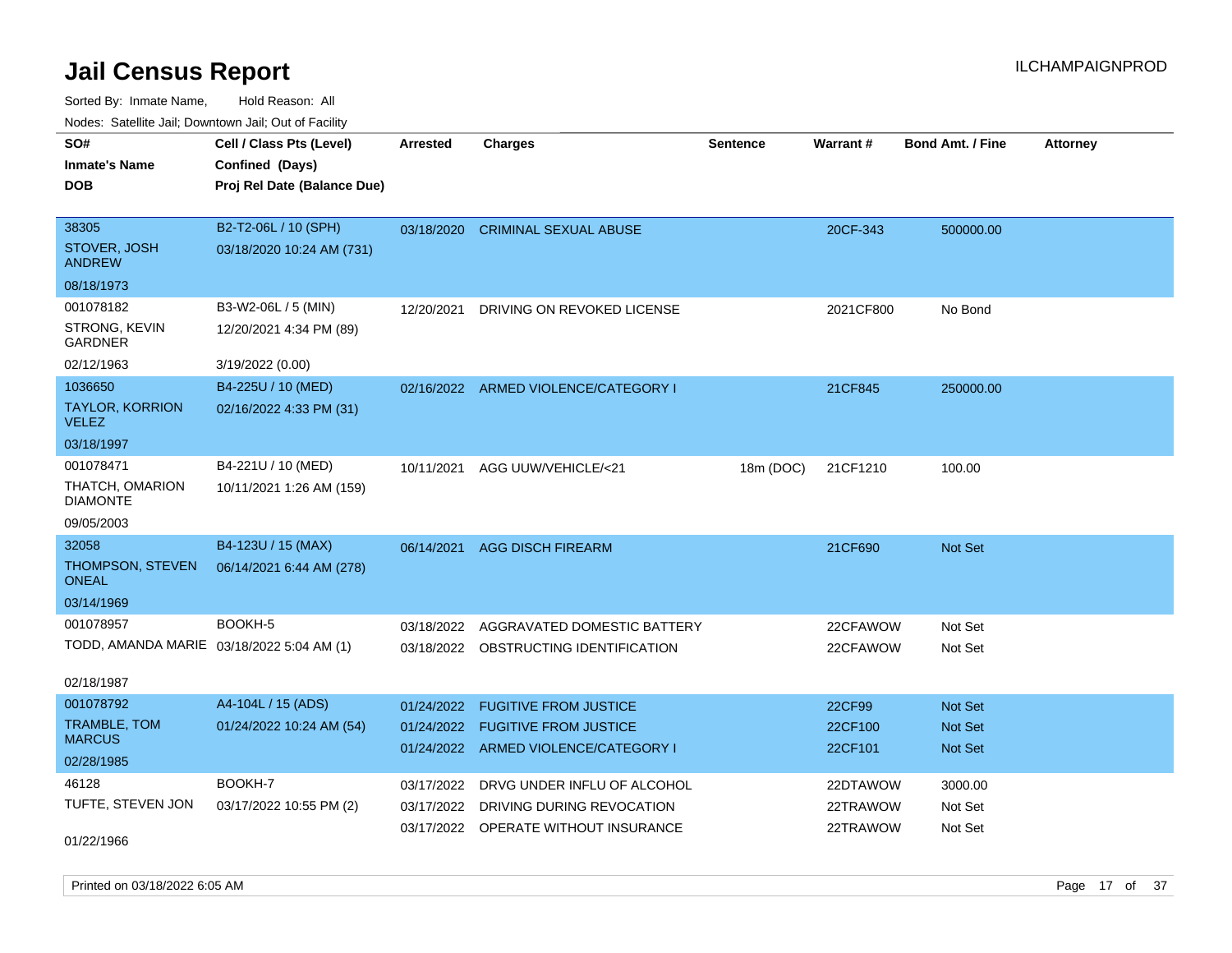Sorted By: Inmate Name, Hold Reason: All Nodes: Satellite Jail; Downtown Jail; Out of Facility

| SO#                                       | Cell / Class Pts (Level)    | Arrested   | <b>Charges</b>                        | <b>Sentence</b> | Warrant#  | <b>Bond Amt. / Fine</b> | <b>Attorney</b> |
|-------------------------------------------|-----------------------------|------------|---------------------------------------|-----------------|-----------|-------------------------|-----------------|
| <b>Inmate's Name</b>                      | Confined (Days)             |            |                                       |                 |           |                         |                 |
| <b>DOB</b>                                | Proj Rel Date (Balance Due) |            |                                       |                 |           |                         |                 |
|                                           |                             |            |                                       |                 |           |                         |                 |
| 38305                                     | B2-T2-06L / 10 (SPH)        | 03/18/2020 | <b>CRIMINAL SEXUAL ABUSE</b>          |                 | 20CF-343  | 500000.00               |                 |
| STOVER, JOSH<br><b>ANDREW</b>             | 03/18/2020 10:24 AM (731)   |            |                                       |                 |           |                         |                 |
| 08/18/1973                                |                             |            |                                       |                 |           |                         |                 |
| 001078182                                 | B3-W2-06L / 5 (MIN)         | 12/20/2021 | DRIVING ON REVOKED LICENSE            |                 | 2021CF800 | No Bond                 |                 |
| STRONG, KEVIN<br><b>GARDNER</b>           | 12/20/2021 4:34 PM (89)     |            |                                       |                 |           |                         |                 |
| 02/12/1963                                | 3/19/2022 (0.00)            |            |                                       |                 |           |                         |                 |
| 1036650                                   | B4-225U / 10 (MED)          |            | 02/16/2022 ARMED VIOLENCE/CATEGORY I  |                 | 21CF845   | 250000.00               |                 |
| TAYLOR, KORRION<br><b>VELEZ</b>           | 02/16/2022 4:33 PM (31)     |            |                                       |                 |           |                         |                 |
| 03/18/1997                                |                             |            |                                       |                 |           |                         |                 |
| 001078471                                 | B4-221U / 10 (MED)          | 10/11/2021 | AGG UUW/VEHICLE/<21                   | 18m (DOC)       | 21CF1210  | 100.00                  |                 |
| THATCH, OMARION<br><b>DIAMONTE</b>        | 10/11/2021 1:26 AM (159)    |            |                                       |                 |           |                         |                 |
| 09/05/2003                                |                             |            |                                       |                 |           |                         |                 |
| 32058                                     | B4-123U / 15 (MAX)          | 06/14/2021 | <b>AGG DISCH FIREARM</b>              |                 | 21CF690   | Not Set                 |                 |
| THOMPSON, STEVEN<br><b>ONEAL</b>          | 06/14/2021 6:44 AM (278)    |            |                                       |                 |           |                         |                 |
| 03/14/1969                                |                             |            |                                       |                 |           |                         |                 |
| 001078957                                 | BOOKH-5                     | 03/18/2022 | AGGRAVATED DOMESTIC BATTERY           |                 | 22CFAWOW  | Not Set                 |                 |
| TODD, AMANDA MARIE 03/18/2022 5:04 AM (1) |                             |            | 03/18/2022 OBSTRUCTING IDENTIFICATION |                 | 22CFAWOW  | Not Set                 |                 |
| 02/18/1987                                |                             |            |                                       |                 |           |                         |                 |
| 001078792                                 | A4-104L / 15 (ADS)          | 01/24/2022 | <b>FUGITIVE FROM JUSTICE</b>          |                 | 22CF99    | <b>Not Set</b>          |                 |
| <b>TRAMBLE, TOM</b><br><b>MARCUS</b>      | 01/24/2022 10:24 AM (54)    | 01/24/2022 | <b>FUGITIVE FROM JUSTICE</b>          |                 | 22CF100   | Not Set                 |                 |
| 02/28/1985                                |                             |            | 01/24/2022 ARMED VIOLENCE/CATEGORY I  |                 | 22CF101   | <b>Not Set</b>          |                 |
| 46128                                     | BOOKH-7                     | 03/17/2022 | DRVG UNDER INFLU OF ALCOHOL           |                 | 22DTAWOW  | 3000.00                 |                 |
| TUFTE, STEVEN JON                         | 03/17/2022 10:55 PM (2)     | 03/17/2022 | DRIVING DURING REVOCATION             |                 | 22TRAWOW  | Not Set                 |                 |
|                                           |                             |            | 03/17/2022 OPERATE WITHOUT INSURANCE  |                 | 22TRAWOW  | Not Set                 |                 |
| 01/22/1966                                |                             |            |                                       |                 |           |                         |                 |

Printed on 03/18/2022 6:05 AM **Page 17** of 37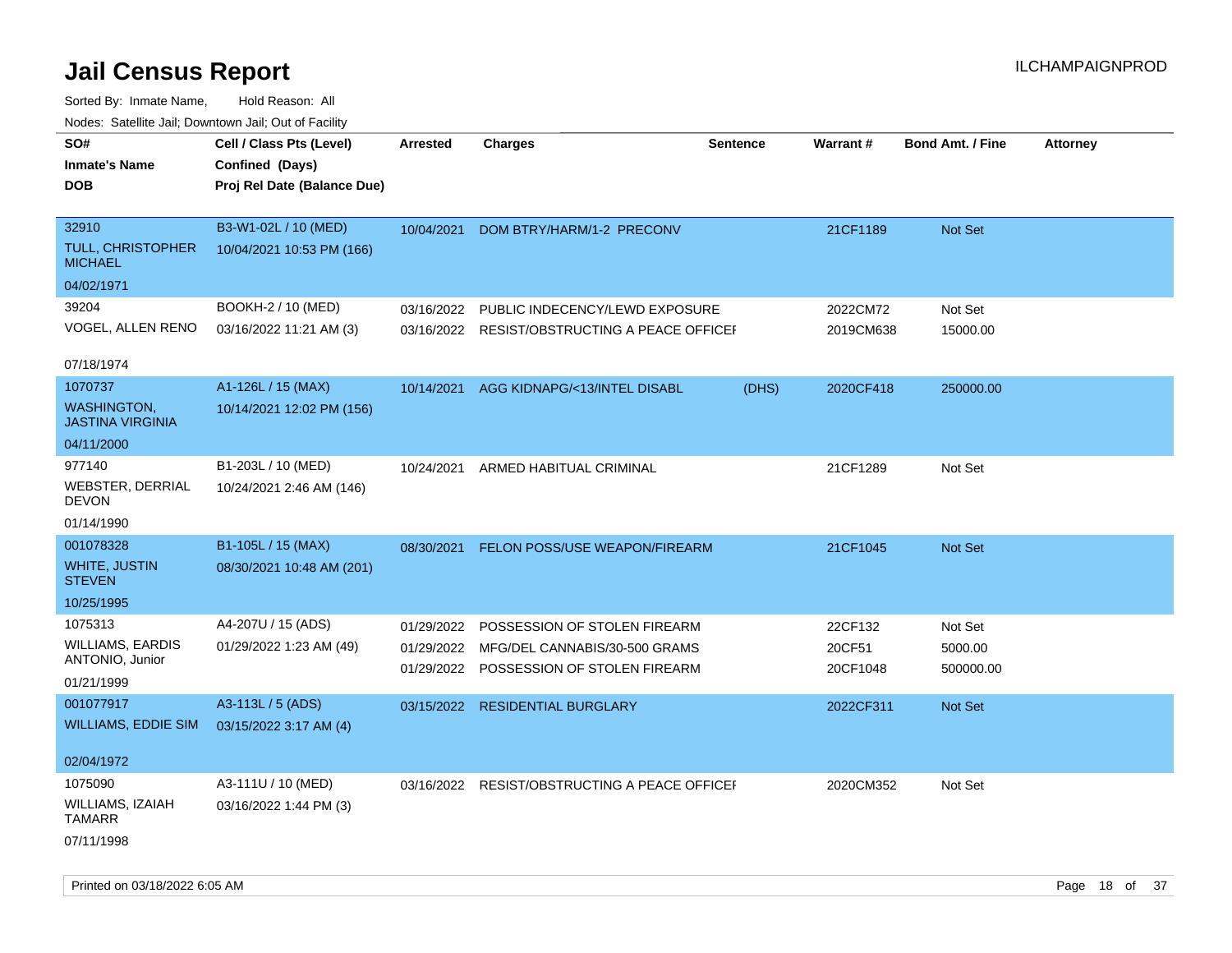| Noues. Salemie Jan, Downlown Jan, Out of Facility |                             |            |                                               |                 |                 |                         |                 |
|---------------------------------------------------|-----------------------------|------------|-----------------------------------------------|-----------------|-----------------|-------------------------|-----------------|
| SO#                                               | Cell / Class Pts (Level)    | Arrested   | <b>Charges</b>                                | <b>Sentence</b> | <b>Warrant#</b> | <b>Bond Amt. / Fine</b> | <b>Attorney</b> |
| <b>Inmate's Name</b>                              | Confined (Days)             |            |                                               |                 |                 |                         |                 |
| DOB                                               | Proj Rel Date (Balance Due) |            |                                               |                 |                 |                         |                 |
|                                                   |                             |            |                                               |                 |                 |                         |                 |
| 32910                                             | B3-W1-02L / 10 (MED)        | 10/04/2021 | DOM BTRY/HARM/1-2 PRECONV                     |                 | 21CF1189        | Not Set                 |                 |
| <b>TULL, CHRISTOPHER</b><br><b>MICHAEL</b>        | 10/04/2021 10:53 PM (166)   |            |                                               |                 |                 |                         |                 |
| 04/02/1971                                        |                             |            |                                               |                 |                 |                         |                 |
| 39204                                             | BOOKH-2 / 10 (MED)          | 03/16/2022 | PUBLIC INDECENCY/LEWD EXPOSURE                |                 | 2022CM72        | Not Set                 |                 |
| VOGEL, ALLEN RENO                                 | 03/16/2022 11:21 AM (3)     |            | 03/16/2022 RESIST/OBSTRUCTING A PEACE OFFICEF |                 | 2019CM638       | 15000.00                |                 |
|                                                   |                             |            |                                               |                 |                 |                         |                 |
| 07/18/1974                                        |                             |            |                                               |                 |                 |                         |                 |
| 1070737                                           | A1-126L / 15 (MAX)          | 10/14/2021 | AGG KIDNAPG/<13/INTEL DISABL                  | (DHS)           | 2020CF418       | 250000.00               |                 |
| <b>WASHINGTON</b><br><b>JASTINA VIRGINIA</b>      | 10/14/2021 12:02 PM (156)   |            |                                               |                 |                 |                         |                 |
| 04/11/2000                                        |                             |            |                                               |                 |                 |                         |                 |
| 977140                                            | B1-203L / 10 (MED)          | 10/24/2021 | ARMED HABITUAL CRIMINAL                       |                 | 21CF1289        | Not Set                 |                 |
| <b>WEBSTER, DERRIAL</b><br>DEVON                  | 10/24/2021 2:46 AM (146)    |            |                                               |                 |                 |                         |                 |
| 01/14/1990                                        |                             |            |                                               |                 |                 |                         |                 |
| 001078328                                         | B1-105L / 15 (MAX)          | 08/30/2021 | <b>FELON POSS/USE WEAPON/FIREARM</b>          |                 | 21CF1045        | <b>Not Set</b>          |                 |
| <b>WHITE, JUSTIN</b><br><b>STEVEN</b>             | 08/30/2021 10:48 AM (201)   |            |                                               |                 |                 |                         |                 |
| 10/25/1995                                        |                             |            |                                               |                 |                 |                         |                 |
| 1075313                                           | A4-207U / 15 (ADS)          | 01/29/2022 | POSSESSION OF STOLEN FIREARM                  |                 | 22CF132         | Not Set                 |                 |
| <b>WILLIAMS, EARDIS</b>                           | 01/29/2022 1:23 AM (49)     | 01/29/2022 | MFG/DEL CANNABIS/30-500 GRAMS                 |                 | 20CF51          | 5000.00                 |                 |
| ANTONIO, Junior                                   |                             | 01/29/2022 | POSSESSION OF STOLEN FIREARM                  |                 | 20CF1048        | 500000.00               |                 |
| 01/21/1999                                        |                             |            |                                               |                 |                 |                         |                 |
| 001077917                                         | A3-113L / 5 (ADS)           |            | 03/15/2022 RESIDENTIAL BURGLARY               |                 | 2022CF311       | Not Set                 |                 |
| <b>WILLIAMS, EDDIE SIM</b>                        | 03/15/2022 3:17 AM (4)      |            |                                               |                 |                 |                         |                 |
|                                                   |                             |            |                                               |                 |                 |                         |                 |
| 02/04/1972                                        |                             |            |                                               |                 |                 |                         |                 |
| 1075090                                           | A3-111U / 10 (MED)          |            | 03/16/2022 RESIST/OBSTRUCTING A PEACE OFFICE  |                 | 2020CM352       | Not Set                 |                 |
| WILLIAMS, IZAIAH<br>TAMARR                        | 03/16/2022 1:44 PM (3)      |            |                                               |                 |                 |                         |                 |
| 07/11/1998                                        |                             |            |                                               |                 |                 |                         |                 |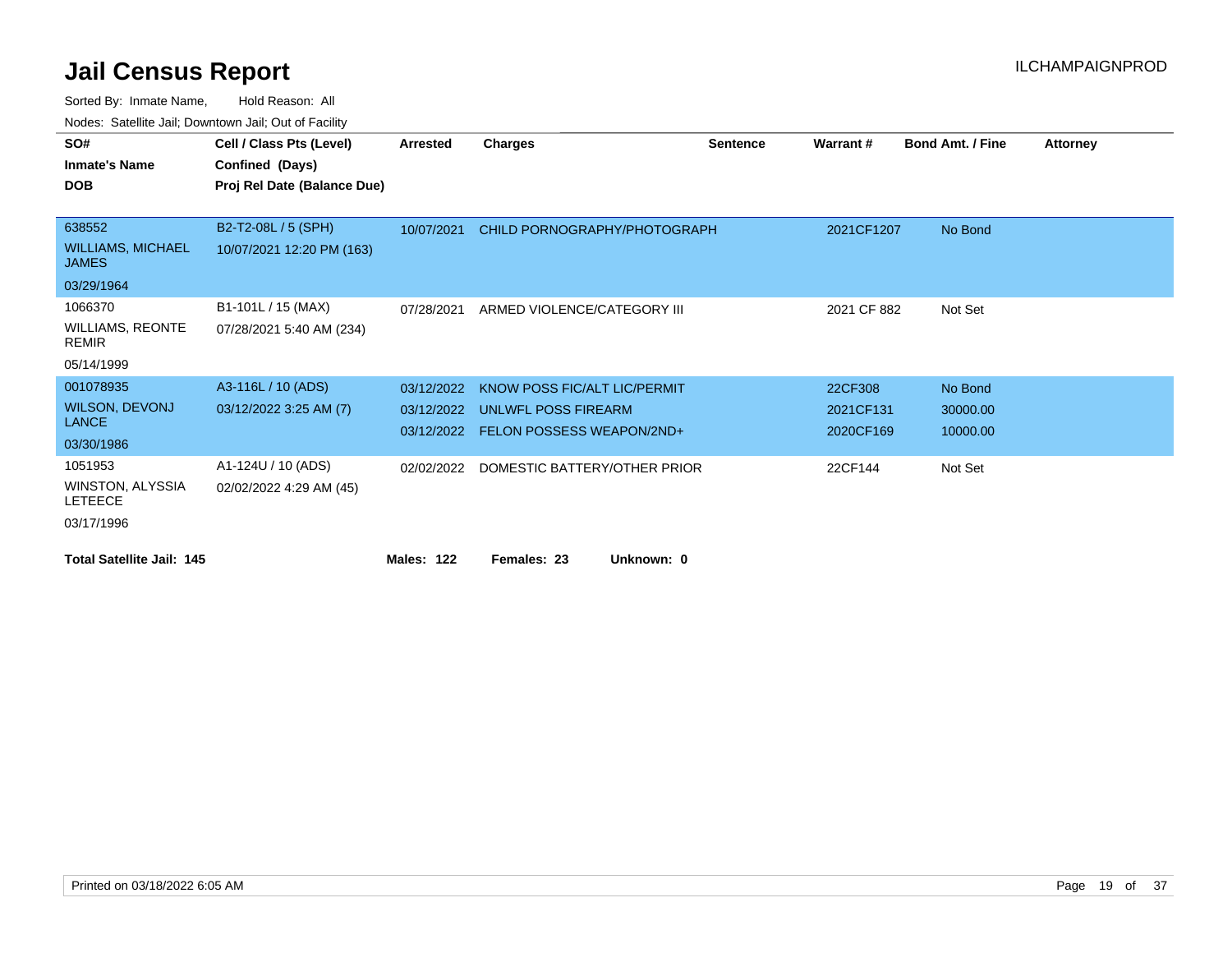| SO#                                      | Cell / Class Pts (Level)    | Arrested          | <b>Charges</b>                       | <b>Sentence</b> | Warrant#    | <b>Bond Amt. / Fine</b> | <b>Attorney</b> |
|------------------------------------------|-----------------------------|-------------------|--------------------------------------|-----------------|-------------|-------------------------|-----------------|
| <b>Inmate's Name</b>                     | Confined (Days)             |                   |                                      |                 |             |                         |                 |
| <b>DOB</b>                               | Proj Rel Date (Balance Due) |                   |                                      |                 |             |                         |                 |
|                                          |                             |                   |                                      |                 |             |                         |                 |
| 638552                                   | B2-T2-08L / 5 (SPH)         | 10/07/2021        | CHILD PORNOGRAPHY/PHOTOGRAPH         |                 | 2021CF1207  | No Bond                 |                 |
| <b>WILLIAMS, MICHAEL</b><br><b>JAMES</b> | 10/07/2021 12:20 PM (163)   |                   |                                      |                 |             |                         |                 |
| 03/29/1964                               |                             |                   |                                      |                 |             |                         |                 |
| 1066370                                  | B1-101L / 15 (MAX)          | 07/28/2021        | ARMED VIOLENCE/CATEGORY III          |                 | 2021 CF 882 | Not Set                 |                 |
| <b>WILLIAMS, REONTE</b><br><b>REMIR</b>  | 07/28/2021 5:40 AM (234)    |                   |                                      |                 |             |                         |                 |
| 05/14/1999                               |                             |                   |                                      |                 |             |                         |                 |
| 001078935                                | A3-116L / 10 (ADS)          | 03/12/2022        | KNOW POSS FIC/ALT LIC/PERMIT         |                 | 22CF308     | No Bond                 |                 |
| <b>WILSON, DEVONJ</b>                    | 03/12/2022 3:25 AM (7)      | 03/12/2022        | UNLWFL POSS FIREARM                  |                 | 2021CF131   | 30000.00                |                 |
| <b>LANCE</b>                             |                             |                   | 03/12/2022 FELON POSSESS WEAPON/2ND+ |                 | 2020CF169   | 10000.00                |                 |
| 03/30/1986                               |                             |                   |                                      |                 |             |                         |                 |
| 1051953                                  | A1-124U / 10 (ADS)          | 02/02/2022        | DOMESTIC BATTERY/OTHER PRIOR         |                 | 22CF144     | Not Set                 |                 |
| WINSTON, ALYSSIA<br><b>LETEECE</b>       | 02/02/2022 4:29 AM (45)     |                   |                                      |                 |             |                         |                 |
| 03/17/1996                               |                             |                   |                                      |                 |             |                         |                 |
| <b>Total Satellite Jail: 145</b>         |                             | <b>Males: 122</b> | Unknown: 0<br>Females: 23            |                 |             |                         |                 |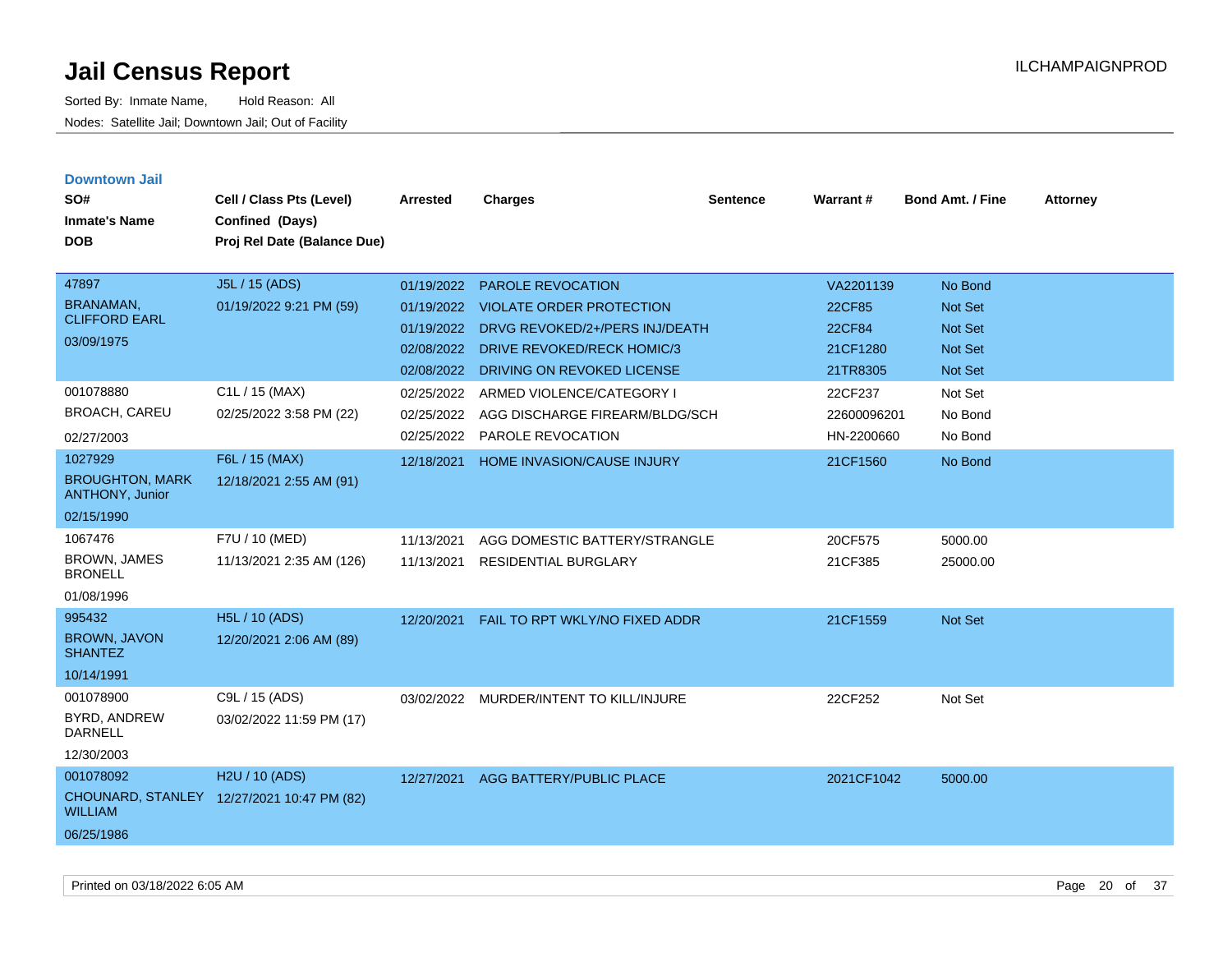| <b>Downtown Jail</b><br>SO#<br><b>Inmate's Name</b><br><b>DOB</b>                                              | Cell / Class Pts (Level)<br>Confined (Days)<br>Proj Rel Date (Balance Due)             | Arrested                                                           | <b>Charges</b>                                                                                                                                            | <b>Sentence</b> | Warrant#                                                     | <b>Bond Amt. / Fine</b>                                                  | <b>Attorney</b> |
|----------------------------------------------------------------------------------------------------------------|----------------------------------------------------------------------------------------|--------------------------------------------------------------------|-----------------------------------------------------------------------------------------------------------------------------------------------------------|-----------------|--------------------------------------------------------------|--------------------------------------------------------------------------|-----------------|
| 47897<br><b>BRANAMAN,</b><br><b>CLIFFORD EARL</b><br>03/09/1975                                                | J5L / 15 (ADS)<br>01/19/2022 9:21 PM (59)                                              | 01/19/2022<br>01/19/2022<br>01/19/2022<br>02/08/2022<br>02/08/2022 | <b>PAROLE REVOCATION</b><br><b>VIOLATE ORDER PROTECTION</b><br>DRVG REVOKED/2+/PERS INJ/DEATH<br>DRIVE REVOKED/RECK HOMIC/3<br>DRIVING ON REVOKED LICENSE |                 | VA2201139<br>22CF85<br><b>22CF84</b><br>21CF1280<br>21TR8305 | No Bond<br><b>Not Set</b><br><b>Not Set</b><br><b>Not Set</b><br>Not Set |                 |
| 001078880<br><b>BROACH, CAREU</b><br>02/27/2003<br>1027929<br><b>BROUGHTON, MARK</b><br><b>ANTHONY, Junior</b> | C1L / 15 (MAX)<br>02/25/2022 3:58 PM (22)<br>F6L / 15 (MAX)<br>12/18/2021 2:55 AM (91) | 02/25/2022<br>02/25/2022<br>02/25/2022<br>12/18/2021               | ARMED VIOLENCE/CATEGORY I<br>AGG DISCHARGE FIREARM/BLDG/SCH<br>PAROLE REVOCATION<br>HOME INVASION/CAUSE INJURY                                            |                 | 22CF237<br>22600096201<br>HN-2200660<br>21CF1560             | Not Set<br>No Bond<br>No Bond<br>No Bond                                 |                 |
| 02/15/1990<br>1067476<br><b>BROWN, JAMES</b><br><b>BRONELL</b><br>01/08/1996                                   | F7U / 10 (MED)<br>11/13/2021 2:35 AM (126)                                             | 11/13/2021<br>11/13/2021                                           | AGG DOMESTIC BATTERY/STRANGLE<br><b>RESIDENTIAL BURGLARY</b>                                                                                              |                 | 20CF575<br>21CF385                                           | 5000.00<br>25000.00                                                      |                 |
| 995432<br><b>BROWN, JAVON</b><br><b>SHANTEZ</b><br>10/14/1991                                                  | H5L / 10 (ADS)<br>12/20/2021 2:06 AM (89)                                              | 12/20/2021                                                         | FAIL TO RPT WKLY/NO FIXED ADDR                                                                                                                            |                 | 21CF1559                                                     | <b>Not Set</b>                                                           |                 |
| 001078900<br>BYRD, ANDREW<br><b>DARNELL</b><br>12/30/2003                                                      | C9L / 15 (ADS)<br>03/02/2022 11:59 PM (17)                                             | 03/02/2022                                                         | MURDER/INTENT TO KILL/INJURE                                                                                                                              |                 | 22CF252                                                      | Not Set                                                                  |                 |
| 001078092<br><b>CHOUNARD, STANLEY</b><br><b>WILLIAM</b><br>06/25/1986                                          | H2U / 10 (ADS)<br>12/27/2021 10:47 PM (82)                                             | 12/27/2021                                                         | AGG BATTERY/PUBLIC PLACE                                                                                                                                  |                 | 2021CF1042                                                   | 5000.00                                                                  |                 |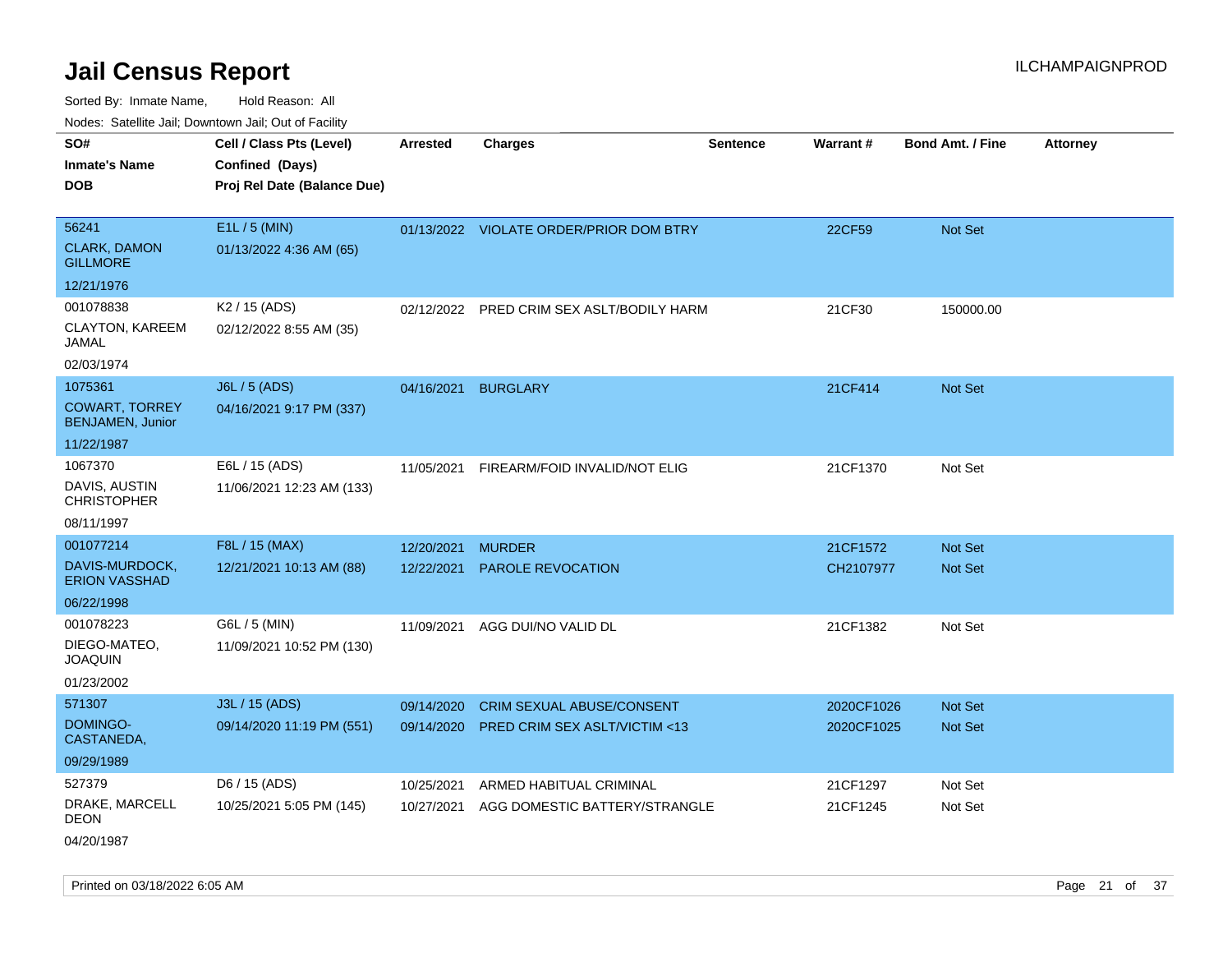Sorted By: Inmate Name, Hold Reason: All Nodes: Satellite Jail; Downtown Jail; Out of Facility

| vouco. Odichite Jan, Downtown Jan, Out of Facility                        |                                                                            |                          |                                                          |                 |                      |                         |                 |
|---------------------------------------------------------------------------|----------------------------------------------------------------------------|--------------------------|----------------------------------------------------------|-----------------|----------------------|-------------------------|-----------------|
| SO#<br><b>Inmate's Name</b><br><b>DOB</b>                                 | Cell / Class Pts (Level)<br>Confined (Days)<br>Proj Rel Date (Balance Due) | <b>Arrested</b>          | <b>Charges</b>                                           | <b>Sentence</b> | Warrant#             | <b>Bond Amt. / Fine</b> | <b>Attorney</b> |
| 56241<br><b>CLARK, DAMON</b><br><b>GILLMORE</b>                           | E1L / 5 (MIN)<br>01/13/2022 4:36 AM (65)                                   |                          | 01/13/2022 VIOLATE ORDER/PRIOR DOM BTRY                  |                 | 22CF59               | Not Set                 |                 |
| 12/21/1976                                                                |                                                                            |                          |                                                          |                 |                      |                         |                 |
| 001078838<br>CLAYTON, KAREEM<br>JAMAL<br>02/03/1974                       | K2 / 15 (ADS)<br>02/12/2022 8:55 AM (35)                                   |                          | 02/12/2022 PRED CRIM SEX ASLT/BODILY HARM                |                 | 21CF30               | 150000.00               |                 |
| 1075361<br><b>COWART, TORREY</b><br><b>BENJAMEN, Junior</b><br>11/22/1987 | J6L / 5 (ADS)<br>04/16/2021 9:17 PM (337)                                  | 04/16/2021               | <b>BURGLARY</b>                                          |                 | 21CF414              | Not Set                 |                 |
| 1067370<br>DAVIS, AUSTIN<br><b>CHRISTOPHER</b><br>08/11/1997              | E6L / 15 (ADS)<br>11/06/2021 12:23 AM (133)                                | 11/05/2021               | FIREARM/FOID INVALID/NOT ELIG                            |                 | 21CF1370             | Not Set                 |                 |
| 001077214                                                                 | F8L / 15 (MAX)                                                             | 12/20/2021               | <b>MURDER</b>                                            |                 | 21CF1572             | <b>Not Set</b>          |                 |
| DAVIS-MURDOCK,<br><b>ERION VASSHAD</b>                                    | 12/21/2021 10:13 AM (88)                                                   | 12/22/2021               | PAROLE REVOCATION                                        |                 | CH2107977            | Not Set                 |                 |
| 06/22/1998                                                                |                                                                            |                          |                                                          |                 |                      |                         |                 |
| 001078223<br>DIEGO-MATEO,<br><b>JOAQUIN</b><br>01/23/2002                 | G6L / 5 (MIN)<br>11/09/2021 10:52 PM (130)                                 | 11/09/2021               | AGG DUI/NO VALID DL                                      |                 | 21CF1382             | Not Set                 |                 |
| 571307                                                                    | J3L / 15 (ADS)                                                             | 09/14/2020               | <b>CRIM SEXUAL ABUSE/CONSENT</b>                         |                 | 2020CF1026           | <b>Not Set</b>          |                 |
| DOMINGO-<br>CASTANEDA,                                                    | 09/14/2020 11:19 PM (551)                                                  | 09/14/2020               | <b>PRED CRIM SEX ASLT/VICTIM &lt;13</b>                  |                 | 2020CF1025           | Not Set                 |                 |
| 09/29/1989                                                                |                                                                            |                          |                                                          |                 |                      |                         |                 |
| 527379<br>DRAKE, MARCELL<br>DEON                                          | D6 / 15 (ADS)<br>10/25/2021 5:05 PM (145)                                  | 10/25/2021<br>10/27/2021 | ARMED HABITUAL CRIMINAL<br>AGG DOMESTIC BATTERY/STRANGLE |                 | 21CF1297<br>21CF1245 | Not Set<br>Not Set      |                 |
|                                                                           |                                                                            |                          |                                                          |                 |                      |                         |                 |

04/20/1987

Printed on 03/18/2022 6:05 AM **Page 21 of 37**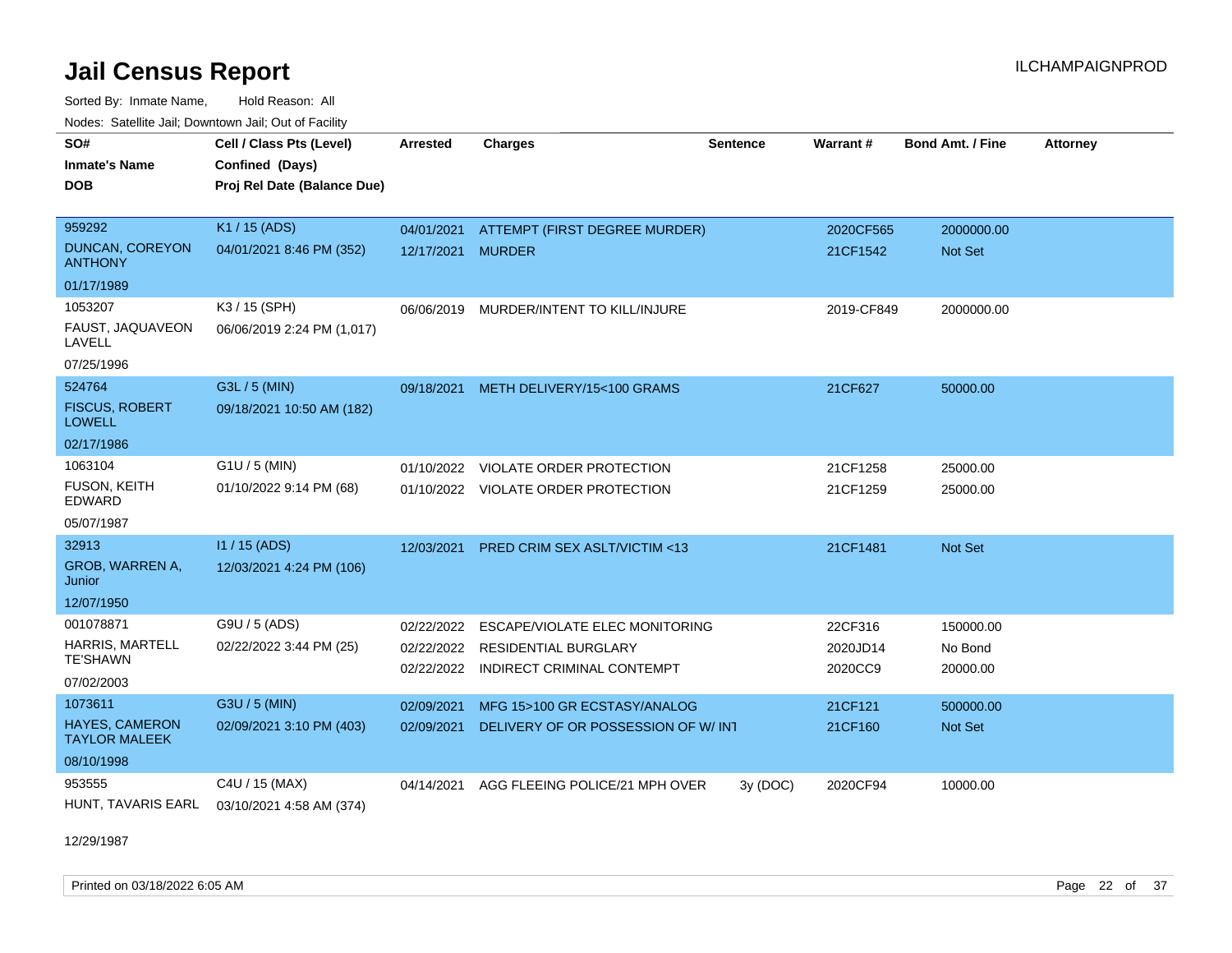Sorted By: Inmate Name, Hold Reason: All Nodes: Satellite Jail; Downtown Jail; Out of Facility

| SO#<br><b>Inmate's Name</b><br><b>DOB</b>     | Cell / Class Pts (Level)<br>Confined (Days)<br>Proj Rel Date (Balance Due) | <b>Arrested</b> | <b>Charges</b>                          | <b>Sentence</b> | Warrant#   | <b>Bond Amt. / Fine</b> | <b>Attorney</b> |
|-----------------------------------------------|----------------------------------------------------------------------------|-----------------|-----------------------------------------|-----------------|------------|-------------------------|-----------------|
| 959292                                        | K1 / 15 (ADS)                                                              | 04/01/2021      | ATTEMPT (FIRST DEGREE MURDER)           |                 | 2020CF565  | 2000000.00              |                 |
| <b>DUNCAN, COREYON</b><br><b>ANTHONY</b>      | 04/01/2021 8:46 PM (352)                                                   | 12/17/2021      | <b>MURDER</b>                           |                 | 21CF1542   | <b>Not Set</b>          |                 |
| 01/17/1989                                    |                                                                            |                 |                                         |                 |            |                         |                 |
| 1053207                                       | K3 / 15 (SPH)                                                              |                 | 06/06/2019 MURDER/INTENT TO KILL/INJURE |                 | 2019-CF849 | 2000000.00              |                 |
| FAUST, JAQUAVEON<br>LAVELL                    | 06/06/2019 2:24 PM (1,017)                                                 |                 |                                         |                 |            |                         |                 |
| 07/25/1996                                    |                                                                            |                 |                                         |                 |            |                         |                 |
| 524764                                        | G3L / 5 (MIN)                                                              | 09/18/2021      | METH DELIVERY/15<100 GRAMS              |                 | 21CF627    | 50000.00                |                 |
| <b>FISCUS, ROBERT</b><br><b>LOWELL</b>        | 09/18/2021 10:50 AM (182)                                                  |                 |                                         |                 |            |                         |                 |
| 02/17/1986                                    |                                                                            |                 |                                         |                 |            |                         |                 |
| 1063104                                       | $G1U / 5$ (MIN)                                                            | 01/10/2022      | VIOLATE ORDER PROTECTION                |                 | 21CF1258   | 25000.00                |                 |
| FUSON, KEITH<br><b>EDWARD</b>                 | 01/10/2022 9:14 PM (68)                                                    |                 | 01/10/2022 VIOLATE ORDER PROTECTION     |                 | 21CF1259   | 25000.00                |                 |
| 05/07/1987                                    |                                                                            |                 |                                         |                 |            |                         |                 |
| 32913                                         | I1 / 15 (ADS)                                                              | 12/03/2021      | PRED CRIM SEX ASLT/VICTIM <13           |                 | 21CF1481   | Not Set                 |                 |
| GROB, WARREN A,<br>Junior                     | 12/03/2021 4:24 PM (106)                                                   |                 |                                         |                 |            |                         |                 |
| 12/07/1950                                    |                                                                            |                 |                                         |                 |            |                         |                 |
| 001078871                                     | G9U / 5 (ADS)                                                              | 02/22/2022      | ESCAPE/VIOLATE ELEC MONITORING          |                 | 22CF316    | 150000.00               |                 |
| HARRIS, MARTELL                               | 02/22/2022 3:44 PM (25)                                                    | 02/22/2022      | <b>RESIDENTIAL BURGLARY</b>             |                 | 2020JD14   | No Bond                 |                 |
| <b>TE'SHAWN</b>                               |                                                                            | 02/22/2022      | INDIRECT CRIMINAL CONTEMPT              |                 | 2020CC9    | 20000.00                |                 |
| 07/02/2003                                    |                                                                            |                 |                                         |                 |            |                         |                 |
| 1073611                                       | G3U / 5 (MIN)                                                              | 02/09/2021      | MFG 15>100 GR ECSTASY/ANALOG            |                 | 21CF121    | 500000.00               |                 |
| <b>HAYES, CAMERON</b><br><b>TAYLOR MALEEK</b> | 02/09/2021 3:10 PM (403)                                                   | 02/09/2021      | DELIVERY OF OR POSSESSION OF W/INT      |                 | 21CF160    | Not Set                 |                 |
| 08/10/1998                                    |                                                                            |                 |                                         |                 |            |                         |                 |
| 953555                                        | C4U / 15 (MAX)                                                             | 04/14/2021      | AGG FLEEING POLICE/21 MPH OVER          | 3y(DOC)         | 2020CF94   | 10000.00                |                 |
| HUNT, TAVARIS EARL                            | 03/10/2021 4:58 AM (374)                                                   |                 |                                         |                 |            |                         |                 |

12/29/1987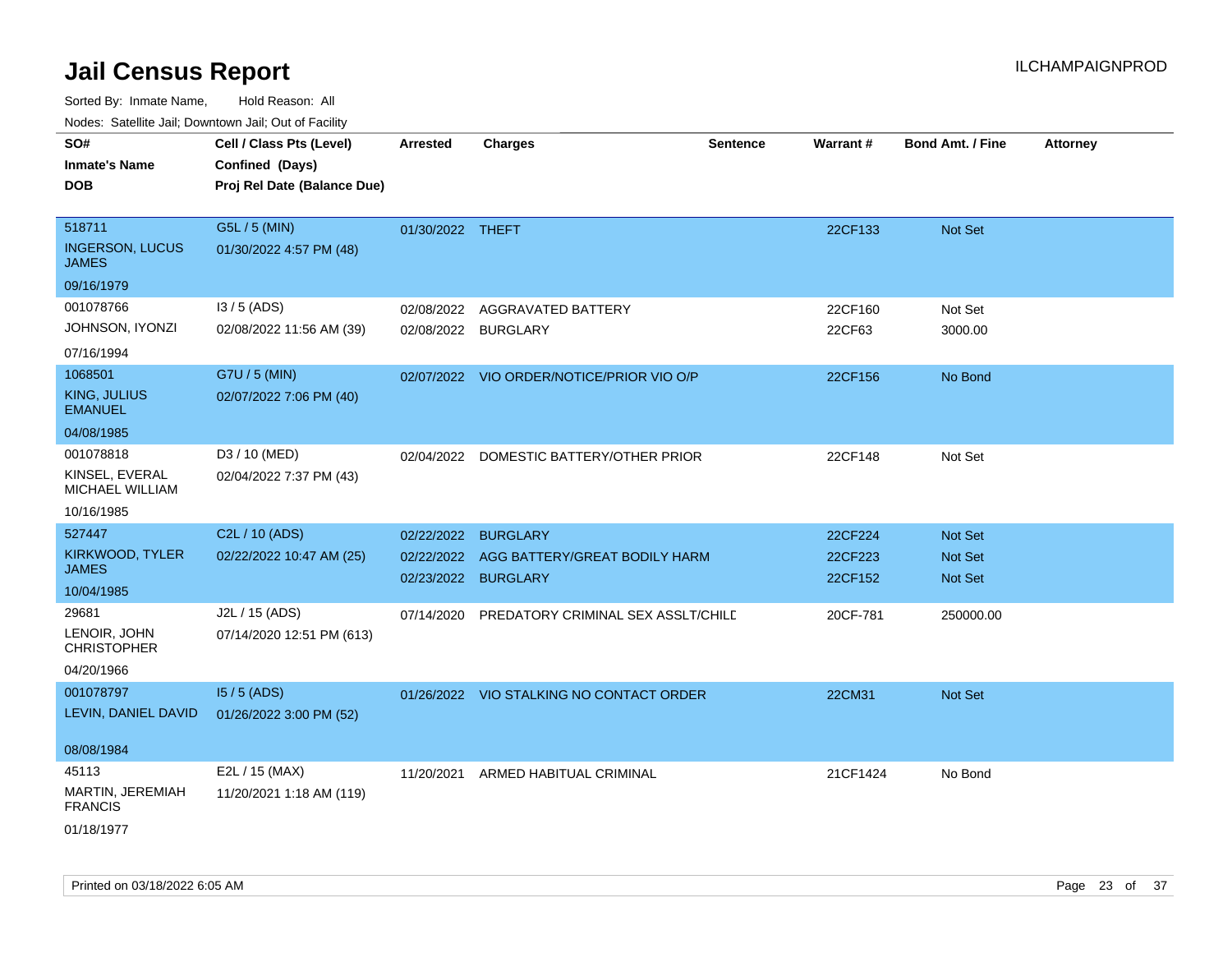Sorted By: Inmate Name, Hold Reason: All

Nodes: Satellite Jail; Downtown Jail; Out of Facility

| SO#<br><b>Inmate's Name</b><br><b>DOB</b>        | Cell / Class Pts (Level)<br>Confined (Days)<br>Proj Rel Date (Balance Due) | <b>Arrested</b>     | <b>Charges</b>                            | <b>Sentence</b> | <b>Warrant#</b> | <b>Bond Amt. / Fine</b> | <b>Attorney</b> |
|--------------------------------------------------|----------------------------------------------------------------------------|---------------------|-------------------------------------------|-----------------|-----------------|-------------------------|-----------------|
| 518711<br><b>INGERSON, LUCUS</b><br><b>JAMES</b> | G5L / 5 (MIN)<br>01/30/2022 4:57 PM (48)                                   | 01/30/2022 THEFT    |                                           |                 | 22CF133         | Not Set                 |                 |
| 09/16/1979                                       |                                                                            |                     |                                           |                 |                 |                         |                 |
| 001078766                                        | $13/5$ (ADS)                                                               | 02/08/2022          | AGGRAVATED BATTERY                        |                 | 22CF160         | Not Set                 |                 |
| JOHNSON, IYONZI<br>07/16/1994                    | 02/08/2022 11:56 AM (39)                                                   | 02/08/2022 BURGLARY |                                           |                 | 22CF63          | 3000.00                 |                 |
| 1068501                                          | G7U / 5 (MIN)                                                              |                     | 02/07/2022 VIO ORDER/NOTICE/PRIOR VIO O/P |                 | 22CF156         | No Bond                 |                 |
| <b>KING, JULIUS</b><br><b>EMANUEL</b>            | 02/07/2022 7:06 PM (40)                                                    |                     |                                           |                 |                 |                         |                 |
| 04/08/1985                                       |                                                                            |                     |                                           |                 |                 |                         |                 |
| 001078818                                        | D3 / 10 (MED)                                                              |                     | 02/04/2022 DOMESTIC BATTERY/OTHER PRIOR   |                 | 22CF148         | Not Set                 |                 |
| KINSEL, EVERAL<br>MICHAEL WILLIAM                | 02/04/2022 7:37 PM (43)                                                    |                     |                                           |                 |                 |                         |                 |
| 10/16/1985                                       |                                                                            |                     |                                           |                 |                 |                         |                 |
| 527447                                           | C2L / 10 (ADS)                                                             | 02/22/2022          | <b>BURGLARY</b>                           |                 | 22CF224         | Not Set                 |                 |
| KIRKWOOD, TYLER                                  | 02/22/2022 10:47 AM (25)                                                   | 02/22/2022          | AGG BATTERY/GREAT BODILY HARM             |                 | 22CF223         | <b>Not Set</b>          |                 |
| <b>JAMES</b>                                     |                                                                            | 02/23/2022          | <b>BURGLARY</b>                           |                 | 22CF152         | Not Set                 |                 |
| 10/04/1985                                       |                                                                            |                     |                                           |                 |                 |                         |                 |
| 29681<br>LENOIR, JOHN<br><b>CHRISTOPHER</b>      | J2L / 15 (ADS)<br>07/14/2020 12:51 PM (613)                                | 07/14/2020          | PREDATORY CRIMINAL SEX ASSLT/CHILD        |                 | 20CF-781        | 250000.00               |                 |
| 04/20/1966                                       |                                                                            |                     |                                           |                 |                 |                         |                 |
| 001078797                                        | 15/5 (ADS)                                                                 |                     | 01/26/2022 VIO STALKING NO CONTACT ORDER  |                 | 22CM31          | Not Set                 |                 |
| LEVIN, DANIEL DAVID                              | 01/26/2022 3:00 PM (52)                                                    |                     |                                           |                 |                 |                         |                 |
| 08/08/1984                                       |                                                                            |                     |                                           |                 |                 |                         |                 |
| 45113                                            | E2L / 15 (MAX)                                                             | 11/20/2021          | ARMED HABITUAL CRIMINAL                   |                 | 21CF1424        | No Bond                 |                 |
| MARTIN, JEREMIAH<br><b>FRANCIS</b>               | 11/20/2021 1:18 AM (119)                                                   |                     |                                           |                 |                 |                         |                 |
| 01/18/1977                                       |                                                                            |                     |                                           |                 |                 |                         |                 |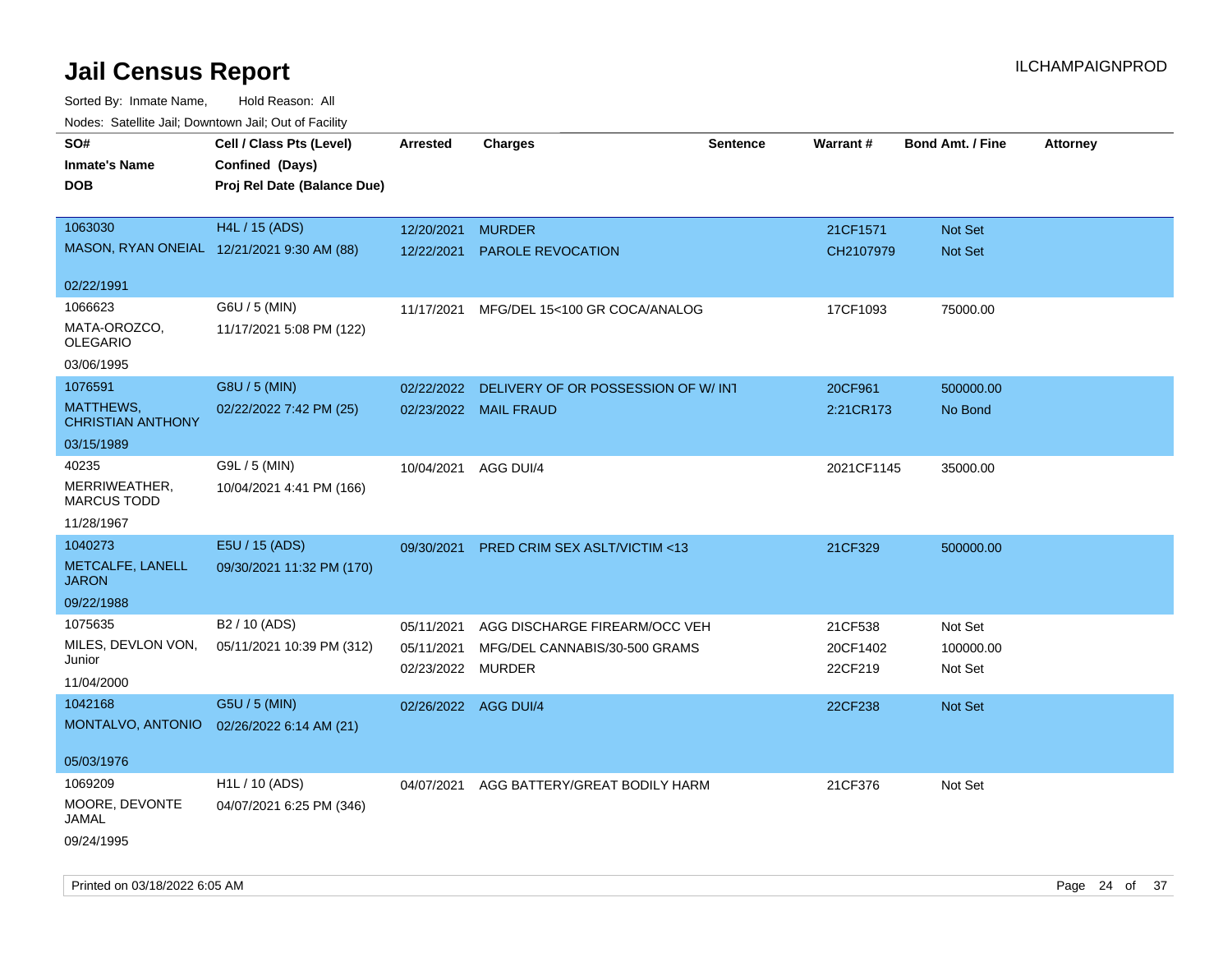| Noues. Salemie Jan, Downtown Jan, Out of Facility |                             |                      |                                         |                 |            |                         |                 |
|---------------------------------------------------|-----------------------------|----------------------|-----------------------------------------|-----------------|------------|-------------------------|-----------------|
| SO#                                               | Cell / Class Pts (Level)    | Arrested             | <b>Charges</b>                          | <b>Sentence</b> | Warrant#   | <b>Bond Amt. / Fine</b> | <b>Attorney</b> |
| <b>Inmate's Name</b>                              | Confined (Days)             |                      |                                         |                 |            |                         |                 |
| <b>DOB</b>                                        | Proj Rel Date (Balance Due) |                      |                                         |                 |            |                         |                 |
|                                                   |                             |                      |                                         |                 |            |                         |                 |
| 1063030                                           | <b>H4L / 15 (ADS)</b>       | 12/20/2021           | <b>MURDER</b>                           |                 | 21CF1571   | Not Set                 |                 |
| MASON, RYAN ONEIAL 12/21/2021 9:30 AM (88)        |                             | 12/22/2021           | <b>PAROLE REVOCATION</b>                |                 | CH2107979  | Not Set                 |                 |
|                                                   |                             |                      |                                         |                 |            |                         |                 |
| 02/22/1991                                        |                             |                      |                                         |                 |            |                         |                 |
| 1066623                                           | G6U / 5 (MIN)               | 11/17/2021           | MFG/DEL 15<100 GR COCA/ANALOG           |                 | 17CF1093   | 75000.00                |                 |
| MATA-OROZCO,<br><b>OLEGARIO</b>                   | 11/17/2021 5:08 PM (122)    |                      |                                         |                 |            |                         |                 |
| 03/06/1995                                        |                             |                      |                                         |                 |            |                         |                 |
| 1076591                                           | G8U / 5 (MIN)               | 02/22/2022           | DELIVERY OF OR POSSESSION OF W/INT      |                 | 20CF961    | 500000.00               |                 |
| <b>MATTHEWS,</b><br><b>CHRISTIAN ANTHONY</b>      | 02/22/2022 7:42 PM (25)     |                      | 02/23/2022 MAIL FRAUD                   |                 | 2:21CR173  | No Bond                 |                 |
| 03/15/1989                                        |                             |                      |                                         |                 |            |                         |                 |
| 40235                                             | G9L / 5 (MIN)               | 10/04/2021 AGG DUI/4 |                                         |                 | 2021CF1145 | 35000.00                |                 |
| MERRIWEATHER,<br><b>MARCUS TODD</b>               | 10/04/2021 4:41 PM (166)    |                      |                                         |                 |            |                         |                 |
| 11/28/1967                                        |                             |                      |                                         |                 |            |                         |                 |
| 1040273                                           | E5U / 15 (ADS)              | 09/30/2021           | <b>PRED CRIM SEX ASLT/VICTIM &lt;13</b> |                 | 21CF329    | 500000.00               |                 |
| METCALFE, LANELL<br><b>JARON</b>                  | 09/30/2021 11:32 PM (170)   |                      |                                         |                 |            |                         |                 |
| 09/22/1988                                        |                             |                      |                                         |                 |            |                         |                 |
| 1075635                                           | B2 / 10 (ADS)               | 05/11/2021           | AGG DISCHARGE FIREARM/OCC VEH           |                 | 21CF538    | Not Set                 |                 |
| MILES, DEVLON VON,                                | 05/11/2021 10:39 PM (312)   | 05/11/2021           | MFG/DEL CANNABIS/30-500 GRAMS           |                 | 20CF1402   | 100000.00               |                 |
| Junior                                            |                             | 02/23/2022 MURDER    |                                         |                 | 22CF219    | Not Set                 |                 |
| 11/04/2000                                        |                             |                      |                                         |                 |            |                         |                 |
| 1042168                                           | G5U / 5 (MIN)               | 02/26/2022 AGG DUI/4 |                                         |                 | 22CF238    | Not Set                 |                 |
| MONTALVO, ANTONIO                                 | 02/26/2022 6:14 AM (21)     |                      |                                         |                 |            |                         |                 |
| 05/03/1976                                        |                             |                      |                                         |                 |            |                         |                 |
| 1069209                                           | H <sub>1</sub> L / 10 (ADS) | 04/07/2021           | AGG BATTERY/GREAT BODILY HARM           |                 | 21CF376    | Not Set                 |                 |
| MOORE, DEVONTE<br>JAMAL                           | 04/07/2021 6:25 PM (346)    |                      |                                         |                 |            |                         |                 |
| 09/24/1995                                        |                             |                      |                                         |                 |            |                         |                 |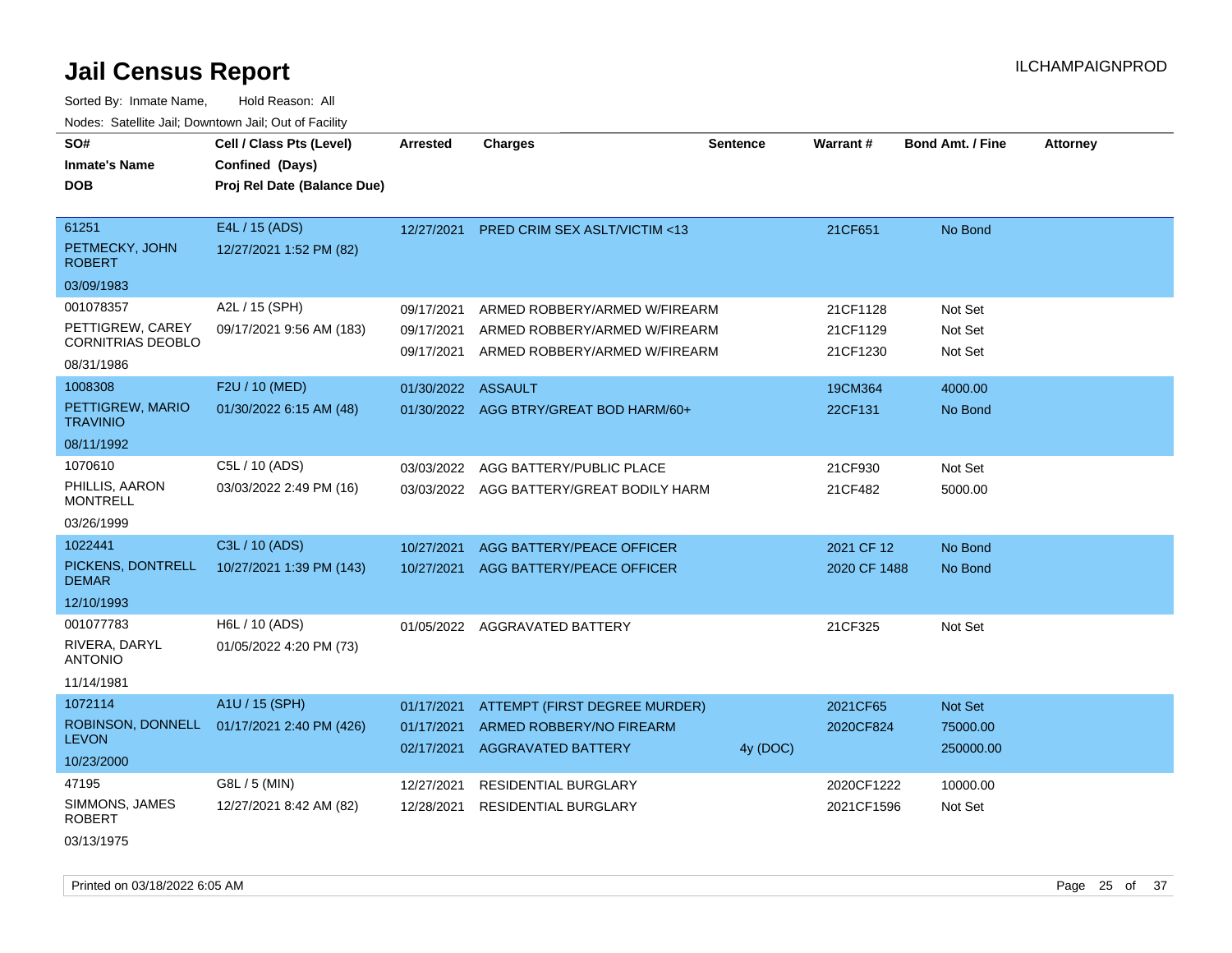Sorted By: Inmate Name, Hold Reason: All Nodes: Satellite Jail; Downtown Jail; Out of Facility

| SO#                                 | Cell / Class Pts (Level)    | <b>Arrested</b>    | <b>Charges</b>                           | <b>Sentence</b> | Warrant#     | <b>Bond Amt. / Fine</b> | <b>Attorney</b> |
|-------------------------------------|-----------------------------|--------------------|------------------------------------------|-----------------|--------------|-------------------------|-----------------|
| <b>Inmate's Name</b>                | Confined (Days)             |                    |                                          |                 |              |                         |                 |
| <b>DOB</b>                          | Proj Rel Date (Balance Due) |                    |                                          |                 |              |                         |                 |
|                                     |                             |                    |                                          |                 |              |                         |                 |
| 61251                               | E4L / 15 (ADS)              | 12/27/2021         | <b>PRED CRIM SEX ASLT/VICTIM &lt;13</b>  |                 | 21CF651      | No Bond                 |                 |
| PETMECKY, JOHN<br><b>ROBERT</b>     | 12/27/2021 1:52 PM (82)     |                    |                                          |                 |              |                         |                 |
| 03/09/1983                          |                             |                    |                                          |                 |              |                         |                 |
| 001078357                           | A2L / 15 (SPH)              | 09/17/2021         | ARMED ROBBERY/ARMED W/FIREARM            |                 | 21CF1128     | Not Set                 |                 |
| PETTIGREW, CAREY                    | 09/17/2021 9:56 AM (183)    | 09/17/2021         | ARMED ROBBERY/ARMED W/FIREARM            |                 | 21CF1129     | Not Set                 |                 |
| <b>CORNITRIAS DEOBLO</b>            |                             | 09/17/2021         | ARMED ROBBERY/ARMED W/FIREARM            |                 | 21CF1230     | Not Set                 |                 |
| 08/31/1986                          |                             |                    |                                          |                 |              |                         |                 |
| 1008308                             | F2U / 10 (MED)              | 01/30/2022 ASSAULT |                                          |                 | 19CM364      | 4000.00                 |                 |
| PETTIGREW, MARIO<br><b>TRAVINIO</b> | 01/30/2022 6:15 AM (48)     |                    | 01/30/2022 AGG BTRY/GREAT BOD HARM/60+   |                 | 22CF131      | No Bond                 |                 |
| 08/11/1992                          |                             |                    |                                          |                 |              |                         |                 |
| 1070610                             | C5L / 10 (ADS)              | 03/03/2022         | AGG BATTERY/PUBLIC PLACE                 |                 | 21CF930      | Not Set                 |                 |
| PHILLIS, AARON<br><b>MONTRELL</b>   | 03/03/2022 2:49 PM (16)     |                    | 03/03/2022 AGG BATTERY/GREAT BODILY HARM |                 | 21CF482      | 5000.00                 |                 |
| 03/26/1999                          |                             |                    |                                          |                 |              |                         |                 |
| 1022441                             | C3L / 10 (ADS)              | 10/27/2021         | AGG BATTERY/PEACE OFFICER                |                 | 2021 CF 12   | No Bond                 |                 |
| PICKENS, DONTRELL<br><b>DEMAR</b>   | 10/27/2021 1:39 PM (143)    | 10/27/2021         | AGG BATTERY/PEACE OFFICER                |                 | 2020 CF 1488 | No Bond                 |                 |
| 12/10/1993                          |                             |                    |                                          |                 |              |                         |                 |
| 001077783                           | H6L / 10 (ADS)              |                    | 01/05/2022 AGGRAVATED BATTERY            |                 | 21CF325      | Not Set                 |                 |
| RIVERA, DARYL<br><b>ANTONIO</b>     | 01/05/2022 4:20 PM (73)     |                    |                                          |                 |              |                         |                 |
| 11/14/1981                          |                             |                    |                                          |                 |              |                         |                 |
| 1072114                             | A1U / 15 (SPH)              | 01/17/2021         | ATTEMPT (FIRST DEGREE MURDER)            |                 | 2021CF65     | <b>Not Set</b>          |                 |
| ROBINSON, DONNELL<br><b>LEVON</b>   | 01/17/2021 2:40 PM (426)    | 01/17/2021         | ARMED ROBBERY/NO FIREARM                 |                 | 2020CF824    | 75000.00                |                 |
| 10/23/2000                          |                             | 02/17/2021         | <b>AGGRAVATED BATTERY</b>                | 4y (DOC)        |              | 250000.00               |                 |
| 47195                               | G8L / 5 (MIN)               | 12/27/2021         | RESIDENTIAL BURGLARY                     |                 | 2020CF1222   | 10000.00                |                 |
| SIMMONS, JAMES<br><b>ROBERT</b>     | 12/27/2021 8:42 AM (82)     | 12/28/2021         | <b>RESIDENTIAL BURGLARY</b>              |                 | 2021CF1596   | Not Set                 |                 |
| 03/13/1975                          |                             |                    |                                          |                 |              |                         |                 |

Printed on 03/18/2022 6:05 AM Page 25 of 37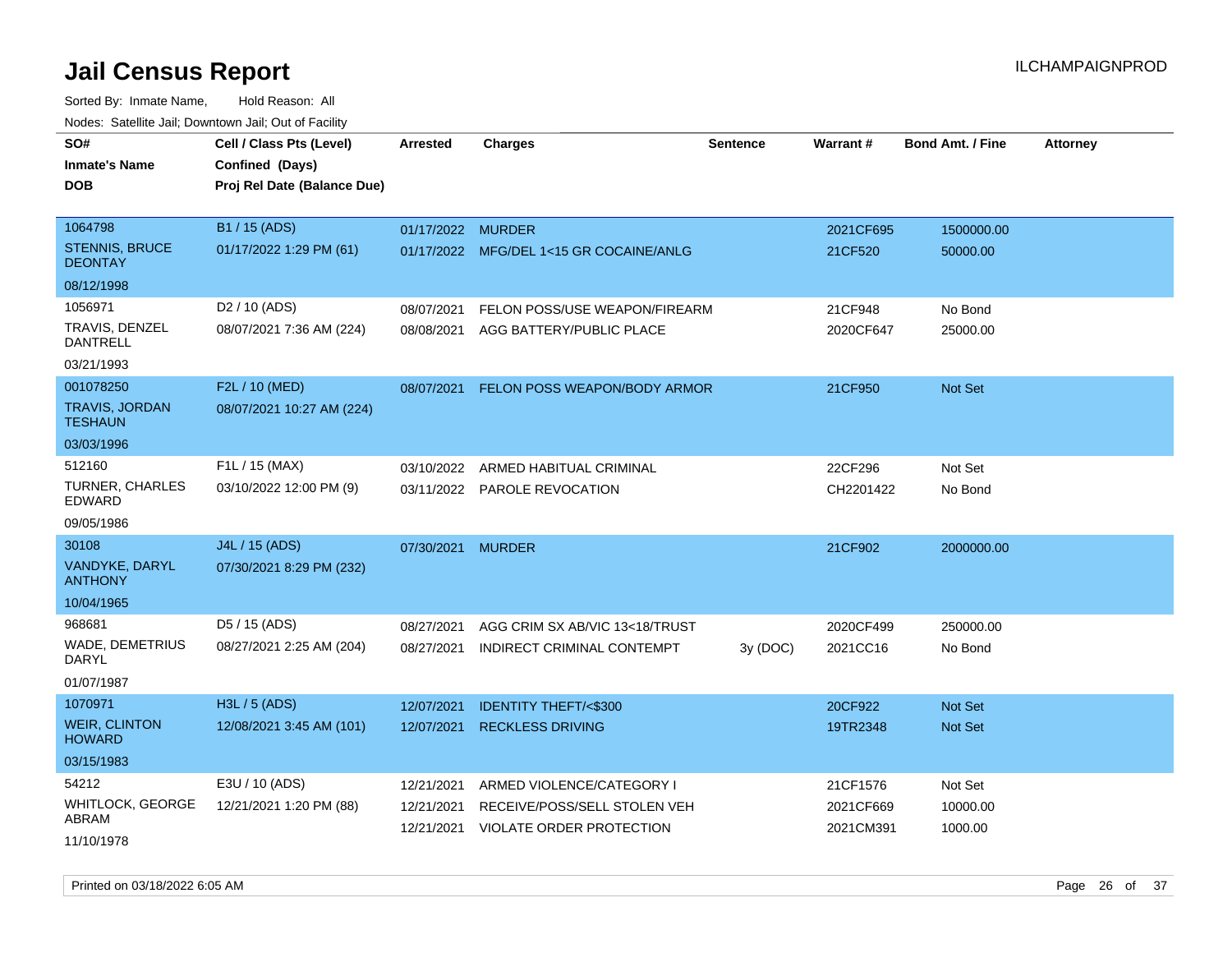| roacs. Catellite Jall, Downtown Jall, Out of Facility |                                                                            |                          |                                                          |                 |                        |                         |                 |
|-------------------------------------------------------|----------------------------------------------------------------------------|--------------------------|----------------------------------------------------------|-----------------|------------------------|-------------------------|-----------------|
| SO#<br><b>Inmate's Name</b><br><b>DOB</b>             | Cell / Class Pts (Level)<br>Confined (Days)<br>Proj Rel Date (Balance Due) | <b>Arrested</b>          | Charges                                                  | <b>Sentence</b> | Warrant#               | <b>Bond Amt. / Fine</b> | <b>Attorney</b> |
| 1064798                                               | B1 / 15 (ADS)                                                              | 01/17/2022 MURDER        |                                                          |                 | 2021CF695              | 1500000.00              |                 |
| <b>STENNIS, BRUCE</b><br><b>DEONTAY</b>               | 01/17/2022 1:29 PM (61)                                                    |                          | 01/17/2022 MFG/DEL 1<15 GR COCAINE/ANLG                  |                 | 21CF520                | 50000.00                |                 |
| 08/12/1998                                            |                                                                            |                          |                                                          |                 |                        |                         |                 |
| 1056971                                               | D <sub>2</sub> / 10 (ADS)                                                  | 08/07/2021               | FELON POSS/USE WEAPON/FIREARM                            |                 | 21CF948                | No Bond                 |                 |
| TRAVIS, DENZEL<br><b>DANTRELL</b>                     | 08/07/2021 7:36 AM (224)                                                   | 08/08/2021               | AGG BATTERY/PUBLIC PLACE                                 |                 | 2020CF647              | 25000.00                |                 |
| 03/21/1993                                            |                                                                            |                          |                                                          |                 |                        |                         |                 |
| 001078250                                             | F2L / 10 (MED)                                                             | 08/07/2021               | FELON POSS WEAPON/BODY ARMOR                             |                 | 21CF950                | <b>Not Set</b>          |                 |
| TRAVIS, JORDAN<br><b>TESHAUN</b>                      | 08/07/2021 10:27 AM (224)                                                  |                          |                                                          |                 |                        |                         |                 |
| 03/03/1996                                            |                                                                            |                          |                                                          |                 |                        |                         |                 |
| 512160                                                | F1L / 15 (MAX)                                                             | 03/10/2022               | ARMED HABITUAL CRIMINAL                                  |                 | 22CF296                | Not Set                 |                 |
| <b>TURNER, CHARLES</b><br><b>EDWARD</b>               | 03/10/2022 12:00 PM (9)                                                    |                          | 03/11/2022 PAROLE REVOCATION                             |                 | CH2201422              | No Bond                 |                 |
| 09/05/1986                                            |                                                                            |                          |                                                          |                 |                        |                         |                 |
| 30108                                                 | J4L / 15 (ADS)                                                             | 07/30/2021               | <b>MURDER</b>                                            |                 | 21CF902                | 2000000.00              |                 |
| <b>VANDYKE, DARYL</b><br><b>ANTHONY</b>               | 07/30/2021 8:29 PM (232)                                                   |                          |                                                          |                 |                        |                         |                 |
| 10/04/1965                                            |                                                                            |                          |                                                          |                 |                        |                         |                 |
| 968681                                                | D5 / 15 (ADS)                                                              | 08/27/2021               | AGG CRIM SX AB/VIC 13<18/TRUST                           |                 | 2020CF499              | 250000.00               |                 |
| WADE, DEMETRIUS<br><b>DARYL</b>                       | 08/27/2021 2:25 AM (204)                                                   | 08/27/2021               | INDIRECT CRIMINAL CONTEMPT                               | 3y (DOC)        | 2021CC16               | No Bond                 |                 |
| 01/07/1987                                            |                                                                            |                          |                                                          |                 |                        |                         |                 |
| 1070971                                               | H3L / 5 (ADS)                                                              | 12/07/2021               | <b>IDENTITY THEFT/&lt;\$300</b>                          |                 | 20CF922                | <b>Not Set</b>          |                 |
| <b>WEIR, CLINTON</b><br><b>HOWARD</b>                 | 12/08/2021 3:45 AM (101)                                                   | 12/07/2021               | <b>RECKLESS DRIVING</b>                                  |                 | 19TR2348               | <b>Not Set</b>          |                 |
| 03/15/1983                                            |                                                                            |                          |                                                          |                 |                        |                         |                 |
| 54212                                                 | E3U / 10 (ADS)                                                             | 12/21/2021               | ARMED VIOLENCE/CATEGORY I                                |                 | 21CF1576               | Not Set                 |                 |
| <b>WHITLOCK, GEORGE</b><br>ABRAM                      | 12/21/2021 1:20 PM (88)                                                    | 12/21/2021<br>12/21/2021 | RECEIVE/POSS/SELL STOLEN VEH<br>VIOLATE ORDER PROTECTION |                 | 2021CF669<br>2021CM391 | 10000.00<br>1000.00     |                 |
| 11/10/1978                                            |                                                                            |                          |                                                          |                 |                        |                         |                 |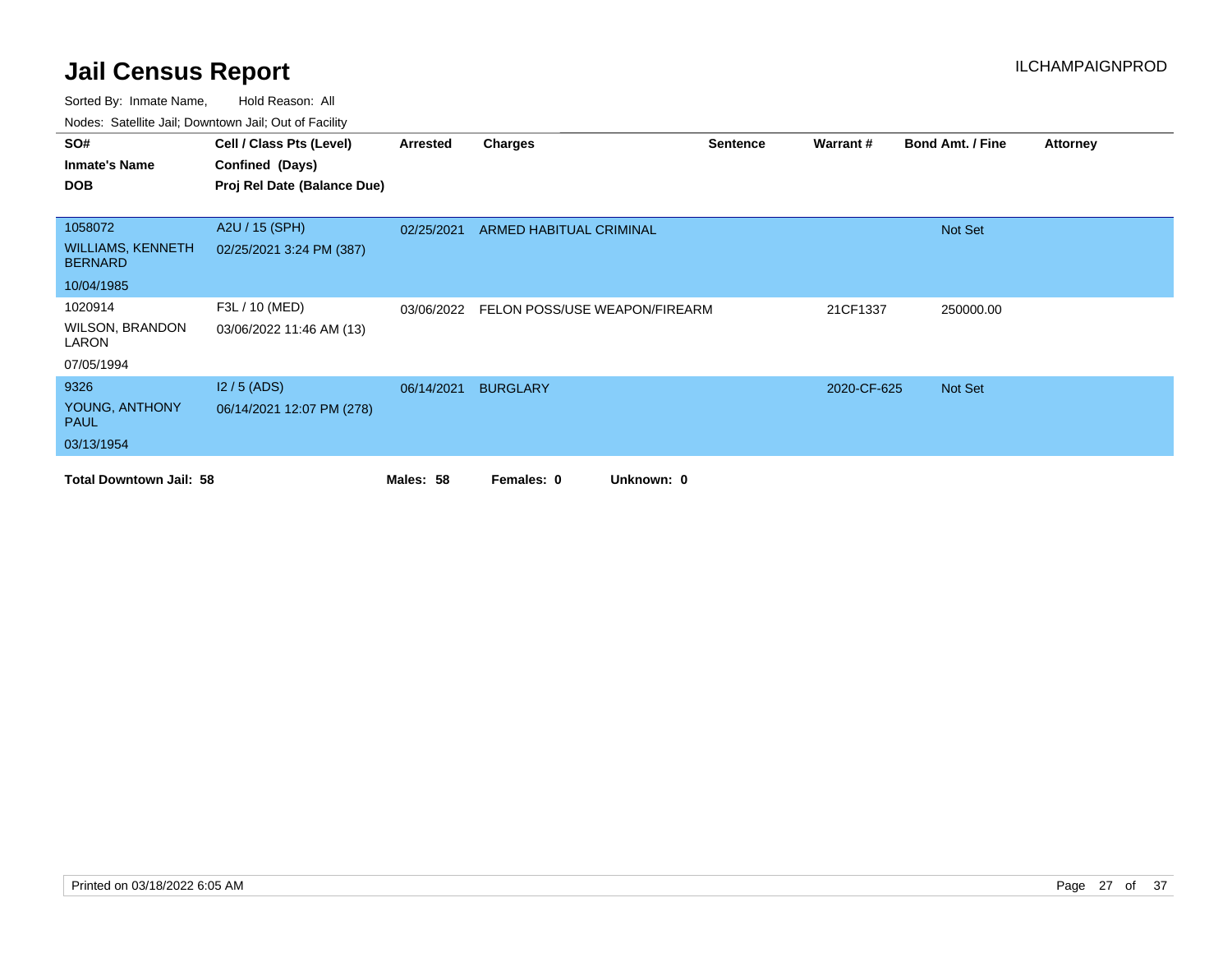| SO#<br><b>Inmate's Name</b><br><b>DOB</b>  | Cell / Class Pts (Level)<br>Confined (Days)<br>Proj Rel Date (Balance Due) | Arrested   | <b>Charges</b>                | <b>Sentence</b> | Warrant#    | <b>Bond Amt. / Fine</b> | <b>Attorney</b> |
|--------------------------------------------|----------------------------------------------------------------------------|------------|-------------------------------|-----------------|-------------|-------------------------|-----------------|
|                                            |                                                                            |            |                               |                 |             |                         |                 |
| 1058072                                    | A2U / 15 (SPH)                                                             | 02/25/2021 | ARMED HABITUAL CRIMINAL       |                 |             | Not Set                 |                 |
| <b>WILLIAMS, KENNETH</b><br><b>BERNARD</b> | 02/25/2021 3:24 PM (387)                                                   |            |                               |                 |             |                         |                 |
| 10/04/1985                                 |                                                                            |            |                               |                 |             |                         |                 |
| 1020914                                    | F3L / 10 (MED)                                                             | 03/06/2022 | FELON POSS/USE WEAPON/FIREARM |                 | 21CF1337    | 250000.00               |                 |
| <b>WILSON, BRANDON</b><br>LARON            | 03/06/2022 11:46 AM (13)                                                   |            |                               |                 |             |                         |                 |
| 07/05/1994                                 |                                                                            |            |                               |                 |             |                         |                 |
| 9326                                       | $12/5$ (ADS)                                                               | 06/14/2021 | <b>BURGLARY</b>               |                 | 2020-CF-625 | Not Set                 |                 |
| YOUNG, ANTHONY<br><b>PAUL</b>              | 06/14/2021 12:07 PM (278)                                                  |            |                               |                 |             |                         |                 |
| 03/13/1954                                 |                                                                            |            |                               |                 |             |                         |                 |
| <b>Total Downtown Jail: 58</b>             |                                                                            | Males: 58  | Unknown: 0<br>Females: 0      |                 |             |                         |                 |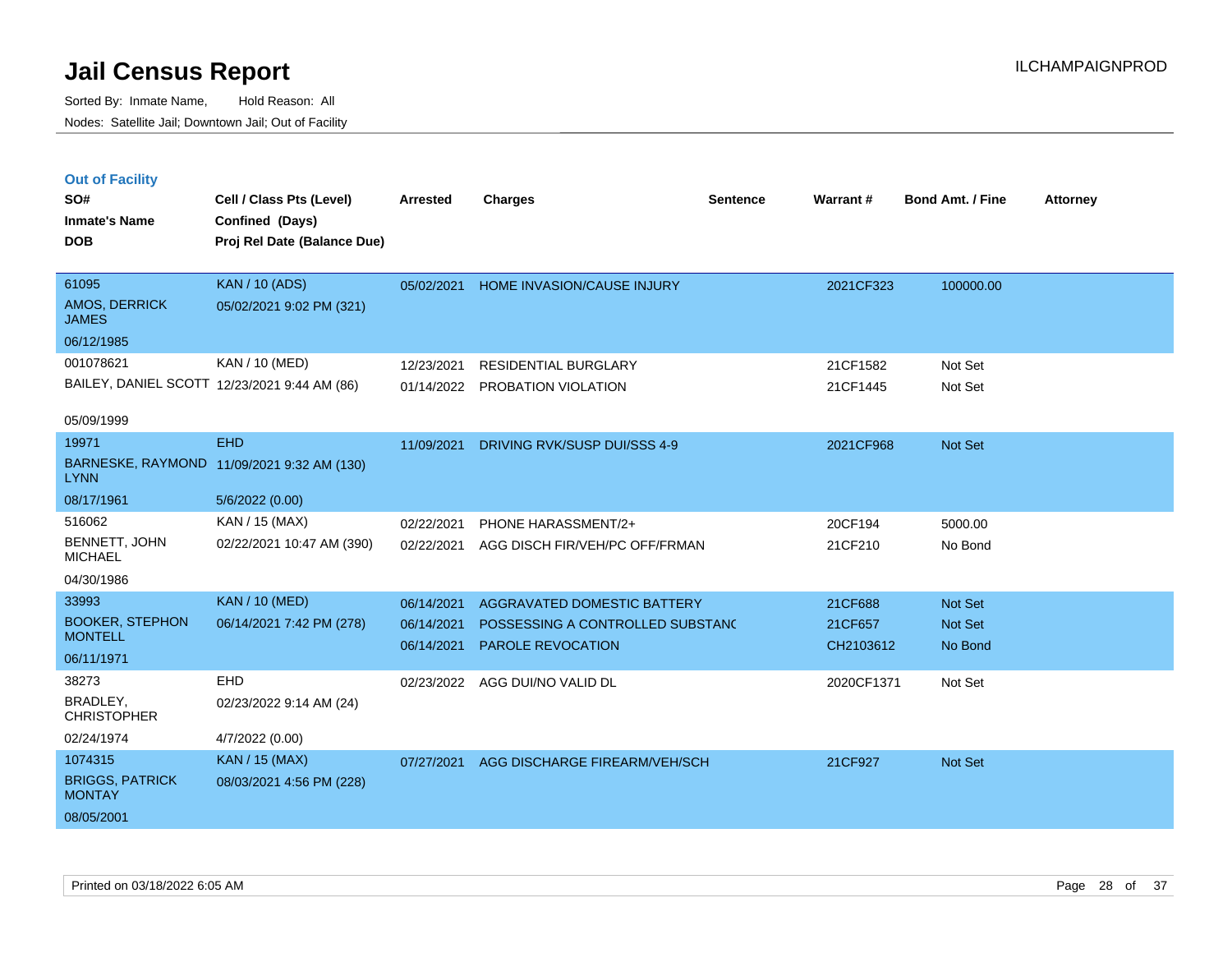|  | <b>Out of Facility</b> |  |
|--|------------------------|--|

| SO#<br><b>Inmate's Name</b>              | Cell / Class Pts (Level)<br>Confined (Days)  | <b>Arrested</b> | <b>Charges</b>                   | <b>Sentence</b> | <b>Warrant#</b> | <b>Bond Amt. / Fine</b> | <b>Attorney</b> |
|------------------------------------------|----------------------------------------------|-----------------|----------------------------------|-----------------|-----------------|-------------------------|-----------------|
| <b>DOB</b>                               | Proj Rel Date (Balance Due)                  |                 |                                  |                 |                 |                         |                 |
| 61095                                    | <b>KAN / 10 (ADS)</b>                        | 05/02/2021      | HOME INVASION/CAUSE INJURY       |                 | 2021CF323       | 100000.00               |                 |
| AMOS, DERRICK<br><b>JAMES</b>            | 05/02/2021 9:02 PM (321)                     |                 |                                  |                 |                 |                         |                 |
| 06/12/1985                               |                                              |                 |                                  |                 |                 |                         |                 |
| 001078621                                | KAN / 10 (MED)                               | 12/23/2021      | RESIDENTIAL BURGLARY             |                 | 21CF1582        | Not Set                 |                 |
|                                          | BAILEY, DANIEL SCOTT 12/23/2021 9:44 AM (86) | 01/14/2022      | PROBATION VIOLATION              |                 | 21CF1445        | Not Set                 |                 |
| 05/09/1999                               |                                              |                 |                                  |                 |                 |                         |                 |
| 19971                                    | <b>EHD</b>                                   | 11/09/2021      | DRIVING RVK/SUSP DUI/SSS 4-9     |                 | 2021CF968       | Not Set                 |                 |
| <b>LYNN</b>                              | BARNESKE, RAYMOND 11/09/2021 9:32 AM (130)   |                 |                                  |                 |                 |                         |                 |
| 08/17/1961                               | 5/6/2022 (0.00)                              |                 |                                  |                 |                 |                         |                 |
| 516062                                   | KAN / 15 (MAX)                               | 02/22/2021      | PHONE HARASSMENT/2+              |                 | 20CF194         | 5000.00                 |                 |
| BENNETT, JOHN<br><b>MICHAEL</b>          | 02/22/2021 10:47 AM (390)                    | 02/22/2021      | AGG DISCH FIR/VEH/PC OFF/FRMAN   |                 | 21CF210         | No Bond                 |                 |
| 04/30/1986                               |                                              |                 |                                  |                 |                 |                         |                 |
| 33993                                    | <b>KAN / 10 (MED)</b>                        | 06/14/2021      | AGGRAVATED DOMESTIC BATTERY      |                 | 21CF688         | Not Set                 |                 |
| <b>BOOKER, STEPHON</b><br><b>MONTELL</b> | 06/14/2021 7:42 PM (278)                     | 06/14/2021      | POSSESSING A CONTROLLED SUBSTANC |                 | 21CF657         | Not Set                 |                 |
| 06/11/1971                               |                                              | 06/14/2021      | PAROLE REVOCATION                |                 | CH2103612       | No Bond                 |                 |
| 38273                                    | EHD                                          | 02/23/2022      | AGG DUI/NO VALID DL              |                 | 2020CF1371      | Not Set                 |                 |
| BRADLEY,                                 | 02/23/2022 9:14 AM (24)                      |                 |                                  |                 |                 |                         |                 |
| <b>CHRISTOPHER</b>                       |                                              |                 |                                  |                 |                 |                         |                 |
| 02/24/1974                               | 4/7/2022 (0.00)                              |                 |                                  |                 |                 |                         |                 |
| 1074315                                  | <b>KAN / 15 (MAX)</b>                        | 07/27/2021      | AGG DISCHARGE FIREARM/VEH/SCH    |                 | 21CF927         | Not Set                 |                 |
| <b>BRIGGS, PATRICK</b><br><b>MONTAY</b>  | 08/03/2021 4:56 PM (228)                     |                 |                                  |                 |                 |                         |                 |
| 08/05/2001                               |                                              |                 |                                  |                 |                 |                         |                 |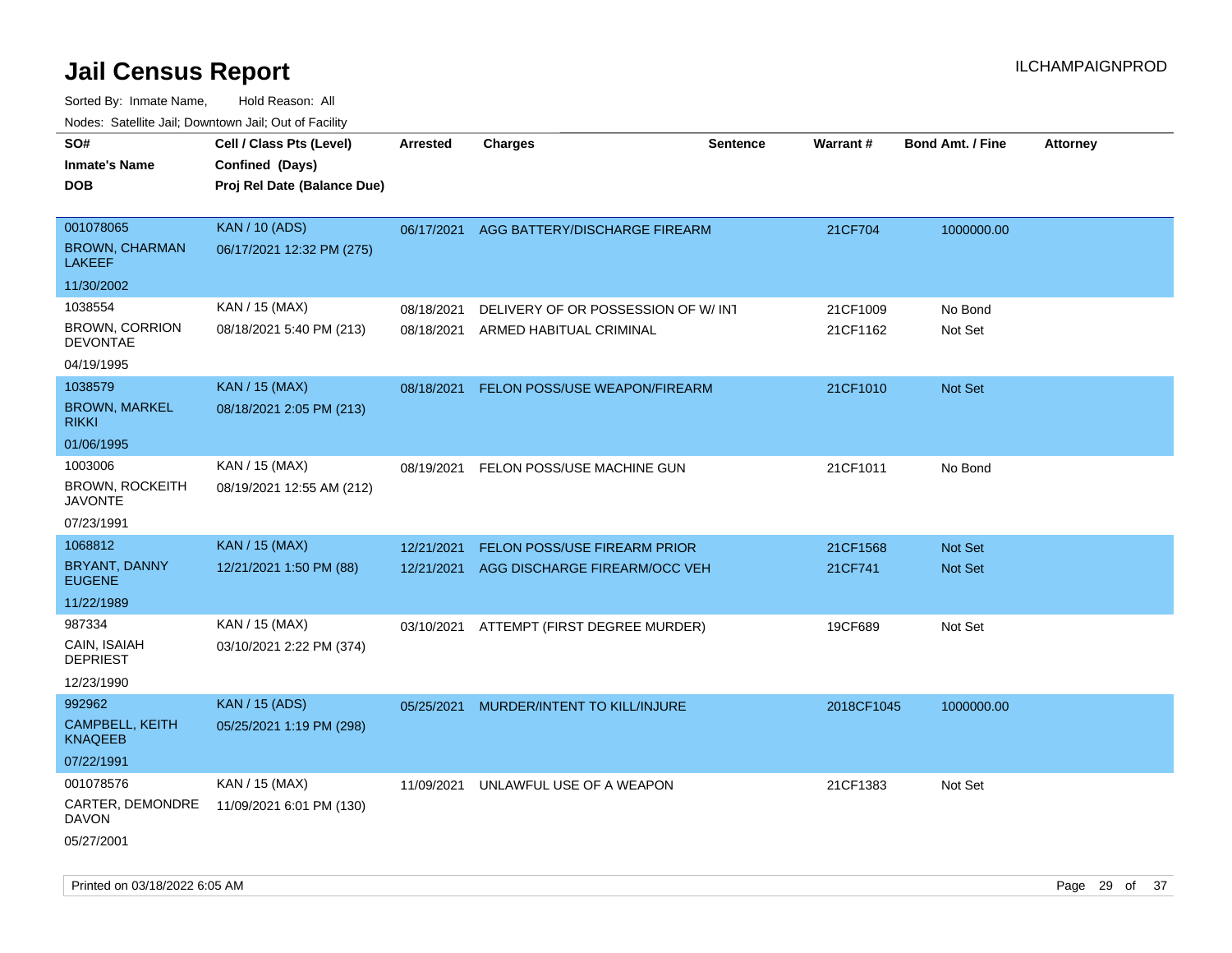| 10000. Catolino can, Domntonn can, Oat or I domt                      |                                                                            |                          |                                                                      |                 |                      |                           |                 |
|-----------------------------------------------------------------------|----------------------------------------------------------------------------|--------------------------|----------------------------------------------------------------------|-----------------|----------------------|---------------------------|-----------------|
| SO#<br>Inmate's Name<br>DOB                                           | Cell / Class Pts (Level)<br>Confined (Days)<br>Proj Rel Date (Balance Due) | Arrested                 | <b>Charges</b>                                                       | <b>Sentence</b> | <b>Warrant#</b>      | <b>Bond Amt. / Fine</b>   | <b>Attorney</b> |
| 001078065<br><b>BROWN, CHARMAN</b><br>LAKEEF                          | <b>KAN / 10 (ADS)</b><br>06/17/2021 12:32 PM (275)                         | 06/17/2021               | AGG BATTERY/DISCHARGE FIREARM                                        |                 | 21CF704              | 1000000.00                |                 |
| 11/30/2002<br>1038554<br><b>BROWN, CORRION</b><br>DEVONTAE            | KAN / 15 (MAX)<br>08/18/2021 5:40 PM (213)                                 | 08/18/2021<br>08/18/2021 | DELIVERY OF OR POSSESSION OF W/INT<br>ARMED HABITUAL CRIMINAL        |                 | 21CF1009<br>21CF1162 | No Bond<br>Not Set        |                 |
| 04/19/1995<br>1038579<br><b>BROWN, MARKEL</b><br>RIKKI                | <b>KAN / 15 (MAX)</b><br>08/18/2021 2:05 PM (213)                          | 08/18/2021               | FELON POSS/USE WEAPON/FIREARM                                        |                 | 21CF1010             | Not Set                   |                 |
| 01/06/1995<br>1003006<br>BROWN, ROCKEITH<br><b>JAVONTE</b>            | KAN / 15 (MAX)<br>08/19/2021 12:55 AM (212)                                | 08/19/2021               | FELON POSS/USE MACHINE GUN                                           |                 | 21CF1011             | No Bond                   |                 |
| 07/23/1991<br>1068812<br>BRYANT, DANNY<br><b>EUGENE</b><br>11/22/1989 | <b>KAN / 15 (MAX)</b><br>12/21/2021 1:50 PM (88)                           | 12/21/2021<br>12/21/2021 | <b>FELON POSS/USE FIREARM PRIOR</b><br>AGG DISCHARGE FIREARM/OCC VEH |                 | 21CF1568<br>21CF741  | Not Set<br><b>Not Set</b> |                 |
| 987334<br>CAIN, ISAIAH<br><b>DEPRIEST</b><br>12/23/1990               | KAN / 15 (MAX)<br>03/10/2021 2:22 PM (374)                                 |                          | 03/10/2021 ATTEMPT (FIRST DEGREE MURDER)                             |                 | 19CF689              | Not Set                   |                 |
| 992962<br><b>CAMPBELL, KEITH</b><br>KNAQEEB<br>07/22/1991             | <b>KAN / 15 (ADS)</b><br>05/25/2021 1:19 PM (298)                          | 05/25/2021               | MURDER/INTENT TO KILL/INJURE                                         |                 | 2018CF1045           | 1000000.00                |                 |
| 001078576<br>CARTER, DEMONDRE<br>DAVON<br>05/27/2001                  | KAN / 15 (MAX)<br>11/09/2021 6:01 PM (130)                                 | 11/09/2021               | UNLAWFUL USE OF A WEAPON                                             |                 | 21CF1383             | Not Set                   |                 |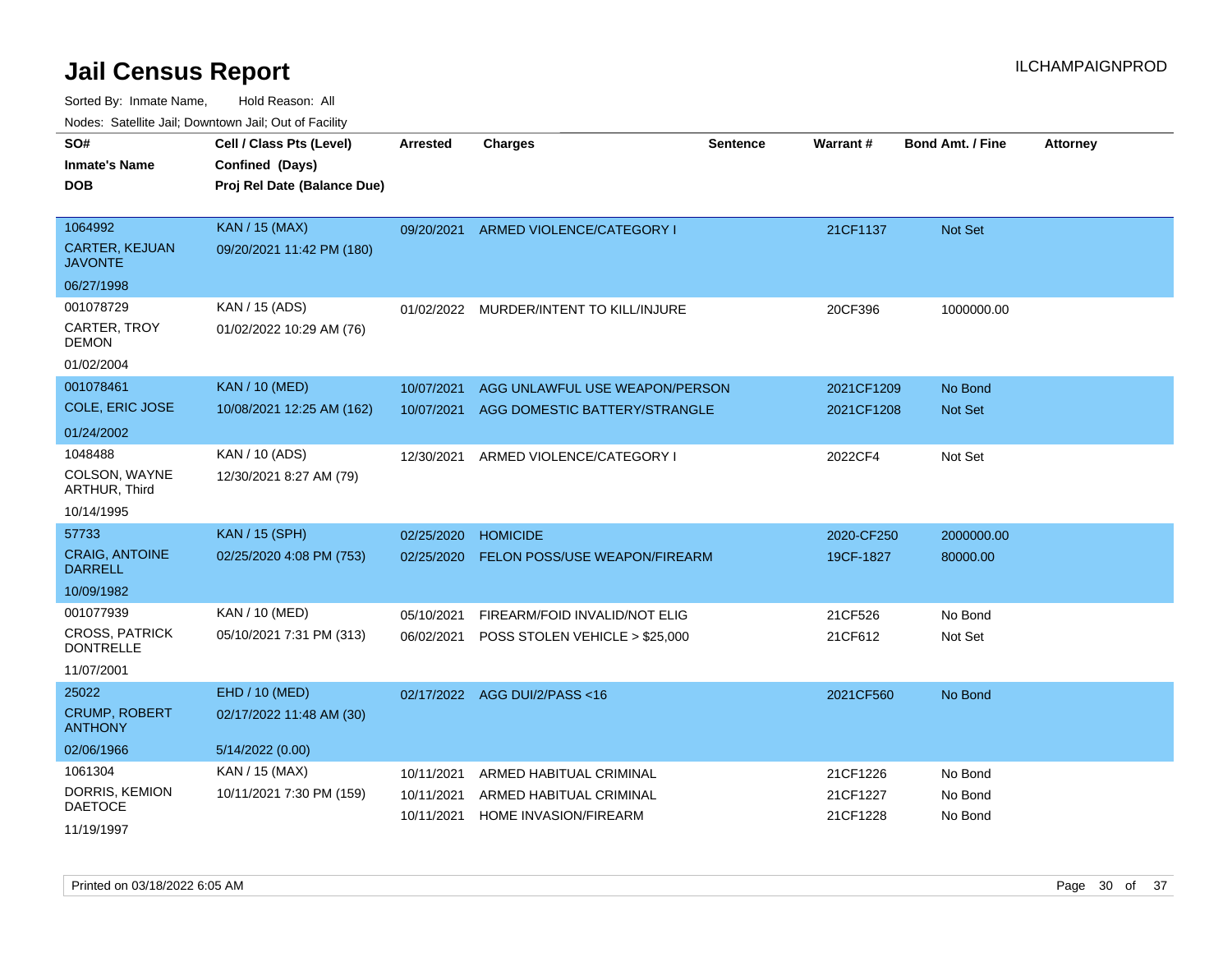|                                       | soupois catomic can, Dominomii can, Cat or Faomt                           |                          |                                                         |                 |                      |                         |                 |
|---------------------------------------|----------------------------------------------------------------------------|--------------------------|---------------------------------------------------------|-----------------|----------------------|-------------------------|-----------------|
| SO#<br><b>Inmate's Name</b><br>DOB    | Cell / Class Pts (Level)<br>Confined (Days)<br>Proj Rel Date (Balance Due) | <b>Arrested</b>          | <b>Charges</b>                                          | <b>Sentence</b> | Warrant#             | <b>Bond Amt. / Fine</b> | <b>Attorney</b> |
| 1064992<br><b>CARTER, KEJUAN</b>      | <b>KAN / 15 (MAX)</b><br>09/20/2021 11:42 PM (180)                         | 09/20/2021               | ARMED VIOLENCE/CATEGORY I                               |                 | 21CF1137             | <b>Not Set</b>          |                 |
| JAVONTE                               |                                                                            |                          |                                                         |                 |                      |                         |                 |
| 06/27/1998                            |                                                                            |                          |                                                         |                 |                      |                         |                 |
| 001078729                             | KAN / 15 (ADS)                                                             | 01/02/2022               | MURDER/INTENT TO KILL/INJURE                            |                 | 20CF396              | 1000000.00              |                 |
| CARTER, TROY<br>DEMON                 | 01/02/2022 10:29 AM (76)                                                   |                          |                                                         |                 |                      |                         |                 |
| 01/02/2004                            |                                                                            |                          |                                                         |                 |                      |                         |                 |
| 001078461                             | <b>KAN / 10 (MED)</b>                                                      | 10/07/2021               | AGG UNLAWFUL USE WEAPON/PERSON                          |                 | 2021CF1209           | No Bond                 |                 |
| COLE, ERIC JOSE                       | 10/08/2021 12:25 AM (162)                                                  | 10/07/2021               | AGG DOMESTIC BATTERY/STRANGLE                           |                 | 2021CF1208           | <b>Not Set</b>          |                 |
| 01/24/2002                            |                                                                            |                          |                                                         |                 |                      |                         |                 |
| 1048488                               | KAN / 10 (ADS)                                                             | 12/30/2021               | ARMED VIOLENCE/CATEGORY I                               |                 | 2022CF4              | Not Set                 |                 |
| COLSON, WAYNE<br><b>ARTHUR, Third</b> | 12/30/2021 8:27 AM (79)                                                    |                          |                                                         |                 |                      |                         |                 |
| 10/14/1995                            |                                                                            |                          |                                                         |                 |                      |                         |                 |
| 57733                                 | <b>KAN / 15 (SPH)</b>                                                      | 02/25/2020               | <b>HOMICIDE</b>                                         |                 | 2020-CF250           | 2000000.00              |                 |
| <b>CRAIG, ANTOINE</b><br>DARRELL      | 02/25/2020 4:08 PM (753)                                                   | 02/25/2020               | FELON POSS/USE WEAPON/FIREARM                           |                 | 19CF-1827            | 80000.00                |                 |
| 10/09/1982                            |                                                                            |                          |                                                         |                 |                      |                         |                 |
| 001077939                             | KAN / 10 (MED)                                                             | 05/10/2021               | FIREARM/FOID INVALID/NOT ELIG                           |                 | 21CF526              | No Bond                 |                 |
| CROSS, PATRICK<br><b>DONTRELLE</b>    | 05/10/2021 7:31 PM (313)                                                   | 06/02/2021               | POSS STOLEN VEHICLE > \$25,000                          |                 | 21CF612              | Not Set                 |                 |
| 11/07/2001                            |                                                                            |                          |                                                         |                 |                      |                         |                 |
| 25022                                 | EHD / 10 (MED)                                                             | 02/17/2022               | AGG DUI/2/PASS <16                                      |                 | 2021CF560            | No Bond                 |                 |
| <b>CRUMP, ROBERT</b><br>ANTHONY       | 02/17/2022 11:48 AM (30)                                                   |                          |                                                         |                 |                      |                         |                 |
| 02/06/1966                            | 5/14/2022 (0.00)                                                           |                          |                                                         |                 |                      |                         |                 |
| 1061304                               | KAN / 15 (MAX)                                                             | 10/11/2021               | ARMED HABITUAL CRIMINAL                                 |                 | 21CF1226             | No Bond                 |                 |
| DORRIS, KEMION<br>DAETOCE             | 10/11/2021 7:30 PM (159)                                                   | 10/11/2021<br>10/11/2021 | ARMED HABITUAL CRIMINAL<br><b>HOME INVASION/FIREARM</b> |                 | 21CF1227<br>21CF1228 | No Bond<br>No Bond      |                 |
| 11/19/1997                            |                                                                            |                          |                                                         |                 |                      |                         |                 |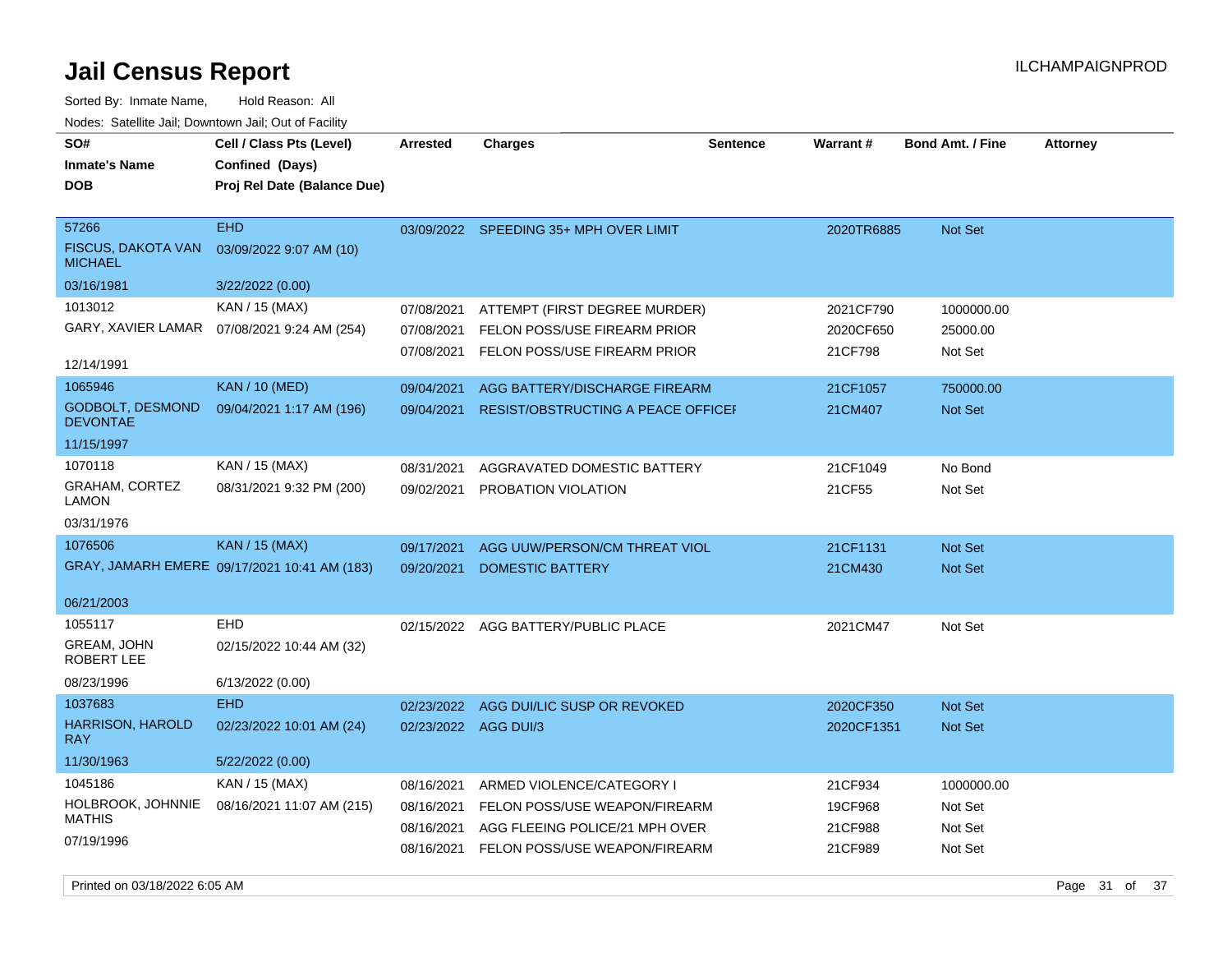**DOB SO# Inmate's Name Cell / Class Pts (Level) Arrested Charges Warrant # Bond Amt. / Fine Attorney Confined (Days) Proj Rel Date (Balance Due)** Sorted By: Inmate Name, Hold Reason: All Nodes: Satellite Jail; Downtown Jail; Out of Facility

| 57266                                       | <b>EHD</b>                                   |                      | 03/09/2022 SPEEDING 35+ MPH OVER LIMIT    | 2020TR6885 | <b>Not Set</b> |
|---------------------------------------------|----------------------------------------------|----------------------|-------------------------------------------|------------|----------------|
| <b>FISCUS, DAKOTA VAN</b><br><b>MICHAEL</b> | 03/09/2022 9:07 AM (10)                      |                      |                                           |            |                |
| 03/16/1981                                  | 3/22/2022 (0.00)                             |                      |                                           |            |                |
| 1013012                                     | KAN / 15 (MAX)                               | 07/08/2021           | ATTEMPT (FIRST DEGREE MURDER)             | 2021CF790  | 1000000.00     |
|                                             | GARY, XAVIER LAMAR  07/08/2021 9:24 AM (254) | 07/08/2021           | FELON POSS/USE FIREARM PRIOR              | 2020CF650  | 25000.00       |
| 12/14/1991                                  |                                              | 07/08/2021           | FELON POSS/USE FIREARM PRIOR              | 21CF798    | Not Set        |
| 1065946                                     | <b>KAN / 10 (MED)</b>                        | 09/04/2021           | AGG BATTERY/DISCHARGE FIREARM             | 21CF1057   | 750000.00      |
| <b>GODBOLT, DESMOND</b><br><b>DEVONTAE</b>  | 09/04/2021 1:17 AM (196)                     | 09/04/2021           | <b>RESIST/OBSTRUCTING A PEACE OFFICEF</b> | 21CM407    | <b>Not Set</b> |
| 11/15/1997                                  |                                              |                      |                                           |            |                |
| 1070118                                     | KAN / 15 (MAX)                               | 08/31/2021           | AGGRAVATED DOMESTIC BATTERY               | 21CF1049   | No Bond        |
| GRAHAM, CORTEZ<br><b>LAMON</b>              | 08/31/2021 9:32 PM (200)                     | 09/02/2021           | PROBATION VIOLATION                       | 21CF55     | Not Set        |
| 03/31/1976                                  |                                              |                      |                                           |            |                |
| 1076506                                     | <b>KAN / 15 (MAX)</b>                        | 09/17/2021           | AGG UUW/PERSON/CM THREAT VIOL             | 21CF1131   | <b>Not Set</b> |
|                                             | GRAY, JAMARH EMERE 09/17/2021 10:41 AM (183) | 09/20/2021           | <b>DOMESTIC BATTERY</b>                   | 21CM430    | <b>Not Set</b> |
|                                             |                                              |                      |                                           |            |                |
| 06/21/2003                                  |                                              |                      |                                           |            |                |
| 1055117                                     | <b>EHD</b>                                   |                      | 02/15/2022 AGG BATTERY/PUBLIC PLACE       | 2021CM47   | Not Set        |
| GREAM, JOHN<br>ROBERT LEE                   | 02/15/2022 10:44 AM (32)                     |                      |                                           |            |                |
| 08/23/1996                                  | 6/13/2022 (0.00)                             |                      |                                           |            |                |
| 1037683                                     | <b>EHD</b>                                   | 02/23/2022           | AGG DUI/LIC SUSP OR REVOKED               | 2020CF350  | <b>Not Set</b> |
| <b>HARRISON, HAROLD</b><br><b>RAY</b>       | 02/23/2022 10:01 AM (24)                     | 02/23/2022 AGG DUI/3 |                                           | 2020CF1351 | <b>Not Set</b> |
| 11/30/1963                                  | 5/22/2022 (0.00)                             |                      |                                           |            |                |
| 1045186                                     | KAN / 15 (MAX)                               | 08/16/2021           | ARMED VIOLENCE/CATEGORY I                 | 21CF934    | 1000000.00     |
| HOLBROOK, JOHNNIE                           | 08/16/2021 11:07 AM (215)                    | 08/16/2021           | FELON POSS/USE WEAPON/FIREARM             | 19CF968    | Not Set        |
| <b>MATHIS</b>                               |                                              | 08/16/2021           | AGG FLEEING POLICE/21 MPH OVER            | 21CF988    | Not Set        |
| 07/19/1996                                  |                                              | 08/16/2021           | FELON POSS/USE WEAPON/FIREARM             | 21CF989    | Not Set        |

**Sentence**

Printed on 03/18/2022 6:05 AM **Page 31** of 37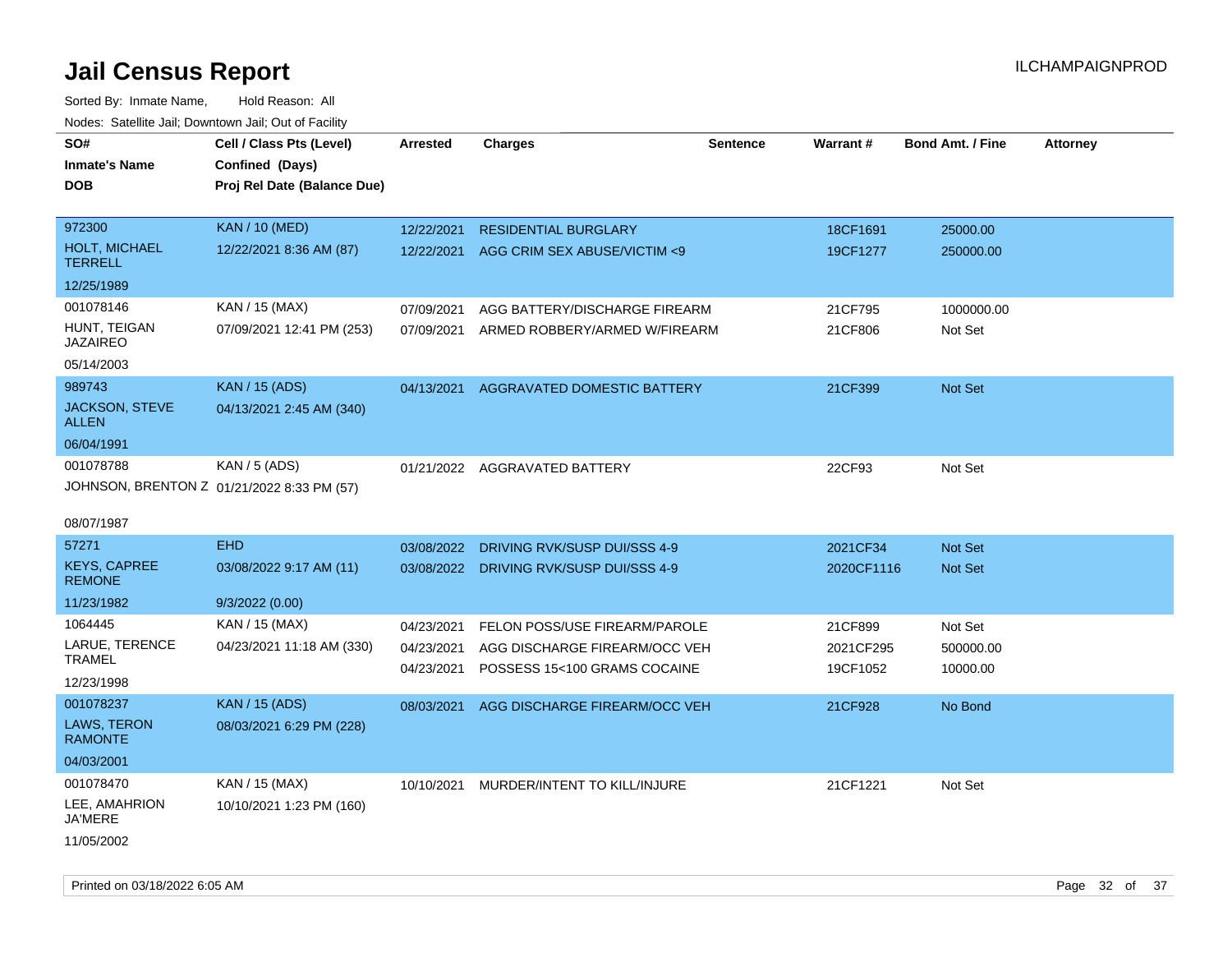| roacs. Catellite Jall, Downtown Jall, Out of Facility |                                                                            |                 |                                         |                 |            |                         |                 |
|-------------------------------------------------------|----------------------------------------------------------------------------|-----------------|-----------------------------------------|-----------------|------------|-------------------------|-----------------|
| SO#<br><b>Inmate's Name</b><br><b>DOB</b>             | Cell / Class Pts (Level)<br>Confined (Days)<br>Proj Rel Date (Balance Due) | <b>Arrested</b> | <b>Charges</b>                          | <b>Sentence</b> | Warrant#   | <b>Bond Amt. / Fine</b> | <b>Attorney</b> |
|                                                       |                                                                            |                 |                                         |                 |            |                         |                 |
| 972300                                                | <b>KAN / 10 (MED)</b>                                                      | 12/22/2021      | <b>RESIDENTIAL BURGLARY</b>             |                 | 18CF1691   | 25000.00                |                 |
| <b>HOLT, MICHAEL</b><br><b>TERRELL</b>                | 12/22/2021 8:36 AM (87)                                                    | 12/22/2021      | AGG CRIM SEX ABUSE/VICTIM <9            |                 | 19CF1277   | 250000.00               |                 |
| 12/25/1989                                            |                                                                            |                 |                                         |                 |            |                         |                 |
| 001078146                                             | KAN / 15 (MAX)                                                             | 07/09/2021      | AGG BATTERY/DISCHARGE FIREARM           |                 | 21CF795    | 1000000.00              |                 |
| HUNT, TEIGAN<br><b>JAZAIREO</b>                       | 07/09/2021 12:41 PM (253)                                                  | 07/09/2021      | ARMED ROBBERY/ARMED W/FIREARM           |                 | 21CF806    | Not Set                 |                 |
| 05/14/2003                                            |                                                                            |                 |                                         |                 |            |                         |                 |
| 989743                                                | <b>KAN / 15 (ADS)</b>                                                      | 04/13/2021      | AGGRAVATED DOMESTIC BATTERY             |                 | 21CF399    | Not Set                 |                 |
| <b>JACKSON, STEVE</b><br><b>ALLEN</b>                 | 04/13/2021 2:45 AM (340)                                                   |                 |                                         |                 |            |                         |                 |
| 06/04/1991                                            |                                                                            |                 |                                         |                 |            |                         |                 |
| 001078788                                             | KAN / 5 (ADS)                                                              |                 | 01/21/2022 AGGRAVATED BATTERY           |                 | 22CF93     | Not Set                 |                 |
|                                                       | JOHNSON, BRENTON Z 01/21/2022 8:33 PM (57)                                 |                 |                                         |                 |            |                         |                 |
|                                                       |                                                                            |                 |                                         |                 |            |                         |                 |
| 08/07/1987                                            |                                                                            |                 |                                         |                 |            |                         |                 |
| 57271                                                 | <b>EHD</b>                                                                 | 03/08/2022      | DRIVING RVK/SUSP DUI/SSS 4-9            |                 | 2021CF34   | <b>Not Set</b>          |                 |
| <b>KEYS, CAPREE</b><br><b>REMONE</b>                  | 03/08/2022 9:17 AM (11)                                                    |                 | 03/08/2022 DRIVING RVK/SUSP DUI/SSS 4-9 |                 | 2020CF1116 | Not Set                 |                 |
| 11/23/1982                                            | 9/3/2022(0.00)                                                             |                 |                                         |                 |            |                         |                 |
| 1064445                                               | KAN / 15 (MAX)                                                             | 04/23/2021      | FELON POSS/USE FIREARM/PAROLE           |                 | 21CF899    | Not Set                 |                 |
| LARUE, TERENCE                                        | 04/23/2021 11:18 AM (330)                                                  | 04/23/2021      | AGG DISCHARGE FIREARM/OCC VEH           |                 | 2021CF295  | 500000.00               |                 |
| <b>TRAMEL</b>                                         |                                                                            | 04/23/2021      | POSSESS 15<100 GRAMS COCAINE            |                 | 19CF1052   | 10000.00                |                 |
| 12/23/1998                                            |                                                                            |                 |                                         |                 |            |                         |                 |
| 001078237                                             | <b>KAN / 15 (ADS)</b>                                                      | 08/03/2021      | AGG DISCHARGE FIREARM/OCC VEH           |                 | 21CF928    | No Bond                 |                 |
| LAWS, TERON<br><b>RAMONTE</b>                         | 08/03/2021 6:29 PM (228)                                                   |                 |                                         |                 |            |                         |                 |
| 04/03/2001                                            |                                                                            |                 |                                         |                 |            |                         |                 |
| 001078470                                             | KAN / 15 (MAX)                                                             |                 | 10/10/2021 MURDER/INTENT TO KILL/INJURE |                 | 21CF1221   | Not Set                 |                 |
| LEE, AMAHRION<br>JA'MERE                              | 10/10/2021 1:23 PM (160)                                                   |                 |                                         |                 |            |                         |                 |
| 11/05/2002                                            |                                                                            |                 |                                         |                 |            |                         |                 |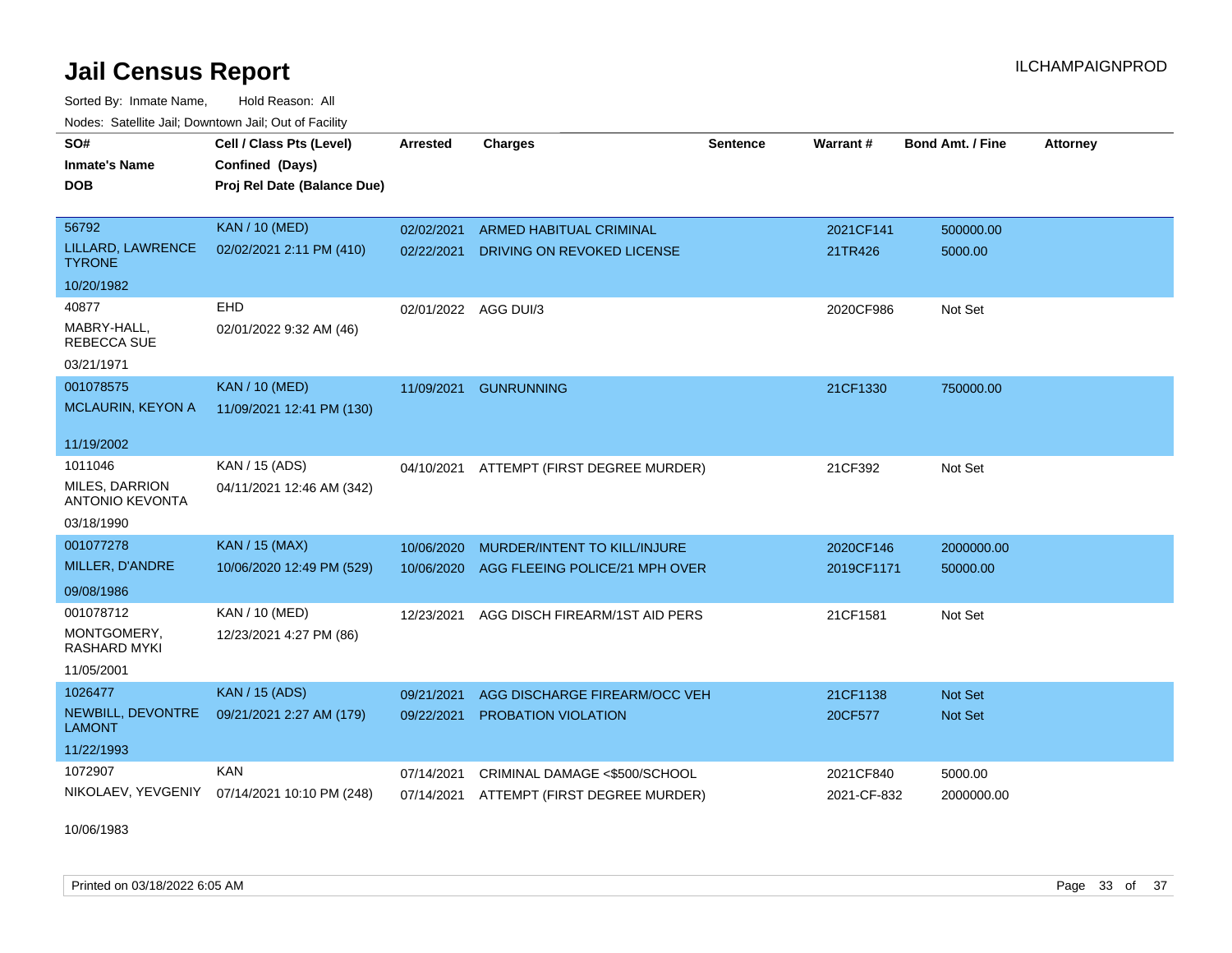Sorted By: Inmate Name, Hold Reason: All Nodes: Satellite Jail; Downtown Jail; Out of Facility

| <b>Neget Calculus Vall, Downlown Vall, Out of Fability</b> |                                                                            |                      |                                |                 |                 |                         |                 |
|------------------------------------------------------------|----------------------------------------------------------------------------|----------------------|--------------------------------|-----------------|-----------------|-------------------------|-----------------|
| SO#<br><b>Inmate's Name</b><br><b>DOB</b>                  | Cell / Class Pts (Level)<br>Confined (Days)<br>Proj Rel Date (Balance Due) | <b>Arrested</b>      | <b>Charges</b>                 | <b>Sentence</b> | <b>Warrant#</b> | <b>Bond Amt. / Fine</b> | <b>Attorney</b> |
| 56792                                                      | <b>KAN / 10 (MED)</b>                                                      | 02/02/2021           | <b>ARMED HABITUAL CRIMINAL</b> |                 | 2021CF141       | 500000.00               |                 |
| LILLARD, LAWRENCE<br><b>TYRONE</b>                         | 02/02/2021 2:11 PM (410)                                                   | 02/22/2021           | DRIVING ON REVOKED LICENSE     |                 | 21TR426         | 5000.00                 |                 |
| 10/20/1982                                                 |                                                                            |                      |                                |                 |                 |                         |                 |
| 40877                                                      | <b>EHD</b>                                                                 | 02/01/2022 AGG DUI/3 |                                |                 | 2020CF986       | Not Set                 |                 |
| MABRY-HALL,<br><b>REBECCA SUE</b>                          | 02/01/2022 9:32 AM (46)                                                    |                      |                                |                 |                 |                         |                 |
| 03/21/1971                                                 |                                                                            |                      |                                |                 |                 |                         |                 |
| 001078575                                                  | <b>KAN / 10 (MED)</b>                                                      | 11/09/2021           | <b>GUNRUNNING</b>              |                 | 21CF1330        | 750000.00               |                 |
| <b>MCLAURIN, KEYON A</b>                                   | 11/09/2021 12:41 PM (130)                                                  |                      |                                |                 |                 |                         |                 |
| 11/19/2002                                                 |                                                                            |                      |                                |                 |                 |                         |                 |
| 1011046                                                    | KAN / 15 (ADS)                                                             | 04/10/2021           | ATTEMPT (FIRST DEGREE MURDER)  |                 | 21CF392         | Not Set                 |                 |
| <b>MILES, DARRION</b><br><b>ANTONIO KEVONTA</b>            | 04/11/2021 12:46 AM (342)                                                  |                      |                                |                 |                 |                         |                 |
| 03/18/1990                                                 |                                                                            |                      |                                |                 |                 |                         |                 |
| 001077278                                                  | <b>KAN / 15 (MAX)</b>                                                      | 10/06/2020           | MURDER/INTENT TO KILL/INJURE   |                 | 2020CF146       | 2000000.00              |                 |
| MILLER, D'ANDRE                                            | 10/06/2020 12:49 PM (529)                                                  | 10/06/2020           | AGG FLEEING POLICE/21 MPH OVER |                 | 2019CF1171      | 50000.00                |                 |
| 09/08/1986                                                 |                                                                            |                      |                                |                 |                 |                         |                 |
| 001078712                                                  | KAN / 10 (MED)                                                             | 12/23/2021           | AGG DISCH FIREARM/1ST AID PERS |                 | 21CF1581        | Not Set                 |                 |
| MONTGOMERY,<br><b>RASHARD MYKI</b>                         | 12/23/2021 4:27 PM (86)                                                    |                      |                                |                 |                 |                         |                 |
| 11/05/2001                                                 |                                                                            |                      |                                |                 |                 |                         |                 |
| 1026477                                                    | <b>KAN / 15 (ADS)</b>                                                      | 09/21/2021           | AGG DISCHARGE FIREARM/OCC VEH  |                 | 21CF1138        | <b>Not Set</b>          |                 |
| NEWBILL, DEVONTRE<br>LAMONT                                | 09/21/2021 2:27 AM (179)                                                   | 09/22/2021           | <b>PROBATION VIOLATION</b>     |                 | 20CF577         | <b>Not Set</b>          |                 |
| 11/22/1993                                                 |                                                                            |                      |                                |                 |                 |                         |                 |
| 1072907                                                    | <b>KAN</b>                                                                 | 07/14/2021           | CRIMINAL DAMAGE <\$500/SCHOOL  |                 | 2021CF840       | 5000.00                 |                 |
| NIKOLAEV, YEVGENIY                                         | 07/14/2021 10:10 PM (248)                                                  | 07/14/2021           | ATTEMPT (FIRST DEGREE MURDER)  |                 | 2021-CF-832     | 2000000.00              |                 |

10/06/1983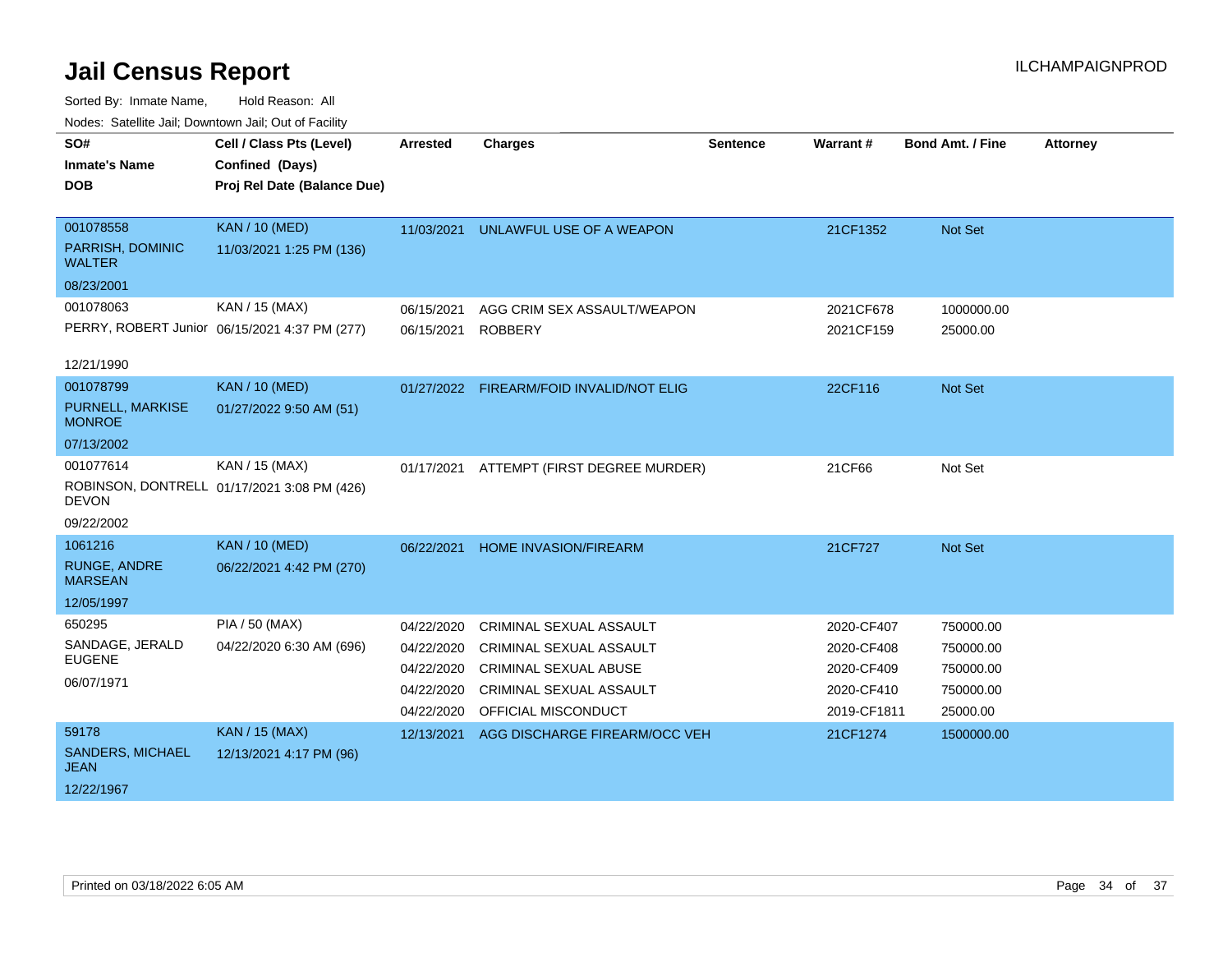| SO#<br><b>Inmate's Name</b><br><b>DOB</b>                    | Cell / Class Pts (Level)<br>Confined (Days)<br>Proj Rel Date (Balance Due) | <b>Arrested</b>                                                    | <b>Charges</b>                                                                                                                                     | <b>Sentence</b> | Warrant#                                                            | <b>Bond Amt. / Fine</b>                                      | <b>Attorney</b> |
|--------------------------------------------------------------|----------------------------------------------------------------------------|--------------------------------------------------------------------|----------------------------------------------------------------------------------------------------------------------------------------------------|-----------------|---------------------------------------------------------------------|--------------------------------------------------------------|-----------------|
| 001078558<br>PARRISH, DOMINIC<br><b>WALTER</b>               | <b>KAN / 10 (MED)</b><br>11/03/2021 1:25 PM (136)                          | 11/03/2021                                                         | UNLAWFUL USE OF A WEAPON                                                                                                                           |                 | 21CF1352                                                            | <b>Not Set</b>                                               |                 |
| 08/23/2001<br>001078063<br>12/21/1990                        | KAN / 15 (MAX)<br>PERRY, ROBERT Junior 06/15/2021 4:37 PM (277)            | 06/15/2021<br>06/15/2021                                           | AGG CRIM SEX ASSAULT/WEAPON<br><b>ROBBERY</b>                                                                                                      |                 | 2021CF678<br>2021CF159                                              | 1000000.00<br>25000.00                                       |                 |
| 001078799<br>PURNELL, MARKISE<br><b>MONROE</b><br>07/13/2002 | <b>KAN / 10 (MED)</b><br>01/27/2022 9:50 AM (51)                           | 01/27/2022                                                         | FIREARM/FOID INVALID/NOT ELIG                                                                                                                      |                 | 22CF116                                                             | Not Set                                                      |                 |
| 001077614<br><b>DEVON</b><br>09/22/2002                      | KAN / 15 (MAX)<br>ROBINSON, DONTRELL 01/17/2021 3:08 PM (426)              | 01/17/2021                                                         | ATTEMPT (FIRST DEGREE MURDER)                                                                                                                      |                 | 21CF66                                                              | Not Set                                                      |                 |
| 1061216<br>RUNGE, ANDRE<br><b>MARSEAN</b><br>12/05/1997      | <b>KAN / 10 (MED)</b><br>06/22/2021 4:42 PM (270)                          | 06/22/2021                                                         | <b>HOME INVASION/FIREARM</b>                                                                                                                       |                 | 21CF727                                                             | Not Set                                                      |                 |
| 650295<br>SANDAGE, JERALD<br><b>EUGENE</b><br>06/07/1971     | PIA / 50 (MAX)<br>04/22/2020 6:30 AM (696)                                 | 04/22/2020<br>04/22/2020<br>04/22/2020<br>04/22/2020<br>04/22/2020 | CRIMINAL SEXUAL ASSAULT<br><b>CRIMINAL SEXUAL ASSAULT</b><br><b>CRIMINAL SEXUAL ABUSE</b><br><b>CRIMINAL SEXUAL ASSAULT</b><br>OFFICIAL MISCONDUCT |                 | 2020-CF407<br>2020-CF408<br>2020-CF409<br>2020-CF410<br>2019-CF1811 | 750000.00<br>750000.00<br>750000.00<br>750000.00<br>25000.00 |                 |
| 59178<br>SANDERS, MICHAEL<br><b>JEAN</b><br>12/22/1967       | <b>KAN / 15 (MAX)</b><br>12/13/2021 4:17 PM (96)                           | 12/13/2021                                                         | AGG DISCHARGE FIREARM/OCC VEH                                                                                                                      |                 | 21CF1274                                                            | 1500000.00                                                   |                 |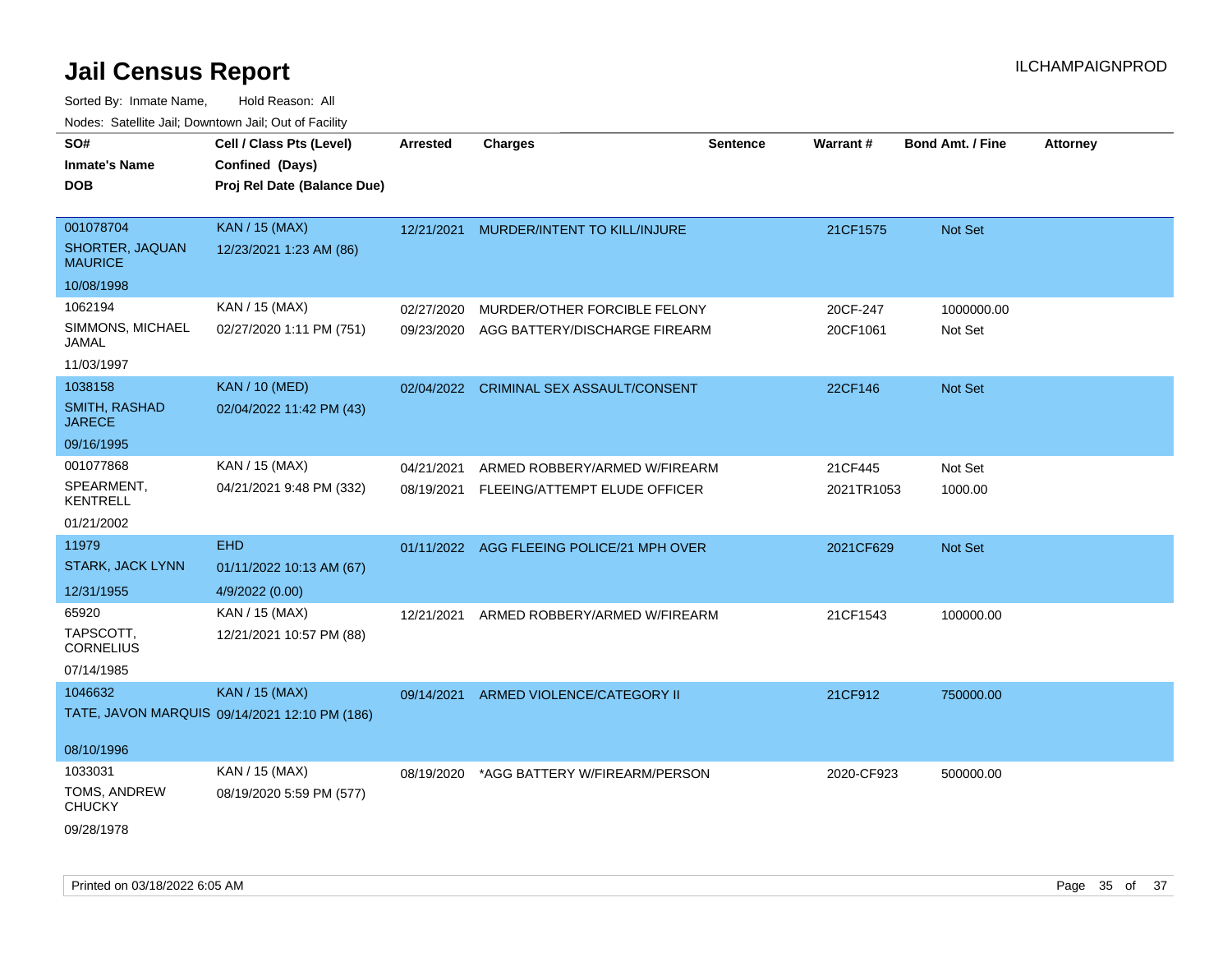|                                   |                                               |                 |                                           |                 | Warrant#   |                         |                 |
|-----------------------------------|-----------------------------------------------|-----------------|-------------------------------------------|-----------------|------------|-------------------------|-----------------|
| SO#                               | Cell / Class Pts (Level)                      | <b>Arrested</b> | <b>Charges</b>                            | <b>Sentence</b> |            | <b>Bond Amt. / Fine</b> | <b>Attorney</b> |
| <b>Inmate's Name</b>              | Confined (Days)                               |                 |                                           |                 |            |                         |                 |
| DOB                               | Proj Rel Date (Balance Due)                   |                 |                                           |                 |            |                         |                 |
| 001078704                         | <b>KAN / 15 (MAX)</b>                         | 12/21/2021      | MURDER/INTENT TO KILL/INJURE              |                 | 21CF1575   | Not Set                 |                 |
| SHORTER, JAQUAN<br><b>MAURICE</b> | 12/23/2021 1:23 AM (86)                       |                 |                                           |                 |            |                         |                 |
| 10/08/1998                        |                                               |                 |                                           |                 |            |                         |                 |
| 1062194                           | KAN / 15 (MAX)                                | 02/27/2020      | MURDER/OTHER FORCIBLE FELONY              |                 | 20CF-247   | 1000000.00              |                 |
| SIMMONS, MICHAEL<br>JAMAL         | 02/27/2020 1:11 PM (751)                      | 09/23/2020      | AGG BATTERY/DISCHARGE FIREARM             |                 | 20CF1061   | Not Set                 |                 |
| 11/03/1997                        |                                               |                 |                                           |                 |            |                         |                 |
| 1038158                           | KAN / 10 (MED)                                | 02/04/2022      | <b>CRIMINAL SEX ASSAULT/CONSENT</b>       |                 | 22CF146    | Not Set                 |                 |
| SMITH, RASHAD<br><b>JARECE</b>    | 02/04/2022 11:42 PM (43)                      |                 |                                           |                 |            |                         |                 |
| 09/16/1995                        |                                               |                 |                                           |                 |            |                         |                 |
| 001077868                         | KAN / 15 (MAX)                                | 04/21/2021      | ARMED ROBBERY/ARMED W/FIREARM             |                 | 21CF445    | Not Set                 |                 |
| SPEARMENT,<br><b>KENTRELL</b>     | 04/21/2021 9:48 PM (332)                      |                 | 08/19/2021 FLEEING/ATTEMPT ELUDE OFFICER  |                 | 2021TR1053 | 1000.00                 |                 |
| 01/21/2002                        |                                               |                 |                                           |                 |            |                         |                 |
| 11979                             | <b>EHD</b>                                    |                 | 01/11/2022 AGG FLEEING POLICE/21 MPH OVER |                 | 2021CF629  | Not Set                 |                 |
| STARK, JACK LYNN                  | 01/11/2022 10:13 AM (67)                      |                 |                                           |                 |            |                         |                 |
| 12/31/1955                        | 4/9/2022 (0.00)                               |                 |                                           |                 |            |                         |                 |
| 65920                             | KAN / 15 (MAX)                                | 12/21/2021      | ARMED ROBBERY/ARMED W/FIREARM             |                 | 21CF1543   | 100000.00               |                 |
| TAPSCOTT,<br><b>CORNELIUS</b>     | 12/21/2021 10:57 PM (88)                      |                 |                                           |                 |            |                         |                 |
| 07/14/1985                        |                                               |                 |                                           |                 |            |                         |                 |
| 1046632                           | KAN / 15 (MAX)                                | 09/14/2021      | ARMED VIOLENCE/CATEGORY II                |                 | 21CF912    | 750000.00               |                 |
|                                   | TATE, JAVON MARQUIS 09/14/2021 12:10 PM (186) |                 |                                           |                 |            |                         |                 |
| 08/10/1996                        |                                               |                 |                                           |                 |            |                         |                 |
| 1033031                           | KAN / 15 (MAX)                                | 08/19/2020      | *AGG BATTERY W/FIREARM/PERSON             |                 | 2020-CF923 | 500000.00               |                 |
| TOMS, ANDREW<br><b>CHUCKY</b>     | 08/19/2020 5:59 PM (577)                      |                 |                                           |                 |            |                         |                 |
| 09/28/1978                        |                                               |                 |                                           |                 |            |                         |                 |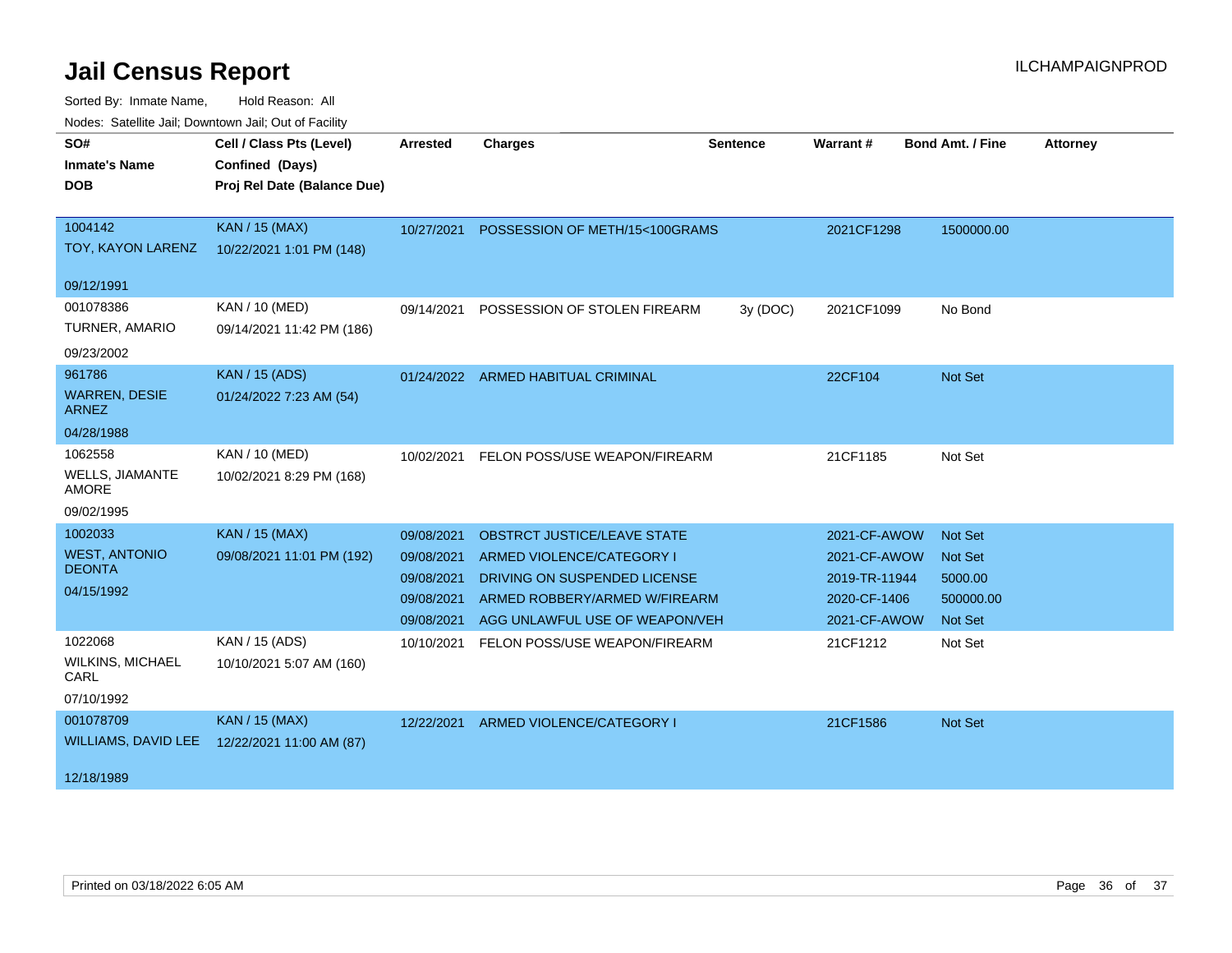| SO#<br><b>Inmate's Name</b><br><b>DOB</b>                      | Cell / Class Pts (Level)<br>Confined (Days)<br>Proj Rel Date (Balance Due) | <b>Arrested</b>                                                    | <b>Charges</b>                                                                                                                                              | <b>Sentence</b> | Warrant#                                                                      | <b>Bond Amt. / Fine</b>                                                    | <b>Attorney</b> |
|----------------------------------------------------------------|----------------------------------------------------------------------------|--------------------------------------------------------------------|-------------------------------------------------------------------------------------------------------------------------------------------------------------|-----------------|-------------------------------------------------------------------------------|----------------------------------------------------------------------------|-----------------|
| 1004142<br>TOY, KAYON LARENZ                                   | <b>KAN / 15 (MAX)</b><br>10/22/2021 1:01 PM (148)                          | 10/27/2021                                                         | POSSESSION OF METH/15<100GRAMS                                                                                                                              |                 | 2021CF1298                                                                    | 1500000.00                                                                 |                 |
| 09/12/1991                                                     |                                                                            |                                                                    |                                                                                                                                                             |                 |                                                                               |                                                                            |                 |
| 001078386<br>TURNER, AMARIO<br>09/23/2002                      | KAN / 10 (MED)<br>09/14/2021 11:42 PM (186)                                | 09/14/2021                                                         | POSSESSION OF STOLEN FIREARM                                                                                                                                | 3y (DOC)        | 2021CF1099                                                                    | No Bond                                                                    |                 |
| 961786<br><b>WARREN, DESIE</b><br><b>ARNEZ</b>                 | <b>KAN</b> / 15 (ADS)<br>01/24/2022 7:23 AM (54)                           |                                                                    | 01/24/2022 ARMED HABITUAL CRIMINAL                                                                                                                          |                 | 22CF104                                                                       | Not Set                                                                    |                 |
| 04/28/1988                                                     |                                                                            |                                                                    |                                                                                                                                                             |                 |                                                                               |                                                                            |                 |
| 1062558<br><b>WELLS, JIAMANTE</b><br><b>AMORE</b>              | KAN / 10 (MED)<br>10/02/2021 8:29 PM (168)                                 | 10/02/2021                                                         | FELON POSS/USE WEAPON/FIREARM                                                                                                                               |                 | 21CF1185                                                                      | Not Set                                                                    |                 |
| 09/02/1995                                                     |                                                                            |                                                                    |                                                                                                                                                             |                 |                                                                               |                                                                            |                 |
| 1002033<br><b>WEST, ANTONIO</b><br><b>DEONTA</b><br>04/15/1992 | <b>KAN / 15 (MAX)</b><br>09/08/2021 11:01 PM (192)                         | 09/08/2021<br>09/08/2021<br>09/08/2021<br>09/08/2021<br>09/08/2021 | OBSTRCT JUSTICE/LEAVE STATE<br>ARMED VIOLENCE/CATEGORY I<br>DRIVING ON SUSPENDED LICENSE<br>ARMED ROBBERY/ARMED W/FIREARM<br>AGG UNLAWFUL USE OF WEAPON/VEH |                 | 2021-CF-AWOW<br>2021-CF-AWOW<br>2019-TR-11944<br>2020-CF-1406<br>2021-CF-AWOW | <b>Not Set</b><br><b>Not Set</b><br>5000.00<br>500000.00<br><b>Not Set</b> |                 |
| 1022068<br><b>WILKINS, MICHAEL</b><br>CARL<br>07/10/1992       | KAN / 15 (ADS)<br>10/10/2021 5:07 AM (160)                                 | 10/10/2021                                                         | FELON POSS/USE WEAPON/FIREARM                                                                                                                               |                 | 21CF1212                                                                      | Not Set                                                                    |                 |
| 001078709<br>WILLIAMS, DAVID LEE<br>12/18/1989                 | <b>KAN / 15 (MAX)</b><br>12/22/2021 11:00 AM (87)                          |                                                                    | 12/22/2021 ARMED VIOLENCE/CATEGORY I                                                                                                                        |                 | 21CF1586                                                                      | Not Set                                                                    |                 |
|                                                                |                                                                            |                                                                    |                                                                                                                                                             |                 |                                                                               |                                                                            |                 |